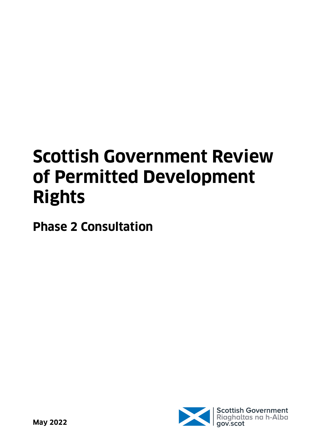# **Scottish Government Review of Permitted Development Rights**

**Phase 2 Consultation**

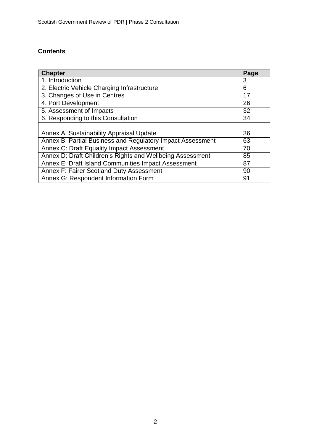# **Contents**

| Chapter                                                    | Page |
|------------------------------------------------------------|------|
| 1. Introduction                                            | 3    |
| 2. Electric Vehicle Charging Infrastructure                | 6    |
| 3. Changes of Use in Centres                               | 17   |
| 4. Port Development                                        |      |
| 5. Assessment of Impacts                                   |      |
| 6. Responding to this Consultation                         |      |
|                                                            |      |
| Annex A: Sustainability Appraisal Update                   |      |
| Annex B: Partial Business and Regulatory Impact Assessment |      |
| Annex C: Draft Equality Impact Assessment                  |      |
| Annex D: Draft Children's Rights and Wellbeing Assessment  |      |
| Annex E: Draft Island Communities Impact Assessment        |      |
| <b>Annex F: Fairer Scotland Duty Assessment</b>            | 90   |
| Annex G: Respondent Information Form                       |      |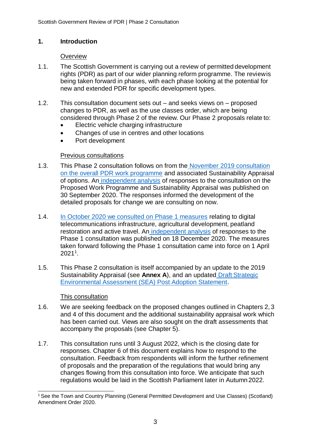# **1. Introduction**

#### **Overview**

- 1.1. The Scottish Government is carrying out a review of permitted development rights (PDR) as part of our wider planning reform programme. The reviewis being taken forward in phases, with each phase looking at the potential for new and extended PDR for specific development types.
- 1.2. This consultation document sets out and seeks views on proposed changes to PDR, as well as the use classes order, which are being considered through Phase 2 of the review. Our Phase 2 proposals relate to:
	- Electric vehicle charging infrastructure
	- Changes of use in centres and other locations
	- Port development

# Previous consultations

- 1.3. This Phase 2 consultation follows on from the [November 2019](https://www.gov.scot/publications/scottish-governments-proposed-work-programme-reviewing-extending-permitted-development-rights-pdr-scotland/documents/) consultation [on the overall PDR work programme](https://www.gov.scot/publications/scottish-governments-proposed-work-programme-reviewing-extending-permitted-development-rights-pdr-scotland/documents/) and associated Sustainability Appraisal of options. An [independent analysis](https://www.gov.scot/publications/analysis-responses-consultation-reviewing-extending-permitted-development-rights-pdr/) of responses to the consultation on the Proposed Work Programme and Sustainability Appraisal was published on 30 September 2020. The responses informed the development of the detailed proposals for change we are consulting on now.
- 1.4. [In October 2020 we consulted on Phase 1 measures](https://www.gov.scot/publications/consultation-proposals-changes-permitted-development-rights-phase-1-priority-development-types/documents/) relating to digital telecommunications infrastructure, agricultural development, peatland restoration and active travel. An [independent analysis](https://www.gov.scot/publications/analysis-responses-consultation-phase-1-scottish-governments-programme-reviewing-extending-permitted-development-rights-pdr/pages/2/) of responses to the Phase 1 consultation was published on 18 December 2020. The measures taken forward following the Phase 1 consultation came into force on 1 April 2021<sup>1</sup> .
- 1.5. This Phase 2 consultation is itself accompanied by an update to the 2019 Sustainability Appraisal (see **Annex A**), and an updated Draft [Strategic](https://www.gov.scot/publications/proposed-programme-reviewing-extending-permitted-development-rights-pdr-scotland-strategic-environmental-assessment-draft-post-adoption-statement/) [Environmental Assessment \(SEA\) Post Adoption Statement.](https://www.gov.scot/publications/proposed-programme-reviewing-extending-permitted-development-rights-pdr-scotland-strategic-environmental-assessment-draft-post-adoption-statement/)

# This consultation

- 1.6. We are seeking feedback on the proposed changes outlined in Chapters 2, 3 and 4 of this document and the additional sustainability appraisal work which has been carried out. Views are also sought on the draft assessments that accompany the proposals (see Chapter 5).
- 1.7. This consultation runs until 3 August 2022, which is the closing date for responses. Chapter 6 of this document explains how to respond to the consultation. Feedback from respondents will inform the further refinement of proposals and the preparation of the regulations that would bring any changes flowing from this consultation into force. We anticipate that such regulations would be laid in the Scottish Parliament later in Autumn 2022.

<sup>&</sup>lt;sup>1</sup> See the Town and Country Planning (General Permitted Development and Use Classes) (Scotland) Amendment Order 2020.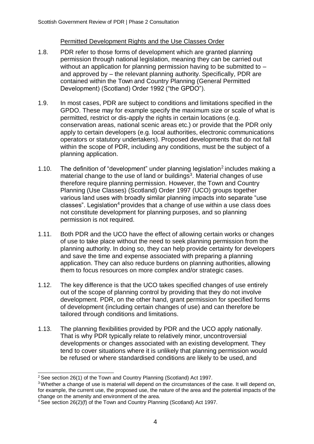# Permitted Development Rights and the Use Classes Order

- 1.8. PDR refer to those forms of development which are granted planning permission through national legislation, meaning they can be carried out without an application for planning permission having to be submitted to  $$ and approved by – the relevant planning authority. Specifically, PDR are contained within the Town and Country Planning (General Permitted Development) (Scotland) Order 1992 ("the GPDO").
- 1.9. In most cases, PDR are subject to conditions and limitations specified in the GPDO. These may for example specify the maximum size or scale of what is permitted, restrict or dis-apply the rights in certain locations (e.g. conservation areas, national scenic areas etc.) or provide that the PDR only apply to certain developers (e.g. local authorities, electronic communications operators or statutory undertakers). Proposed developments that do not fall within the scope of PDR, including any conditions, must be the subject of a planning application.
- 1.10. The definition of "development" under planning legislation<sup>2</sup> includes making a material change to the use of land or buildings<sup>3</sup>. Material changes of use therefore require planning permission. However, the Town and Country Planning (Use Classes) (Scotland) Order 1997 (UCO) groups together various land uses with broadly similar planning impacts into separate "use classes". Legislation<sup>4</sup> provides that a change of use within a use class does not constitute development for planning purposes, and so planning permission is not required.
- 1.11. Both PDR and the UCO have the effect of allowing certain works or changes of use to take place without the need to seek planning permission from the planning authority. In doing so, they can help provide certainty for developers and save the time and expense associated with preparing a planning application. They can also reduce burdens on planning authorities, allowing them to focus resources on more complex and/or strategic cases.
- 1.12. The key difference is that the UCO takes specified changes of use entirely out of the scope of planning control by providing that they do not involve development. PDR, on the other hand, grant permission for specified forms of development (including certain changes of use) and can therefore be tailored through conditions and limitations.
- 1.13. The planning flexibilities provided by PDR and the UCO apply nationally. That is why PDR typically relate to relatively minor, uncontroversial developments or changes associated with an existing development. They tend to cover situations where it is unlikely that planning permission would be refused or where standardised conditions are likely to be used, and

<sup>&</sup>lt;sup>2</sup> See section 26(1) of the Town and Country Planning (Scotland) Act 1997.

<sup>&</sup>lt;sup>3</sup> Whether a change of use is material will depend on the circumstances of the case. It will depend on, for example, the current use, the proposed use, the nature of the area and the potential impacts of the change on the amenity and environment of the area.

<sup>4</sup> See section 26(2)(f) of the Town and Country Planning (Scotland) Act 1997.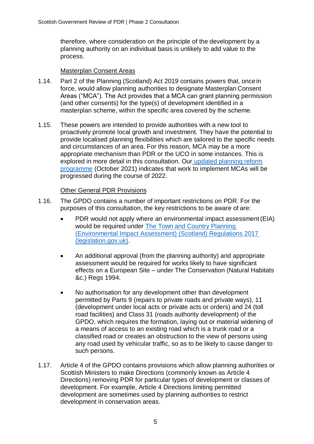therefore, where consideration on the principle of the development by a planning authority on an individual basis is unlikely to add value to the process.

## Masterplan Consent Areas

- 1.14. Part 2 of the Planning (Scotland) Act 2019 contains powers that, oncein force, would allow planning authorities to designate Masterplan Consent Areas ("MCA"). The Act provides that a MCA can grant planning permission (and other consents) for the type(s) of development identified in a masterplan scheme, within the specific area covered by the scheme.
- 1.15. These powers are intended to provide authorities with a new tool to proactively promote local growth and investment. They have the potential to provide localised planning flexibilities which are tailored to the specific needs and circumstances of an area. For this reason, MCA may be a more appropriate mechanism than PDR or the UCO in some instances. This is explored in more detail in this consultation. Our [updated planning](https://www.gov.scot/publications/transforming-planning-practice-updated-planning-reform-implementation-programme/documents/) reform [programme](https://www.gov.scot/publications/transforming-planning-practice-updated-planning-reform-implementation-programme/documents/) (October 2021) indicates that work to implement MCAs will be progressed during the course of 2022.

#### Other General PDR Provisions

- 1.16. The GPDO contains a number of important restrictions on PDR. For the purposes of this consultation, the key restrictions to be aware of are:
	- PDR would not apply where an environmental impact assessment(EIA) would be required under [The Town and Country Planning](https://www.legislation.gov.uk/ssi/2017/102/contents) [\(Environmental Impact Assessment\) \(Scotland\) Regulations 2017](https://www.legislation.gov.uk/ssi/2017/102/contents) [\(legislation.gov.uk\).](https://www.legislation.gov.uk/ssi/2017/102/contents)
	- An additional approval (from the planning authority) and appropriate assessment would be required for works likely to have significant effects on a European Site – under The Conservation (Natural Habitats &c.) Regs 1994.
	- No authorisation for any development other than development permitted by Parts 9 (repairs to private roads and private ways), 11 (development under local acts or private acts or orders) and 24 (toll road facilities) and Class 31 (roads authority development) of the GPDO, which requires the formation, laying out or material widening of a means of access to an existing road which is a trunk road or a classified road or creates an obstruction to the view of persons using any road used by vehicular traffic, so as to be likely to cause danger to such persons.
- 1.17. Article 4 of the GPDO contains provisions which allow planning authorities or Scottish Ministers to make Directions (commonly known as Article 4 Directions) removing PDR for particular types of development or classes of development. For example, Article 4 Directions limiting permitted development are sometimes used by planning authorities to restrict development in conservation areas.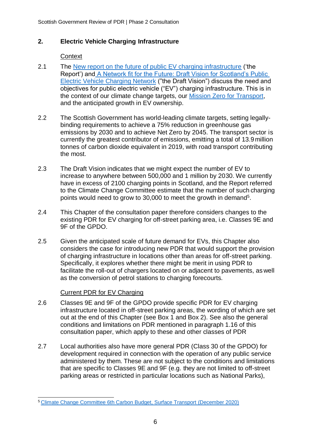# **2. Electric Vehicle Charging Infrastructure**

## **Context**

- 2.1 The [New report on the future of public EV charging infrastructure](https://www.transport.gov.scot/news/new-report-on-the-future-of-public-ev-charging-infrastructure/) ('the Report') and [A Network fit for the Future: Draft Vision for Scotland's Public](https://www.transport.gov.scot/publication/a-network-fit-for-the-future-draft-vision-for-scotland-s-public-electric-vehicle-charging-network/) [Electric Vehicle Charging Network](https://www.transport.gov.scot/publication/a-network-fit-for-the-future-draft-vision-for-scotland-s-public-electric-vehicle-charging-network/) ("the Draft Vision") discuss the need and objectives for public electric vehicle ("EV") charging infrastructure. This is in the context of our climate change targets, our [Mission Zero for Transport,](https://www.transport.gov.scot/our-approach/environment/mission-zero-for-transport/) and the anticipated growth in EV ownership.
- 2.2 The Scottish Government has world-leading climate targets, setting legallybinding requirements to achieve a 75% reduction in greenhouse gas emissions by 2030 and to achieve Net Zero by 2045. The transport sector is currently the greatest contributor of emissions, emitting a total of 13.9 million tonnes of carbon dioxide equivalent in 2019, with road transport contributing the most.
- 2.3 The Draft Vision indicates that we might expect the number of EV to increase to anywhere between 500,000 and 1 million by 2030. We currently have in excess of 2100 charging points in Scotland, and the Report referred to the Climate Change Committee estimate that the number of such charging points would need to grow to 30,000 to meet the growth in demand<sup>5</sup>.
- 2.4 This Chapter of the consultation paper therefore considers changes to the existing PDR for EV charging for off-street parking area, i.e. Classes 9E and 9F of the GPDO.
- 2.5 Given the anticipated scale of future demand for EVs, this Chapter also considers the case for introducing new PDR that would support the provision of charging infrastructure in locations other than areas for off-street parking. Specifically, it explores whether there might be merit in using PDR to facilitate the roll-out of chargers located on or adjacent to pavements, as well as the conversion of petrol stations to charging forecourts.

# Current PDR for EV Charging

- 2.6 Classes 9E and 9F of the GPDO provide specific PDR for EV charging infrastructure located in off-street parking areas, the wording of which are set out at the end of this Chapter (see Box 1 and Box 2). See also the general conditions and limitations on PDR mentioned in paragraph 1.16 of this consultation paper, which apply to these and other classes of PDR
- 2.7 Local authorities also have more general PDR (Class 30 of the GPDO) for development required in connection with the operation of any public service administered by them. These are not subject to the conditions and limitations that are specific to Classes 9E and 9F (e.g. they are not limited to off-street parking areas or restricted in particular locations such as National Parks),

<sup>5</sup> [Climate Change Committee 6th Carbon Budget, Surface Transport \(December 2020\)](https://www.theccc.org.uk/publication/sixth-carbon-budget/)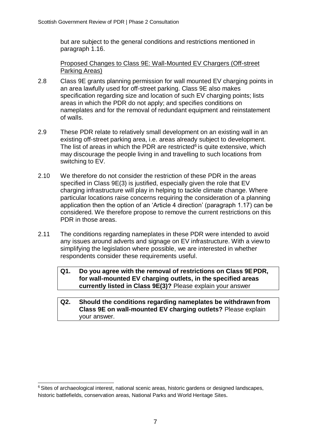but are subject to the general conditions and restrictions mentioned in paragraph 1.16.

Proposed Changes to Class 9E: Wall-Mounted EV Chargers (Off-street Parking Areas)

- 2.8 Class 9E grants planning permission for wall mounted EV charging points in an area lawfully used for off-street parking. Class 9E also makes specification regarding size and location of such EV charging points; lists areas in which the PDR do not apply; and specifies conditions on nameplates and for the removal of redundant equipment and reinstatement of walls.
- 2.9 These PDR relate to relatively small development on an existing wall in an existing off-street parking area, i.e. areas already subject to development. The list of areas in which the PDR are restricted $6$  is quite extensive, which may discourage the people living in and travelling to such locations from switching to EV.
- 2.10 We therefore do not consider the restriction of these PDR in the areas specified in Class 9E(3) is justified, especially given the role that EV charging infrastructure will play in helping to tackle climate change. Where particular locations raise concerns requiring the consideration of a planning application then the option of an 'Article 4 direction' (paragraph 1.17) can be considered. We therefore propose to remove the current restrictions on this PDR in those areas.
- 2.11 The conditions regarding nameplates in these PDR were intended to avoid any issues around adverts and signage on EV infrastructure. With a view to simplifying the legislation where possible, we are interested in whether respondents consider these requirements useful.

**Q1. Do you agree with the removal of restrictions on Class 9EPDR, for wall-mounted EV charging outlets, in the specified areas currently listed in Class 9E(3)?** Please explain your answer

**Q2. Should the conditions regarding nameplates be withdrawn from Class 9E on wall-mounted EV charging outlets?** Please explain your answer.

<sup>&</sup>lt;sup>6</sup> Sites of archaeological interest, national scenic areas, historic gardens or designed landscapes, historic battlefields, conservation areas, National Parks and World Heritage Sites.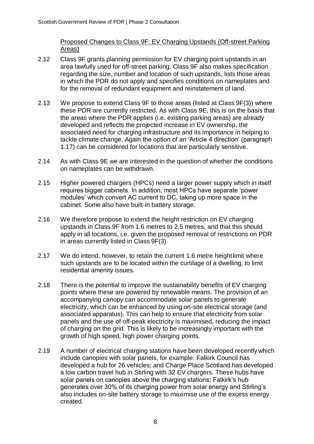Proposed Changes to Class 9F: EV Charging Upstands (Off-street Parking Areas)

- 2.12 Class 9F grants planning permission for EV charging point upstands in an area lawfully used for off-street parking. Class 9F also makes specification regarding the size, number and location of such upstands, lists those areas in which the PDR do not apply and specifies conditions on nameplates and for the removal of redundant equipment and reinstatement of land.
- 2.13 We propose to extend Class 9F to those areas (listed at Class 9F(3)) where these PDR are currently restricted. As with Class 9E, this is on the basis that the areas where the PDR applies (i.e. existing parking areas) are already developed and reflects the projected increase in EV ownership, the associated need for charging infrastructure and its importance in helping to tackle climate change. Again the option of an 'Article 4 direction' (paragraph 1.17) can be considered for locations that are particularly sensitive.
- 2.14 As with Class 9E we are interested in the question of whether the conditions on nameplates can be withdrawn.
- 2.15 Higher powered chargers (HPCs) need a larger power supply which in itself requires bigger cabinets. In addition, most HPCs have separate 'power modules' which convert AC current to DC, taking up more space in the cabinet. Some also have built-in battery storage.
- 2.16 We therefore propose to extend the height restriction on EV charging upstands in Class 9F from 1.6 metres to 2.5 metres, and that this should apply in all locations, i.e. given the proposed removal of restrictions on PDR in areas currently listed in Class 9F(3).
- 2.17 We do intend, however, to retain the current 1.6 metre heightlimit where such upstands are to be located within the curtilage of a dwelling, to limit residential amenity issues.
- 2.18 There is the potential to improve the sustainability benefits of EV charging points where these are powered by renewable means. The provision of an accompanying canopy can accommodate solar panels to generate electricity, which can be enhanced by using on-site electrical storage (and associated apparatus). This can help to ensure that electricity from solar panels and the use of off-peak electricity is maximised, reducing the impact of charging on the grid. This is likely to be increasingly important with the growth of high speed, high power charging points.
- 2.19 A number of electrical charging stations have been developed recently which include canopies with solar panels, for example: Falkirk Council has developed a hub for 26 vehicles; and Charge Place Scotland has developed a low carbon travel hub in Stirling with 32 EV chargers. These hubs have solar panels on canopies above the charging stations; Falkirk's hub generates over 30% of its charging power from solar energy and Stirling's also includes on-site battery storage to maximise use of the excess energy created.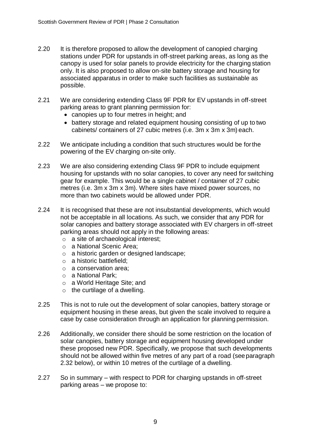- 2.20 It is therefore proposed to allow the development of canopied charging stations under PDR for upstands in off-street parking areas, as long as the canopy is used for solar panels to provide electricity for the charging station only. It is also proposed to allow on-site battery storage and housing for associated apparatus in order to make such facilities as sustainable as possible.
- 2.21 We are considering extending Class 9F PDR for EV upstands in off-street parking areas to grant planning permission for:
	- canopies up to four metres in height; and
	- battery storage and related equipment housing consisting of up to two cabinets/ containers of 27 cubic metres (i.e. 3m x 3m x 3m) each.
- 2.22 We anticipate including a condition that such structures would be forthe powering of the EV charging on-site only.
- 2.23 We are also considering extending Class 9F PDR to include equipment housing for upstands with no solar canopies, to cover any need for switching gear for example. This would be a single cabinet / container of 27 cubic metres (i.e. 3m x 3m x 3m). Where sites have mixed power sources, no more than two cabinets would be allowed under PDR.
- 2.24 It is recognised that these are not insubstantial developments, which would not be acceptable in all locations. As such, we consider that any PDR for solar canopies and battery storage associated with EV chargers in off-street parking areas should not apply in the following areas:
	- o a site of archaeological interest;
	- o a National Scenic Area;
	- o a historic garden or designed landscape;
	- o a historic battlefield;
	- o a conservation area;
	- o a National Park;
	- o a World Heritage Site; and
	- $\circ$  the curtilage of a dwelling.
- 2.25 This is not to rule out the development of solar canopies, battery storage or equipment housing in these areas, but given the scale involved to require a case by case consideration through an application for planning permission.
- 2.26 Additionally, we consider there should be some restriction on the location of solar canopies, battery storage and equipment housing developed under these proposed new PDR. Specifically, we propose that such developments should not be allowed within five metres of any part of a road (seeparagraph 2.32 below), or within 10 metres of the curtilage of a dwelling.
- 2.27 So in summary with respect to PDR for charging upstands in off-street parking areas – we propose to: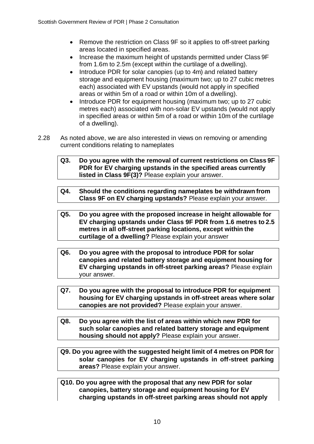- Remove the restriction on Class 9F so it applies to off-street parking areas located in specified areas.
- Increase the maximum height of upstands permitted under Class 9F from 1.6m to 2.5m (except within the curtilage of a dwelling).
- Introduce PDR for solar canopies (up to 4m) and related battery storage and equipment housing (maximum two; up to 27 cubic metres each) associated with EV upstands (would not apply in specified areas or within 5m of a road or within 10m of a dwelling).
- Introduce PDR for equipment housing (maximum two; up to 27 cubic metres each) associated with non-solar EV upstands (would not apply in specified areas or within 5m of a road or within 10m of the curtilage of a dwelling).
- 2.28 As noted above, we are also interested in views on removing or amending current conditions relating to nameplates
	- **Q3. Do you agree with the removal of current restrictions on Class 9F PDR for EV charging upstands in the specified areas currently listed in Class 9F(3)?** Please explain your answer.
	- **Q4. Should the conditions regarding nameplates be withdrawn from Class 9F on EV charging upstands?** Please explain your answer.
	- **Q5. Do you agree with the proposed increase in height allowable for EV charging upstands under Class 9F PDR from 1.6 metres to 2.5 metres in all off-street parking locations, except within the curtilage of a dwelling?** Please explain your answer
	- **Q6. Do you agree with the proposal to introduce PDR for solar canopies and related battery storage and equipment housing for EV charging upstands in off-street parking areas?** Please explain your answer.
	- **Q7. Do you agree with the proposal to introduce PDR for equipment housing for EV charging upstands in off-street areas where solar canopies are not provided?** Please explain your answer.
	- **Q8. Do you agree with the list of areas within which new PDR for such solar canopies and related battery storage and equipment housing should not apply?** Please explain your answer.
	- **Q9. Do you agree with the suggested height limit of 4 metres on PDR for solar canopies for EV charging upstands in off-street parking areas?** Please explain your answer.
	- **Q10. Do you agree with the proposal that any new PDR for solar canopies, battery storage and equipment housing for EV charging upstands in off-street parking areas should not apply**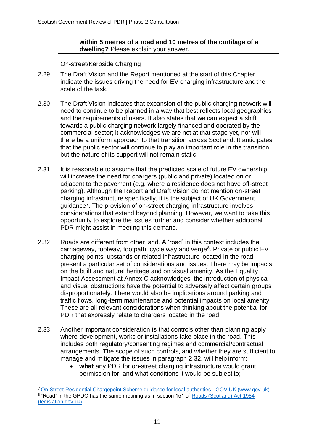#### **within 5 metres of a road and 10 metres of the curtilage of a dwelling?** Please explain your answer.

On-street/Kerbside Charging

- 2.29 The Draft Vision and the Report mentioned at the start of this Chapter indicate the issues driving the need for EV charging infrastructure andthe scale of the task.
- 2.30 The Draft Vision indicates that expansion of the public charging network will need to continue to be planned in a way that best reflects local geographies and the requirements of users. It also states that we can expect a shift towards a public charging network largely financed and operated by the commercial sector; it acknowledges we are not at that stage yet, nor will there be a uniform approach to that transition across Scotland. It anticipates that the public sector will continue to play an important role in the transition, but the nature of its support will not remain static.
- 2.31 It is reasonable to assume that the predicted scale of future EV ownership will increase the need for chargers (public and private) located on or adjacent to the pavement (e.g. where a residence does not have off-street parking). Although the Report and Draft Vision do not mention on-street charging infrastructure specifically, it is the subject of UK Government guidance<sup>7</sup>. The provision of on-street charging infrastructure involves considerations that extend beyond planning. However, we want to take this opportunity to explore the issues further and consider whether additional PDR might assist in meeting this demand.
- 2.32 Roads are different from other land. A 'road' in this context includes the carriageway, footway, footpath, cycle way and verge<sup>8</sup>. Private or public EV charging points, upstands or related infrastructure located in the road present a particular set of considerations and issues. There may be impacts on the built and natural heritage and on visual amenity. As the Equality Impact Assessment at Annex C acknowledges, the introduction of physical and visual obstructions have the potential to adversely affect certain groups disproportionately. There would also be implications around parking and traffic flows, long-term maintenance and potential impacts on local amenity. These are all relevant considerations when thinking about the potential for PDR that expressly relate to chargers located in the road.
- 2.33 Another important consideration is that controls other than planning apply where development, works or installations take place in the road. This includes both regulatory/consenting regimes and commercial/contractual arrangements. The scope of such controls, and whether they are sufficient to manage and mitigate the issues in paragraph 2.32, will help inform:
	- **what** any PDR for on-street charging infrastructure would grant permission for, and what conditions it would be subject to;

<sup>7</sup>[On-Street Residential Chargepoint Scheme guidance for local authorities -](https://www.gov.uk/government/publications/grants-for-local-authorities-to-provide-residential-on-street-chargepoints/grants-to-provide-residential-on-street-chargepoints-for-plug-in-electric-vehicles-guidance-for-local-authorities#on-street-residential-unrestricted) GOV.UK (www.gov.uk) <sup>8</sup> "Road" in the GPDO has the same meaning as in section 151 of [Roads \(Scotland\) Act 1984](https://www.legislation.gov.uk/ukpga/1984/54/contents) [\(legislation.gov.uk\)](https://www.legislation.gov.uk/ukpga/1984/54/contents)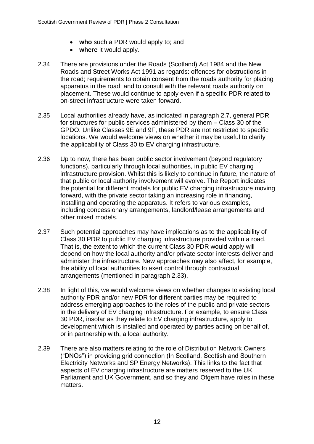- **who** such a PDR would apply to; and
- **where** it would apply.
- 2.34 There are provisions under the Roads (Scotland) Act 1984 and the New Roads and Street Works Act 1991 as regards: offences for obstructions in the road; requirements to obtain consent from the roads authority for placing apparatus in the road; and to consult with the relevant roads authority on placement. These would continue to apply even if a specific PDR related to on-street infrastructure were taken forward.
- 2.35 Local authorities already have, as indicated in paragraph 2.7, general PDR for structures for public services administered by them – Class 30 of the GPDO. Unlike Classes 9E and 9F, these PDR are not restricted to specific locations. We would welcome views on whether it may be useful to clarify the applicability of Class 30 to EV charging infrastructure.
- 2.36 Up to now, there has been public sector involvement (beyond regulatory functions), particularly through local authorities, in public EV charging infrastructure provision. Whilst this is likely to continue in future, the nature of that public or local authority involvement will evolve. The Report indicates the potential for different models for public EV charging infrastructure moving forward, with the private sector taking an increasing role in financing, installing and operating the apparatus. It refers to various examples, including concessionary arrangements, landlord/lease arrangements and other mixed models.
- 2.37 Such potential approaches may have implications as to the applicability of Class 30 PDR to public EV charging infrastructure provided within a road. That is, the extent to which the current Class 30 PDR would apply will depend on how the local authority and/or private sector interests deliver and administer the infrastructure. New approaches may also affect, for example, the ability of local authorities to exert control through contractual arrangements (mentioned in paragraph 2.33).
- 2.38 In light of this, we would welcome views on whether changes to existing local authority PDR and/or new PDR for different parties may be required to address emerging approaches to the roles of the public and private sectors in the delivery of EV charging infrastructure. For example, to ensure Class 30 PDR, insofar as they relate to EV charging infrastructure, apply to development which is installed and operated by parties acting on behalf of, or in partnership with, a local authority.
- 2.39 There are also matters relating to the role of Distribution Network Owners ("DNOs") in providing grid connection (In Scotland, Scottish and Southern Electricity Networks and SP Energy Networks). This links to the fact that aspects of EV charging infrastructure are matters reserved to the UK Parliament and UK Government, and so they and Ofgem have roles in these matters.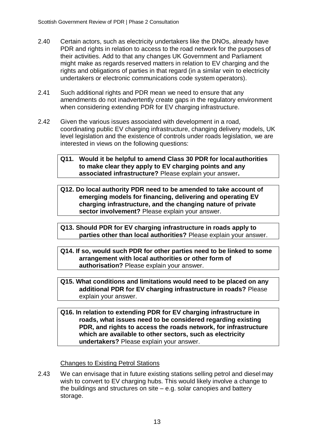- 2.40 Certain actors, such as electricity undertakers like the DNOs, already have PDR and rights in relation to access to the road network for the purposes of their activities. Add to that any changes UK Government and Parliament might make as regards reserved matters in relation to EV charging and the rights and obligations of parties in that regard (in a similar vein to electricity undertakers or electronic communications code system operators).
- 2.41 Such additional rights and PDR mean we need to ensure that any amendments do not inadvertently create gaps in the regulatory environment when considering extending PDR for EV charging infrastructure.
- 2.42 Given the various issues associated with development in a road, coordinating public EV charging infrastructure, changing delivery models, UK level legislation and the existence of controls under roads legislation, we are interested in views on the following questions:

#### **Q11. Would it be helpful to amend Class 30 PDR for local authorities to make clear they apply to EV charging points and any associated infrastructure?** Please explain your answer**.**

**Q12. Do local authority PDR need to be amended to take account of emerging models for financing, delivering and operating EV charging infrastructure, and the changing nature of private sector involvement?** Please explain your answer.

**Q13. Should PDR for EV charging infrastructure in roads apply to parties other than local authorities?** Please explain your answer.

- **Q14. If so, would such PDR for other parties need to be linked to some arrangement with local authorities or other form of authorisation?** Please explain your answer.
- **Q15. What conditions and limitations would need to be placed on any additional PDR for EV charging infrastructure in roads?** Please explain your answer.
- **Q16. In relation to extending PDR for EV charging infrastructure in roads, what issues need to be considered regarding existing PDR, and rights to access the roads network, for infrastructure which are available to other sectors, such as electricity undertakers?** Please explain your answer.

# Changes to Existing Petrol Stations

2.43 We can envisage that in future existing stations selling petrol and diesel may wish to convert to EV charging hubs. This would likely involve a change to the buildings and structures on site – e.g. solar canopies and battery storage.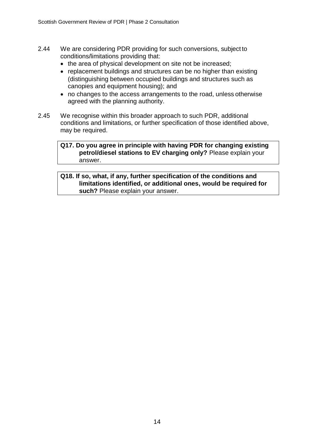- 2.44 We are considering PDR providing for such conversions, subject to conditions/limitations providing that:
	- the area of physical development on site not be increased;
	- replacement buildings and structures can be no higher than existing (distinguishing between occupied buildings and structures such as canopies and equipment housing); and
	- no changes to the access arrangements to the road, unless otherwise agreed with the planning authority.
- 2.45 We recognise within this broader approach to such PDR, additional conditions and limitations, or further specification of those identified above, may be required.

#### **Q17. Do you agree in principle with having PDR for changing existing petrol/diesel stations to EV charging only?** Please explain your answer.

#### **Q18. If so, what, if any, further specification of the conditions and limitations identified, or additional ones, would be required for such?** Please explain your answer.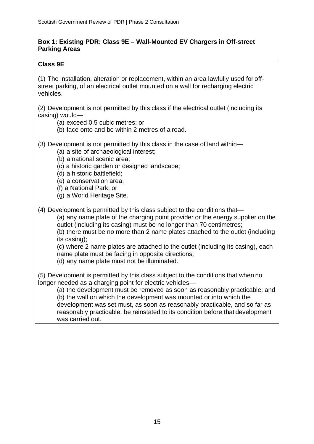### **Box 1: Existing PDR: Class 9E – Wall-Mounted EV Chargers in Off-street Parking Areas**

## **Class 9E**

(1) The installation, alteration or replacement, within an area lawfully used for offstreet parking, of an electrical outlet mounted on a wall for recharging electric vehicles.

(2) Development is not permitted by this class if the electrical outlet (including its casing) would—

(a) exceed 0.5 cubic metres; or

- (b) face onto and be within 2 metres of a road.
- (3) Development is not permitted by this class in the case of land within—
	- (a) a site of archaeological interest;
	- (b) a national scenic area;
	- (c) a historic garden or designed landscape;
	- (d) a historic battlefield;
	- (e) a conservation area;
	- (f) a National Park; or
	- (g) a World Heritage Site.
- (4) Development is permitted by this class subject to the conditions that—

(a) any name plate of the charging point provider or the energy supplier on the outlet (including its casing) must be no longer than 70 centimetres;

(b) there must be no more than 2 name plates attached to the outlet (including its casing);

(c) where 2 name plates are attached to the outlet (including its casing), each name plate must be facing in opposite directions;

(d) any name plate must not be illuminated.

(5) Development is permitted by this class subject to the conditions that when no longer needed as a charging point for electric vehicles—

(a) the development must be removed as soon as reasonably practicable; and (b) the wall on which the development was mounted or into which the development was set must, as soon as reasonably practicable, and so far as reasonably practicable, be reinstated to its condition before that development

was carried out.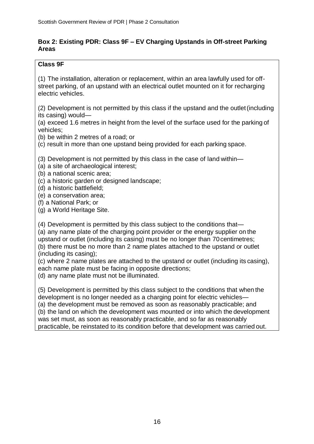## **Box 2: Existing PDR: Class 9F – EV Charging Upstands in Off-street Parking Areas**

# **Class 9F**

(1) The installation, alteration or replacement, within an area lawfully used for offstreet parking, of an upstand with an electrical outlet mounted on it for recharging electric vehicles.

(2) Development is not permitted by this class if the upstand and the outlet(including its casing) would—

(a) exceed 1.6 metres in height from the level of the surface used for the parking of vehicles;

(b) be within 2 metres of a road; or

(c) result in more than one upstand being provided for each parking space.

(3) Development is not permitted by this class in the case of land within—

- (a) a site of archaeological interest;
- (b) a national scenic area;
- (c) a historic garden or designed landscape;
- (d) a historic battlefield;
- (e) a conservation area;
- (f) a National Park; or

(g) a World Heritage Site.

(4) Development is permitted by this class subject to the conditions that— (a) any name plate of the charging point provider or the energy supplier on the upstand or outlet (including its casing) must be no longer than 70centimetres; (b) there must be no more than 2 name plates attached to the upstand or outlet (including its casing);

(c) where 2 name plates are attached to the upstand or outlet (including its casing), each name plate must be facing in opposite directions;

(d) any name plate must not be illuminated.

(5) Development is permitted by this class subject to the conditions that when the development is no longer needed as a charging point for electric vehicles— (a) the development must be removed as soon as reasonably practicable; and (b) the land on which the development was mounted or into which the development was set must, as soon as reasonably practicable, and so far as reasonably practicable, be reinstated to its condition before that development was carried out.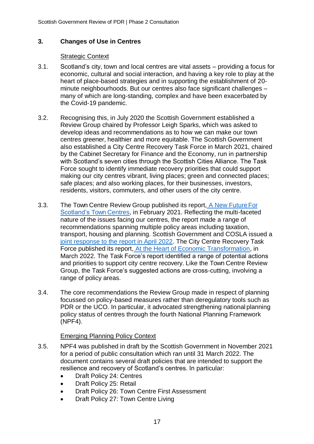# **3. Changes of Use in Centres**

#### Strategic Context

- 3.1. Scotland's city, town and local centres are vital assets providing a focus for economic, cultural and social interaction, and having a key role to play at the heart of place-based strategies and in supporting the establishment of 20 minute neighbourhoods. But our centres also face significant challenges – many of which are long-standing, complex and have been exacerbated by the Covid-19 pandemic.
- 3.2. Recognising this, in July 2020 the Scottish Government established a Review Group chaired by Professor Leigh Sparks, which was asked to develop ideas and recommendations as to how we can make our town centres greener, healthier and more equitable. The Scottish Government also established a City Centre Recovery Task Force in March 2021, chaired by the Cabinet Secretary for Finance and the Economy, run in partnership with Scotland's seven cities through the Scottish Cities Alliance. The Task Force sought to identify immediate recovery priorities that could support making our city centres vibrant, living places; green and connected places; safe places; and also working places, for their businesses, investors, residents, visitors, commuters, and other users of the city centre.
- 3.3. The Town Centre Review Group published its report, [A New FutureFor](https://www.gov.scot/publications/new-future-scotlands-town-centres/) [Scotland's Town Centres,](https://www.gov.scot/publications/new-future-scotlands-town-centres/) in February 2021. Reflecting the multi-faceted nature of the issues facing our centres, the report made a range of recommendations spanning multiple policy areas including taxation, transport, housing and planning. Scottish Government and COSLA issued a [joint response to the report in April 2022.](https://www.gov.scot/publications/town-centre-action-plan-review-joint-scottish-government-cosla-response/documents/) The City Centre Recovery Task Force published its report, [At the Heart of Economic Transformation,](https://www.gov.scot/publications/report-city-centre-recovery-task-force/) in March 2022. The Task Force's report identified a range of potential actions and priorities to support city centre recovery. Like the Town Centre Review Group, the Task Force's suggested actions are cross-cutting, involving a range of policy areas.
- 3.4. The core recommendations the Review Group made in respect of planning focussed on policy-based measures rather than deregulatory tools such as PDR or the UCO. In particular, it advocated strengthening national planning policy status of centres through the fourth National Planning Framework (NPF4).

#### Emerging Planning Policy Context

- 3.5. NPF4 was published in draft by the Scottish Government in November 2021 for a period of public consultation which ran until 31 March 2022. The document contains several draft policies that are intended to support the resilience and recovery of Scotland's centres. In particular:
	- Draft Policy 24: Centres
	- Draft Policy 25: Retail
	- Draft Policy 26: Town Centre First Assessment
	- Draft Policy 27: Town Centre Living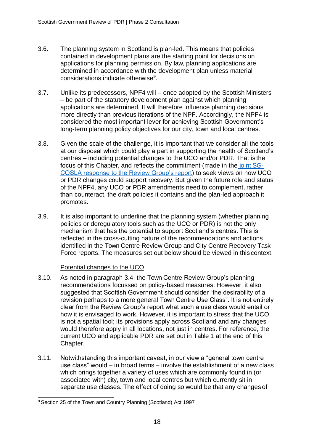- 3.6. The planning system in Scotland is plan-led. This means that policies contained in development plans are the starting point for decisions on applications for planning permission. By law, planning applications are determined in accordance with the development plan unless material considerations indicate otherwise $9$ .
- 3.7. Unlike its predecessors, NPF4 will once adopted by the Scottish Ministers – be part of the statutory development plan against which planning applications are determined. It will therefore influence planning decisions more directly than previous iterations of the NPF. Accordingly, the NPF4 is considered the most important lever for achieving Scottish Government's long-term planning policy objectives for our city, town and local centres.
- 3.8. Given the scale of the challenge, it is important that we consider all the tools at our disposal which could play a part in supporting the health of Scotland's centres – including potential changes to the UCO and/or PDR. That is the focus of this Chapter, and reflects the commitment (made in the [joint](https://www.gov.scot/publications/town-centre-action-plan-review-joint-scottish-government-cosla-response/documents/) SG-[COSLA response to the Review Group's report\)](https://www.gov.scot/publications/town-centre-action-plan-review-joint-scottish-government-cosla-response/documents/) to seek views on how UCO or PDR changes could support recovery. But given the future role and status of the NPF4, any UCO or PDR amendments need to complement, rather than counteract, the draft policies it contains and the plan-led approach it promotes.
- 3.9. It is also important to underline that the planning system (whether planning policies or deregulatory tools such as the UCO or PDR) is not the only mechanism that has the potential to support Scotland's centres. This is reflected in the cross-cutting nature of the recommendations and actions identified in the Town Centre Review Group and City Centre Recovery Task Force reports. The measures set out below should be viewed in this context.

#### Potential changes to the UCO

- 3.10. As noted in paragraph 3.4, the Town Centre Review Group's planning recommendations focussed on policy-based measures. However, it also suggested that Scottish Government should consider "the desirability of a revision perhaps to a more general Town Centre Use Class". It is not entirely clear from the Review Group's report what such a use class would entail or how it is envisaged to work. However, it is important to stress that the UCO is not a spatial tool; its provisions apply across Scotland and any changes would therefore apply in all locations, not just in centres. For reference, the current UCO and applicable PDR are set out in Table 1 at the end of this Chapter.
- 3.11. Notwithstanding this important caveat, in our view a "general town centre use class" would – in broad terms – involve the establishment of a new class which brings together a variety of uses which are commonly found in (or associated with) city, town and local centres but which currently sit in separate use classes. The effect of doing so would be that any changes of

<sup>9</sup> Section 25 of the Town and Country Planning (Scotland) Act 1997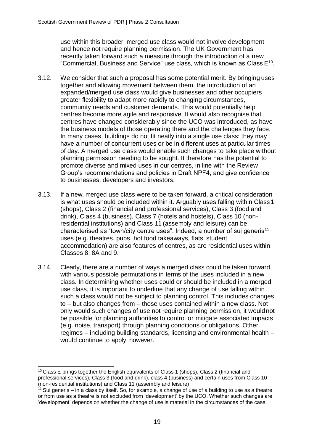use within this broader, merged use class would not involve development and hence not require planning permission. The UK Government has recently taken forward such a measure through the introduction of a new "Commercial, Business and Service" use class, which is known as Class  $E^{10}$ .

- 3.12. We consider that such a proposal has some potential merit. By bringing uses together and allowing movement between them, the introduction of an expanded/merged use class would give businesses and other occupiers greater flexibility to adapt more rapidly to changing circumstances, community needs and customer demands. This would potentially help centres become more agile and responsive. It would also recognise that centres have changed considerably since the UCO was introduced, as have the business models of those operating there and the challenges they face. In many cases, buildings do not fit neatly into a single use class: they may have a number of concurrent uses or be in different uses at particular times of day. A merged use class would enable such changes to take place without planning permission needing to be sought. It therefore has the potential to promote diverse and mixed uses in our centres, in line with the Review Group's recommendations and policies in Draft NPF4, and give confidence to businesses, developers and investors.
- 3.13. If a new, merged use class were to be taken forward, a critical consideration is what uses should be included within it. Arguably uses falling within Class1 (shops), Class 2 (financial and professional services), Class 3 (food and drink), Class 4 (business), Class 7 (hotels and hostels), Class 10 (nonresidential institutions) and Class 11 (assembly and leisure) can be characterised as "town/city centre uses". Indeed, a number of sui generis<sup>11</sup> uses (e.g. theatres, pubs, hot food takeaways, flats, student accommodation) are also features of centres, as are residential uses within Classes 8, 8A and 9.
- 3.14. Clearly, there are a number of ways a merged class could be taken forward, with various possible permutations in terms of the uses included in a new class. In determining whether uses could or should be included in a merged use class, it is important to underline that any change of use falling within such a class would not be subject to planning control. This includes changes to – but also changes from – those uses contained within a new class. Not only would such changes of use not require planning permission, it wouldnot be possible for planning authorities to control or mitigate associated impacts (e.g. noise, transport) through planning conditions or obligations. Other regimes – including building standards, licensing and environmental health – would continue to apply, however.

 $10$  Class E brings together the English equivalents of Class 1 (shops), Class 2 (financial and professional services), Class 3 (food and drink), class 4 (business) and certain uses from Class 10 (non-residential institutions) and Class 11 (assembly and leisure)

 $11$  Sui generis – in a class by itself. So, for example, a change of use of a building to use as a theatre or from use as a theatre is not excluded from 'development' by the UCO. Whether such changes are 'development' depends on whether the change of use is material in the circumstances of the case.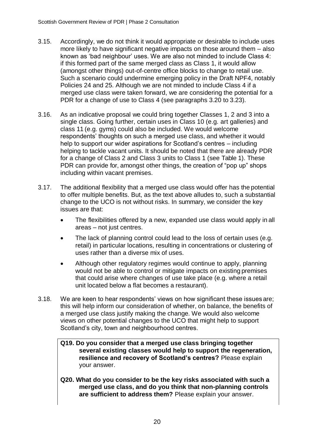- 3.15. Accordingly, we do not think it would appropriate or desirable to include uses more likely to have significant negative impacts on those around them – also known as 'bad neighbour' uses. We are also not minded to include Class 4: if this formed part of the same merged class as Class 1, it would allow (amongst other things) out-of-centre office blocks to change to retail use. Such a scenario could undermine emerging policy in the Draft NPF4, notably Policies 24 and 25. Although we are not minded to include Class 4 if a merged use class were taken forward, we are considering the potential for a PDR for a change of use to Class 4 (see paragraphs 3.20 to 3.23).
- 3.16. As an indicative proposal we could bring together Classes 1, 2 and 3 into a single class. Going further, certain uses in Class 10 (e.g. art galleries) and class 11 (e.g. gyms) could also be included. We would welcome respondents' thoughts on such a merged use class, and whether it would help to support our wider aspirations for Scotland's centres – including helping to tackle vacant units. It should be noted that there are already PDR for a change of Class 2 and Class 3 units to Class 1 (see Table 1). These PDR can provide for, amongst other things, the creation of "pop up" shops including within vacant premises.
- 3.17. The additional flexibility that a merged use class would offer has the potential to offer multiple benefits. But, as the text above alludes to, such a substantial change to the UCO is not without risks. In summary, we consider the key issues are that:
	- The flexibilities offered by a new, expanded use class would apply in all areas – not just centres.
	- The lack of planning control could lead to the loss of certain uses (e.g. retail) in particular locations, resulting in concentrations or clustering of uses rather than a diverse mix of uses.
	- Although other regulatory regimes would continue to apply, planning would not be able to control or mitigate impacts on existing premises that could arise where changes of use take place (e.g. where a retail unit located below a flat becomes a restaurant).
- 3.18. We are keen to hear respondents' views on how significant these issues are; this will help inform our consideration of whether, on balance, the benefits of a merged use class justify making the change. We would also welcome views on other potential changes to the UCO that might help to support Scotland's city, town and neighbourhood centres.
	- **Q19. Do you consider that a merged use class bringing together several existing classes would help to support the regeneration, resilience and recovery of Scotland's centres?** Please explain your answer.
	- **Q20. What do you consider to be the key risks associated with such a merged use class, and do you think that non-planning controls are sufficient to address them?** Please explain your answer.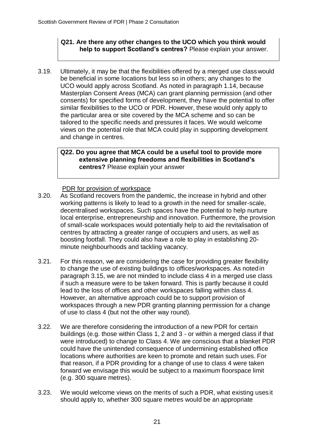#### **Q21. Are there any other changes to the UCO which you think would help to support Scotland's centres?** Please explain your answer.

3.19. Ultimately, it may be that the flexibilities offered by a merged use classwould be beneficial in some locations but less so in others; any changes to the UCO would apply across Scotland. As noted in paragraph 1.14, because Masterplan Consent Areas (MCA) can grant planning permission (and other consents) for specified forms of development, they have the potential to offer similar flexibilities to the UCO or PDR. However, these would only apply to the particular area or site covered by the MCA scheme and so can be tailored to the specific needs and pressures it faces. We would welcome views on the potential role that MCA could play in supporting development and change in centres.

#### **Q22. Do you agree that MCA could be a useful tool to provide more extensive planning freedoms and flexibilities in Scotland's centres?** Please explain your answer

#### PDR for provision of workspace

- 3.20. As Scotland recovers from the pandemic, the increase in hybrid and other working patterns is likely to lead to a growth in the need for smaller-scale, decentralised workspaces. Such spaces have the potential to help nurture local enterprise, entrepreneurship and innovation. Furthermore, the provision of small-scale workspaces would potentially help to aid the revitalisation of centres by attracting a greater range of occupiers and users, as well as boosting footfall. They could also have a role to play in establishing 20 minute neighbourhoods and tackling vacancy.
- 3.21. For this reason, we are considering the case for providing greater flexibility to change the use of existing buildings to offices/workspaces. As noted in paragraph 3.15, we are not minded to include class 4 in a merged use class if such a measure were to be taken forward. This is partly because it could lead to the loss of offices and other workspaces falling within class 4. However, an alternative approach could be to support provision of workspaces through a new PDR granting planning permission for a change of use to class 4 (but not the other way round).
- 3.22. We are therefore considering the introduction of a new PDR for certain buildings (e.g. those within Class 1, 2 and 3 - or within a merged class if that were introduced) to change to Class 4. We are conscious that a blanket PDR could have the unintended consequence of undermining established office locations where authorities are keen to promote and retain such uses. For that reason, if a PDR providing for a change of use to class 4 were taken forward we envisage this would be subject to a maximum floorspace limit (e.g. 300 square metres).
- 3.23. We would welcome views on the merits of such a PDR, what existing uses it should apply to, whether 300 square metres would be an appropriate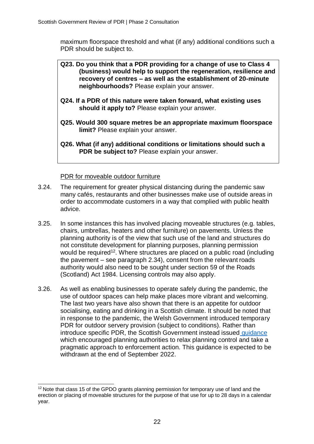maximum floorspace threshold and what (if any) additional conditions such a PDR should be subject to.

- **Q23. Do you think that a PDR providing for a change of use to Class 4 (business) would help to support the regeneration, resilience and recovery of centres – as well as the establishment of 20-minute neighbourhoods?** Please explain your answer.
- **Q24. If a PDR of this nature were taken forward, what existing uses should it apply to?** Please explain your answer.
- **Q25. Would 300 square metres be an appropriate maximum floorspace limit?** Please explain your answer.
- **Q26. What (if any) additional conditions or limitations should such a PDR be subject to? Please explain your answer.**

#### PDR for moveable outdoor furniture

- 3.24. The requirement for greater physical distancing during the pandemic saw many cafés, restaurants and other businesses make use of outside areas in order to accommodate customers in a way that complied with public health advice.
- 3.25. In some instances this has involved placing moveable structures (e.g. tables, chairs, umbrellas, heaters and other furniture) on pavements. Unless the planning authority is of the view that such use of the land and structures do not constitute development for planning purposes, planning permission would be required<sup>12</sup>. Where structures are placed on a public road (including the pavement – see paragraph 2.34), consent from the relevant roads authority would also need to be sought under section 59 of the Roads (Scotland) Act 1984. Licensing controls may also apply.
- 3.26. As well as enabling businesses to operate safely during the pandemic, the use of outdoor spaces can help make places more vibrant and welcoming. The last two years have also shown that there is an appetite for outdoor socialising, eating and drinking in a Scottish climate. It should be noted that in response to the pandemic, the Welsh Government introduced temporary PDR for outdoor servery provision (subject to conditions). Rather than introduce specific PDR, the Scottish Government instead issued [guidance](https://www.gov.scot/publications/chief-planner-letter-stakeholder-update-november-2021/) which encouraged planning authorities to relax planning control and take a pragmatic approach to enforcement action. This guidance is expected to be withdrawn at the end of September 2022.

<sup>&</sup>lt;sup>12</sup> Note that class 15 of the GPDO grants planning permission for temporary use of land and the erection or placing of moveable structures for the purpose of that use for up to 28 days in a calendar year.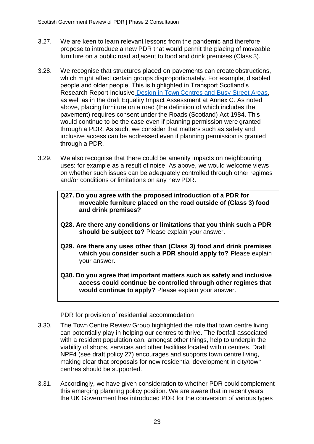- 3.27. We are keen to learn relevant lessons from the pandemic and therefore propose to introduce a new PDR that would permit the placing of moveable furniture on a public road adjacent to food and drink premises (Class 3).
- 3.28. We recognise that structures placed on pavements can create obstructions, which might affect certain groups disproportionately. For example, disabled people and older people. This is highlighted in Transport Scotland's Research Report Inclusive Design in Town [Centres and Busy Street Areas,](https://www.transport.gov.scot/publication/inclusive-design-in-town-centres-and-busy-street-areas/) as well as in the draft Equality Impact Assessment at Annex C. As noted above, placing furniture on a road (the definition of which includes the pavement) requires consent under the Roads (Scotland) Act 1984. This would continue to be the case even if planning permission were granted through a PDR. As such, we consider that matters such as safety and inclusive access can be addressed even if planning permission is granted through a PDR.
- 3.29. We also recognise that there could be amenity impacts on neighbouring uses: for example as a result of noise. As above, we would welcome views on whether such issues can be adequately controlled through other regimes and/or conditions or limitations on any new PDR.
	- **Q27. Do you agree with the proposed introduction of a PDR for moveable furniture placed on the road outside of (Class 3) food and drink premises?**
	- **Q28. Are there any conditions or limitations that you think such a PDR should be subject to?** Please explain your answer.
	- **Q29. Are there any uses other than (Class 3) food and drink premises which you consider such a PDR should apply to?** Please explain your answer.
	- **Q30. Do you agree that important matters such as safety and inclusive access could continue be controlled through other regimes that would continue to apply?** Please explain your answer.

# PDR for provision of residential accommodation

- 3.30. The Town Centre Review Group highlighted the role that town centre living can potentially play in helping our centres to thrive. The footfall associated with a resident population can, amongst other things, help to underpin the viability of shops, services and other facilities located within centres. Draft NPF4 (see draft policy 27) encourages and supports town centre living, making clear that proposals for new residential development in city/town centres should be supported.
- 3.31. Accordingly, we have given consideration to whether PDR could complement this emerging planning policy position. We are aware that in recent years, the UK Government has introduced PDR for the conversion of various types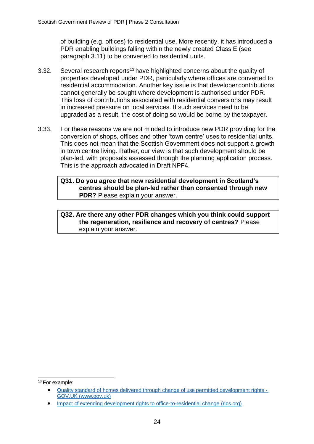of building (e.g. offices) to residential use. More recently, it has introduced a PDR enabling buildings falling within the newly created Class E (see paragraph 3.11) to be converted to residential units.

- 3.32. Several research reports<sup>13</sup> have highlighted concerns about the quality of properties developed under PDR, particularly where offices are converted to residential accommodation. Another key issue is that developer contributions cannot generally be sought where development is authorised under PDR. This loss of contributions associated with residential conversions may result in increased pressure on local services. If such services need to be upgraded as a result, the cost of doing so would be borne by the taxpayer.
- 3.33. For these reasons we are not minded to introduce new PDR providing for the conversion of shops, offices and other 'town centre' uses to residential units. This does not mean that the Scottish Government does not support a growth in town centre living. Rather, our view is that such development should be plan-led, with proposals assessed through the planning application process. This is the approach advocated in Draft NPF4.

#### **Q31. Do you agree that new residential development in Scotland's centres should be plan-led rather than consented through new PDR?** Please explain your answer.

#### **Q32. Are there any other PDR changes which you think could support the regeneration, resilience and recovery of centres?** Please explain your answer.

<sup>&</sup>lt;sup>13</sup> For example:

<sup>•</sup> [Quality standard of homes delivered through change of use permitted development rights -](https://www.gov.uk/government/publications/quality-standard-of-homes-delivered-through-change-of-use-permitted-development-rights) GOV.UK [\(www.gov.uk\)](https://www.gov.uk/government/publications/quality-standard-of-homes-delivered-through-change-of-use-permitted-development-rights)

<sup>•</sup> [Impact of extending development rights to office-to-residential change](https://www.rics.org/uk/news-insight/research/research-reports/assessing-the-impacts-of-extending-permitted-development-rights-to-office-to-residential-change-of-use-in-england/) (rics.org)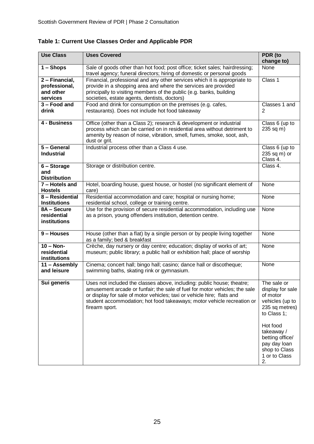| <b>Use Class</b>                                         | <b>Uses Covered</b>                                                                                                                                                                                                                                                                                                        | PDR (to<br>change to)                                                                                                                                                                                |
|----------------------------------------------------------|----------------------------------------------------------------------------------------------------------------------------------------------------------------------------------------------------------------------------------------------------------------------------------------------------------------------------|------------------------------------------------------------------------------------------------------------------------------------------------------------------------------------------------------|
| $1 -$ Shops                                              | Sale of goods other than hot food; post office; ticket sales; hairdressing;<br>travel agency; funeral directors; hiring of domestic or personal goods                                                                                                                                                                      | None                                                                                                                                                                                                 |
| 2 - Financial,<br>professional,<br>and other<br>services | Financial, professional and any other services which it is appropriate to<br>provide in a shopping area and where the services are provided<br>principally to visiting members of the public (e.g. banks, building<br>societies, estate agents, dentists, doctors)                                                         | Class 1                                                                                                                                                                                              |
| 3 - Food and<br>drink                                    | Food and drink for consumption on the premises (e.g. cafes,<br>restaurants). Does not include hot food takeaway                                                                                                                                                                                                            | Classes 1 and<br>2                                                                                                                                                                                   |
| 4 - Business                                             | Office (other than a Class 2); research & development or industrial<br>process which can be carried on in residential area without detriment to<br>amenity by reason of noise, vibration, smell, fumes, smoke, soot, ash,<br>dust or grit.                                                                                 | Class 6 (up to<br>235 sq m)                                                                                                                                                                          |
| 5 - General<br><b>Industrial</b>                         | Industrial process other than a Class 4 use.                                                                                                                                                                                                                                                                               | Class 6 (up to<br>235 sq m) or<br>Class 4.                                                                                                                                                           |
| 6 - Storage<br>and<br><b>Distribution</b>                | Storage or distribution centre.                                                                                                                                                                                                                                                                                            | Class 4.                                                                                                                                                                                             |
| 7 - Hotels and<br><b>Hostels</b>                         | Hotel, boarding house, guest house, or hostel (no significant element of<br>care)                                                                                                                                                                                                                                          | None                                                                                                                                                                                                 |
| 8 - Residential<br><b>Institutions</b>                   | Residential accommodation and care; hospital or nursing home;<br>residential school, college or training centre.                                                                                                                                                                                                           | None                                                                                                                                                                                                 |
| 8A - Secure<br>residential<br>institutions               | Use for the provision of secure residential accommodation, including use<br>as a prison, young offenders institution, detention centre.                                                                                                                                                                                    | None                                                                                                                                                                                                 |
| 9 - Houses                                               | House (other than a flat) by a single person or by people living together<br>as a family; bed & breakfast                                                                                                                                                                                                                  | None                                                                                                                                                                                                 |
| $10 - Non-$<br>residential<br>institutions               | Crèche, day nursery or day centre; education; display of works of art;<br>museum; public library; a public hall or exhibition hall; place of worship                                                                                                                                                                       | None                                                                                                                                                                                                 |
| 11 - Assembly<br>and leisure                             | Cinema; concert hall; bingo hall; casino; dance hall or discotheque;<br>swimming baths, skating rink or gymnasium.                                                                                                                                                                                                         | None                                                                                                                                                                                                 |
| Sui generis                                              | Uses not included the classes above, including: public house; theatre;<br>amusement arcade or funfair; the sale of fuel for motor vehicles; the sale<br>or display for sale of motor vehicles; taxi or vehicle hire; flats and<br>student accommodation; hot food takeaways; motor vehicle recreation or<br>firearm sport. | The sale or<br>display for sale<br>of motor<br>vehicles (up to<br>235 sq metres)<br>to Class 1;<br>Hot food<br>takeaway /<br>betting office/<br>pay day loan<br>shop to Class<br>1 or to Class<br>2. |

**Table 1: Current Use Classes Order and Applicable PDR**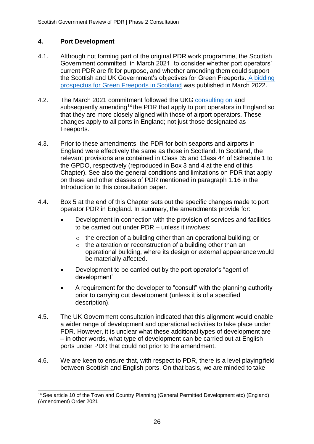# **4. Port Development**

- 4.1. Although not forming part of the original PDR work programme, the Scottish Government committed, in March 2021, to consider whether port operators' current PDR are fit for purpose, and whether amending them could support the Scottish and UK Government's objectives for Green Freeports. [A bidding](https://www.gov.uk/government/publications/green-freeports-in-scotland-bidding-prospectus) [prospectus for Green Freeports in Scotland](https://www.gov.uk/government/publications/green-freeports-in-scotland-bidding-prospectus) was published in March 2022.
- 4.2. The March 2021 commitment followed the UKG [consulting on](https://www.gov.uk/government/consultations/freeports-consultation) and subsequently amending<sup>14</sup> the PDR that apply to port operators in England so that they are more closely aligned with those of airport operators. These changes apply to all ports in England; not just those designated as Freeports.
- 4.3. Prior to these amendments, the PDR for both seaports and airports in England were effectively the same as those in Scotland. In Scotland, the relevant provisions are contained in Class 35 and Class 44 of Schedule 1 to the GPDO, respectively (reproduced in Box 3 and 4 at the end of this Chapter). See also the general conditions and limitations on PDR that apply on these and other classes of PDR mentioned in paragraph 1.16 in the Introduction to this consultation paper.
- 4.4. Box 5 at the end of this Chapter sets out the specific changes made to port operator PDR in England. In summary, the amendments provide for:
	- Development in connection with the provision of services and facilities to be carried out under PDR – unless it involves:
		- o the erection of a building other than an operational building; or
		- o the alteration or reconstruction of a building other than an operational building, where its design or external appearance would be materially affected.
	- Development to be carried out by the port operator's "agent of development"
	- A requirement for the developer to "consult" with the planning authority prior to carrying out development (unless it is of a specified description).
- 4.5. The UK Government consultation indicated that this alignment would enable a wider range of development and operational activities to take place under PDR. However, it is unclear what these additional types of development are – in other words, what type of development can be carried out at English ports under PDR that could not prior to the amendment.
- 4.6. We are keen to ensure that, with respect to PDR, there is a level playing field between Scottish and English ports. On that basis, we are minded to take

<sup>&</sup>lt;sup>14</sup> See article 10 of the Town and Country Planning (General Permitted Development etc) (England) (Amendment) Order 2021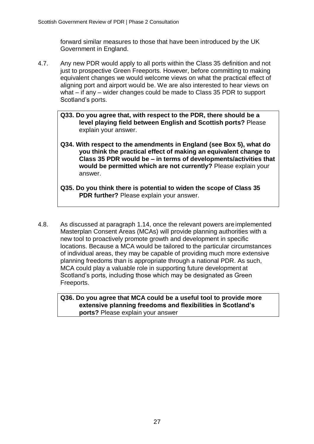forward similar measures to those that have been introduced by the UK Government in England.

- 4.7. Any new PDR would apply to all ports within the Class 35 definition and not just to prospective Green Freeports. However, before committing to making equivalent changes we would welcome views on what the practical effect of aligning port and airport would be. We are also interested to hear views on what – if any – wider changes could be made to Class 35 PDR to support Scotland's ports.
	- **Q33. Do you agree that, with respect to the PDR, there should be a level playing field between English and Scottish ports?** Please explain your answer.
	- **Q34. With respect to the amendments in England (see Box 5), what do you think the practical effect of making an equivalent change to Class 35 PDR would be – in terms of developments/activities that would be permitted which are not currently?** Please explain your answer.
	- **Q35. Do you think there is potential to widen the scope of Class 35 PDR further?** Please explain your answer.
- 4.8. As discussed at paragraph 1.14, once the relevant powers are implemented Masterplan Consent Areas (MCAs) will provide planning authorities with a new tool to proactively promote growth and development in specific locations. Because a MCA would be tailored to the particular circumstances of individual areas, they may be capable of providing much more extensive planning freedoms than is appropriate through a national PDR. As such, MCA could play a valuable role in supporting future development at Scotland's ports, including those which may be designated as Green Freeports.

**Q36. Do you agree that MCA could be a useful tool to provide more extensive planning freedoms and flexibilities in Scotland's ports?** Please explain your answer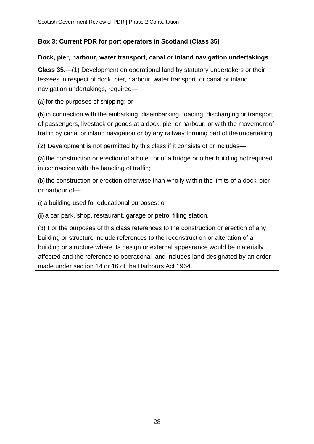# **Box 3: Current PDR for port operators in Scotland (Class 35)**

# **Dock, pier, harbour, water transport, canal or inland navigation undertakings**

**Class 35.**—(1) Development on operational land by statutory undertakers or their lessees in respect of dock, pier, harbour, water transport, or canal or inland navigation undertakings, required—

(a) for the purposes of shipping; or

(b) in connection with the embarking, disembarking, loading, discharging or transport of passengers, livestock or goods at a dock, pier or harbour, or with the movement of traffic by canal or inland navigation or by any railway forming part of the undertaking.

(2) Development is not permitted by this class if it consists of or includes—

(a) the construction or erection of a hotel, or of a bridge or other building notrequired in connection with the handling of traffic;

(b) the construction or erection otherwise than wholly within the limits of a dock, pier or harbour of—

(i) a building used for educational purposes; or

(ii) a car park, shop, restaurant, garage or petrol filling station.

(3) For the purposes of this class references to the construction or erection of any building or structure include references to the reconstruction or alteration of a building or structure where its design or external appearance would be materially affected and the reference to operational land includes land designated by an order made under section 14 or 16 of the Harbours Act 1964.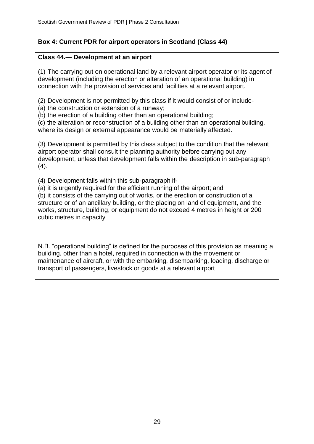# **Box 4: Current PDR for airport operators in Scotland (Class 44)**

# **Class 44.— Development at an airport**

(1) The carrying out on operational land by a relevant airport operator or its agent of development (including the erection or alteration of an operational building) in connection with the provision of services and facilities at a relevant airport.

(2) Development is not permitted by this class if it would consist of or include-

(a) the construction or extension of a runway;

(b) the erection of a building other than an operational building;

(c) the alteration or reconstruction of a building other than an operational building, where its design or external appearance would be materially affected.

(3) Development is permitted by this class subject to the condition that the relevant airport operator shall consult the planning authority before carrying out any development, unless that development falls within the description in sub-paragraph  $(4).$ 

(4) Development falls within this sub-paragraph if-

(a) it is urgently required for the efficient running of the airport; and (b) it consists of the carrying out of works, or the erection or construction of a structure or of an ancillary building, or the placing on land of equipment, and the works, structure, building, or equipment do not exceed 4 metres in height or 200 cubic metres in capacity

N.B. "operational building" is defined for the purposes of this provision as meaning a building, other than a hotel, required in connection with the movement or maintenance of aircraft, or with the embarking, disembarking, loading, discharge or transport of passengers, livestock or goods at a relevant airport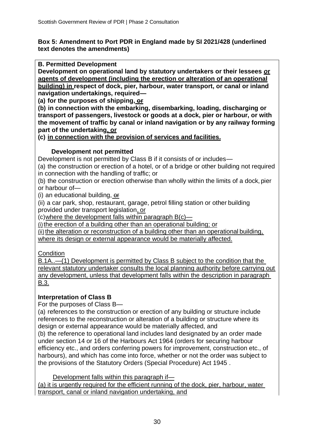## **Box 5: Amendment to Port PDR in England made by SI 2021/428 (underlined text denotes the amendments)**

**B. Permitted Development**

**Development on operational land by statutory undertakers or their lessees** *o***r agents of development (including the erection or alteration of an operational building) in respect of dock, pier, harbour, water transport, or canal or inland navigation undertakings, required—**

**(a) for the purposes of shipping, or**

**(b) in connection with the embarking, disembarking, loading, discharging or transport of passengers, livestock or goods at a dock, pier or harbour, or with the movement of traffic by canal or inland navigation or by any railway forming part of the undertaking, or**

**(c) in connection with the provision of services and facilities.**

# **Development not permitted**

Development is not permitted by Class B if it consists of or includes—

(a) the construction or erection of a hotel, or of a bridge or other building not required in connection with the handling of traffic; or

(b) the construction or erection otherwise than wholly within the limits of a dock, pier or harbour of—

(i) an educational building, or

(ii) a car park, shop, restaurant, garage, petrol filling station or other building provided under transport legislation, or

 $(c)$  where the development falls within paragraph  $B(c)$ —

(i)the erection of a building other than an operational building; or

(ii) the alteration or reconstruction of a building other than an operational building, where its design or external appearance would be materially affected.

**Condition** 

B.1A..—(1) Development is permitted by Class B subject to the condition that the relevant statutory undertaker consults the local planning authority before carrying out any development, unless that development falls within the description in paragraph B.3.

# **Interpretation of Class B**

For the purposes of Class B—

(a) references to the construction or erection of any building or structure include references to the reconstruction or alteration of a building or structure where its design or external appearance would be materially affected, and

(b) the reference to operational land includes land designated by an order made under section 14 or 16 of the Harbours Act 1964 (orders for securing harbour efficiency etc., and orders conferring powers for improvement, construction etc., of harbours), and which has come into force, whether or not the order was subject to the provisions of the Statutory Orders (Special Procedure) Act 1945 .

Development falls within this paragraph if—

(a) it is urgently required for the efficient running of the dock, pier, harbour, water transport, canal or inland navigation undertaking, and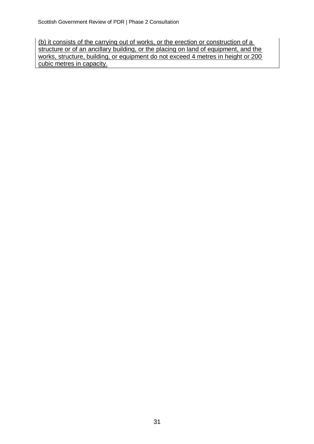(b) it consists of the carrying out of works, or the erection or construction of a structure or of an ancillary building, or the placing on land of equipment, and the works, structure, building, or equipment do not exceed 4 metres in height or 200 cubic metres in capacity.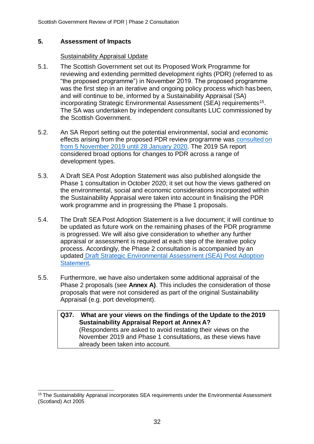## **5. Assessment of Impacts**

#### Sustainability Appraisal Update

- 5.1. The Scottish Government set out its Proposed Work Programme for reviewing and extending permitted development rights (PDR) (referred to as "the proposed programme") in November 2019. The proposed programme was the first step in an iterative and ongoing policy process which has been, and will continue to be, informed by a Sustainability Appraisal (SA) incorporating Strategic Environmental Assessment (SEA) requirements<sup>15</sup>. The SA was undertaken by independent consultants LUC commissioned by the Scottish Government.
- 5.2. An SA Report setting out the potential environmental, social and economic effects arising from the proposed PDR review programme was [consulted](https://www.gov.scot/publications/scottish-governments-proposed-work-programme-reviewing-extending-permitted-development-rights-pdr-scotland/documents/) on [from 5 November 2019](https://www.gov.scot/publications/scottish-governments-proposed-work-programme-reviewing-extending-permitted-development-rights-pdr-scotland/documents/) until 28 January 2020. The 2019 SA report considered broad options for changes to PDR across a range of development types.
- 5.3. A Draft SEA Post Adoption Statement was also published alongside the Phase 1 consultation in October 2020; it set out how the views gathered on the environmental, social and economic considerations incorporated within the Sustainability Appraisal were taken into account in finalising the PDR work programme and in progressing the Phase 1 proposals.
- 5.4. The Draft SEA Post Adoption Statement is a live document; it will continue to be updated as future work on the remaining phases of the PDR programme is progressed. We will also give consideration to whether any further appraisal or assessment is required at each step of the iterative policy process. Accordingly, the Phase 2 consultation is accompanied by an updated [Draft Strategic Environmental Assessment \(SEA\) Post Adoption](https://www.gov.scot/publications/proposed-programme-reviewing-extending-permitted-development-rights-pdr-scotland-strategic-environmental-assessment-draft-post-adoption-statement/) [Statement.](https://www.gov.scot/publications/proposed-programme-reviewing-extending-permitted-development-rights-pdr-scotland-strategic-environmental-assessment-draft-post-adoption-statement/)
- 5.5. Furthermore, we have also undertaken some additional appraisal of the Phase 2 proposals (see **Annex A)**. This includes the consideration of those proposals that were not considered as part of the original Sustainability Appraisal (e.g. port development).
	- **Q37. What are your views on the findings of the Update to the 2019 Sustainability Appraisal Report at Annex A?** (Respondents are asked to avoid restating their views on the November 2019 and Phase 1 consultations, as these views have already been taken into account.

<sup>&</sup>lt;sup>15</sup> The Sustainability Appraisal incorporates SEA requirements under the Environmental Assessment (Scotland) Act 2005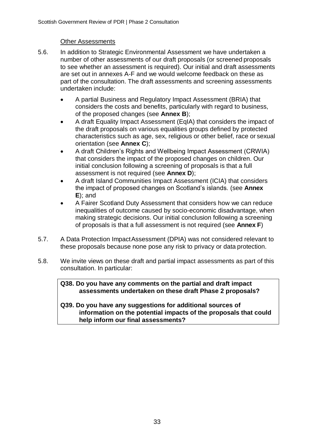# Other Assessments

- 5.6. In addition to Strategic Environmental Assessment we have undertaken a number of other assessments of our draft proposals (or screened proposals to see whether an assessment is required). Our initial and draft assessments are set out in annexes A-F and we would welcome feedback on these as part of the consultation. The draft assessments and screening assessments undertaken include:
	- A partial Business and Regulatory Impact Assessment (BRIA) that considers the costs and benefits, particularly with regard to business, of the proposed changes (see **Annex B**);
	- A draft Equality Impact Assessment (EqIA) that considers the impact of the draft proposals on various equalities groups defined by protected characteristics such as age, sex, religious or other belief, race or sexual orientation (see **Annex C**);
	- A draft Children's Rights and Wellbeing Impact Assessment (CRWIA) that considers the impact of the proposed changes on children. Our initial conclusion following a screening of proposals is that a full assessment is not required (see **Annex D**);
	- A draft Island Communities Impact Assessment (ICIA) that considers the impact of proposed changes on Scotland's islands. (see **Annex E**); and
	- A Fairer Scotland Duty Assessment that considers how we can reduce inequalities of outcome caused by socio-economic disadvantage, when making strategic decisions. Our initial conclusion following a screening of proposals is that a full assessment is not required (see **Annex F**)
- 5.7. A Data Protection ImpactAssessment (DPIA) was not considered relevant to these proposals because none pose any risk to privacy or data protection.
- 5.8. We invite views on these draft and partial impact assessments as part of this consultation. In particular:

**Q38. Do you have any comments on the partial and draft impact assessments undertaken on these draft Phase 2 proposals?**

#### **Q39. Do you have any suggestions for additional sources of information on the potential impacts of the proposals that could help inform our final assessments?**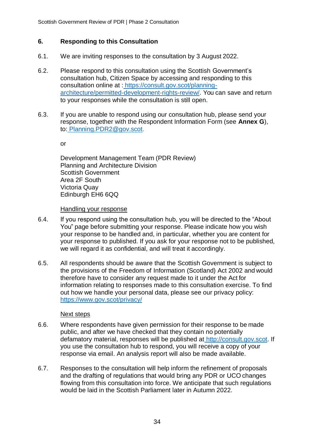# **6. Responding to this Consultation**

- 6.1. We are inviting responses to the consultation by 3 August 2022.
- 6.2. Please respond to this consultation using the Scottish Government's consultation hub, Citizen Space by accessing and responding to this consultation online at : [https://consult.gov.scot/planning](https://consult.gov.scot/planning-architecture/permitted-development-rights-review/)[architecture/permitted-development-rights-review/. Y](https://consult.gov.scot/planning-architecture/permitted-development-rights-review/)ou can save and return to your responses while the consultation is still open.
- 6.3. If you are unable to respond using our consultation hub, please send your response, together with the Respondent Information Form (see **Annex G**), to: [Planning.PDR2@gov.scot.](mailto:Planning.PDR2@gov.scot)

or

Development Management Team (PDR Review) Planning and Architecture Division Scottish Government Area 2F South Victoria Quay Edinburgh EH6 6QQ

Handling your response

- 6.4. If you respond using the consultation hub, you will be directed to the "About You" page before submitting your response. Please indicate how you wish your response to be handled and, in particular, whether you are content for your response to published. If you ask for your response not to be published, we will regard it as confidential, and will treat it accordingly.
- 6.5. All respondents should be aware that the Scottish Government is subject to the provisions of the Freedom of Information (Scotland) Act 2002 and would therefore have to consider any request made to it under the Act for information relating to responses made to this consultation exercise. To find out how we handle your personal data, please see our privacy policy: <https://www.gov.scot/privacy/>

#### Next steps

- 6.6. Where respondents have given permission for their response to be made public, and after we have checked that they contain no potentially defamatory material, responses will be published at [http://consult.gov.scot.](http://consult.gov.scot/) If you use the consultation hub to respond, you will receive a copy of your response via email. An analysis report will also be made available.
- 6.7. Responses to the consultation will help inform the refinement of proposals and the drafting of regulations that would bring any PDR or UCO changes flowing from this consultation into force. We anticipate that such regulations would be laid in the Scottish Parliament later in Autumn 2022.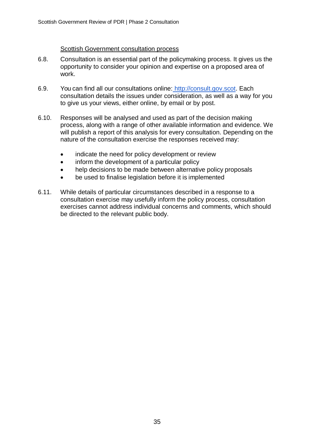#### **Scottish Government consultation process**

- 6.8. Consultation is an essential part of the policymaking process. It gives us the opportunity to consider your opinion and expertise on a proposed area of work.
- 6.9. You can find all our consultations online: [http://consult.gov.scot.](http://consult.gov.scot/) Each consultation details the issues under consideration, as well as a way for you to give us your views, either online, by email or by post.
- 6.10. Responses will be analysed and used as part of the decision making process, along with a range of other available information and evidence. We will publish a report of this analysis for every consultation. Depending on the nature of the consultation exercise the responses received may:
	- indicate the need for policy development or review
	- inform the development of a particular policy
	- help decisions to be made between alternative policy proposals
	- be used to finalise legislation before it is implemented
- 6.11. While details of particular circumstances described in a response to a consultation exercise may usefully inform the policy process, consultation exercises cannot address individual concerns and comments, which should be directed to the relevant public body.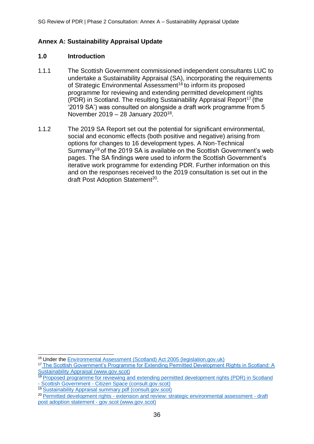# **Annex A: Sustainability Appraisal Update**

#### **1.0 Introduction**

- 1.1.1 The Scottish Government commissioned independent consultants LUC to undertake a Sustainability Appraisal (SA), incorporating the requirements of Strategic Environmental Assessment<sup>16</sup> to inform its proposed programme for reviewing and extending permitted development rights (PDR) in Scotland. The resulting Sustainability Appraisal Report<sup>17</sup> (the '2019 SA') was consulted on alongside a draft work programme from 5 November 2019 - 28 January 2020<sup>18</sup>.
- 1.1.2 The 2019 SA Report set out the potential for significant environmental, social and economic effects (both positive and negative) arising from options for changes to 16 development types. A Non-Technical Summary<sup>19</sup> of the 2019 SA is available on the Scottish Government's web pages. The SA findings were used to inform the Scottish Government's iterative work programme for extending PDR. Further information on this and on the responses received to the 2019 consultation is set out in the draft Post Adoption Statement<sup>20</sup>.

<sup>&</sup>lt;sup>16</sup> Under th[e Environmental Assessment \(Scotland\) Act 2005 \(legislation.gov.uk\)](https://www.legislation.gov.uk/asp/2005/15/contents)

<sup>&</sup>lt;sup>17</sup> [The Scottish Government's Programme for Extending Permitted Development Rights in Scotland: A](https://www.gov.scot/binaries/content/documents/govscot/publications/consultation-paper/2019/11/scottish-governments-proposed-work-programme-reviewing-extending-permitted-development-rights-pdr-scotland/documents/scottish-governments-programme-extending-permitted-development-rights-scotland-sustainability-appraisal/scottish-governments-programme-extending-permitted-development-rights-scotland-sustainability-appraisal/govscot%3Adocument/scottish-governments-programme-extending-permitted-development-rights-scotland-sustainability-appraisal.pdf) [Sustainability Appraisal \(www.gov.scot\)](https://www.gov.scot/binaries/content/documents/govscot/publications/consultation-paper/2019/11/scottish-governments-proposed-work-programme-reviewing-extending-permitted-development-rights-pdr-scotland/documents/scottish-governments-programme-extending-permitted-development-rights-scotland-sustainability-appraisal/scottish-governments-programme-extending-permitted-development-rights-scotland-sustainability-appraisal/govscot%3Adocument/scottish-governments-programme-extending-permitted-development-rights-scotland-sustainability-appraisal.pdf)

<sup>&</sup>lt;sup>18</sup> [Proposed programme for reviewing and extending permitted development rights \(PDR\) in Scotland](https://consult.gov.scot/local-government-and-communities/reviewing-and-extending-pdr/) - Scottish Government - [Citizen Space \(consult.gov.scot\)](https://consult.gov.scot/local-government-and-communities/reviewing-and-extending-pdr/)

<sup>19</sup>[Sustainability Appraisal summary.pdf \(consult.gov.scot\)](https://consult.gov.scot/local-government-and-communities/reviewing-and-extending-pdr/supporting_documents/Sustainability%20Appraisal%20summary.pdf)

<sup>&</sup>lt;sup>20</sup> Permitted development rights - [extension and review: strategic environmental assessment -](https://www.gov.scot/publications/proposed-programme-reviewing-extending-permitted-development-rights-pdr-scotland-strategic-environmental-assessment-draft-post-adoption-statement/) draft [post adoption statement -](https://www.gov.scot/publications/proposed-programme-reviewing-extending-permitted-development-rights-pdr-scotland-strategic-environmental-assessment-draft-post-adoption-statement/) gov.scot (www.gov.scot)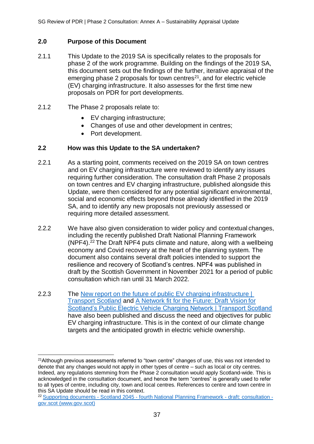# **2.0 Purpose of this Document**

- 2.1.1 This Update to the 2019 SA is specifically relates to the proposals for phase 2 of the work programme. Building on the findings of the 2019 SA, this document sets out the findings of the further, iterative appraisal of the emerging phase 2 proposals for town centres $21$ , and for electric vehicle (EV) charging infrastructure. It also assesses for the first time new proposals on PDR for port developments.
- 2.1.2 The Phase 2 proposals relate to:
	- EV charging infrastructure;
	- Changes of use and other development in centres:
	- Port development.

### **2.2 How was this Update to the SA undertaken?**

- 2.2.1 As a starting point, comments received on the 2019 SA on town centres and on EV charging infrastructure were reviewed to identify any issues requiring further consideration. The consultation draft Phase 2 proposals on town centres and EV charging infrastructure, published alongside this Update, were then considered for any potential significant environmental, social and economic effects beyond those already identified in the 2019 SA, and to identify any new proposals not previously assessed or requiring more detailed assessment.
- 2.2.2 We have also given consideration to wider policy and contextual changes, including the recently published Draft National Planning Framework (NPF4).<sup>22</sup>The Draft NPF4 puts climate and nature, along with a wellbeing economy and Covid recovery at the heart of the planning system. The document also contains several draft policies intended to support the resilience and recovery of Scotland's centres. NPF4 was published in draft by the Scottish Government in November 2021 for a period of public consultation which ran until 31 March 2022.
- 2.2.3 The [New report on the future of public EV charging infrastructure |](https://www.transport.gov.scot/news/new-report-on-the-future-of-public-ev-charging-infrastructure/) [Transport Scotland](https://www.transport.gov.scot/news/new-report-on-the-future-of-public-ev-charging-infrastructure/) and [A Network fit for the Future: Draft Vision](https://www.transport.gov.scot/publication/a-network-fit-for-the-future-draft-vision-for-scotland-s-public-electric-vehicle-charging-network/) for [Scotland's Public Electric Vehicle Charging Network | Transport Scotland](https://www.transport.gov.scot/publication/a-network-fit-for-the-future-draft-vision-for-scotland-s-public-electric-vehicle-charging-network/) have also been published and discuss the need and objectives for public EV charging infrastructure. This is in the context of our climate change targets and the anticipated growth in electric vehicle ownership.

<sup>&</sup>lt;sup>21</sup> Although previous assessments referred to "town centre" changes of use, this was not intended to denote that any changes would not apply in other types of centre – such as local or city centres. Indeed, any regulations stemming from the Phase 2 consultation would apply Scotland-wide. This is acknowledged in the consultation document, and hence the term "centres" is generally used to refer to all types of centre, including city, town and local centres. References to centre and town centre in this SA Update should be read in this context.

<sup>&</sup>lt;sup>22</sup> Supporting documents - Scotland 2045 - [fourth National Planning Framework -](https://www.gov.scot/publications/scotland-2045-fourth-national-planning-framework-draft/documents/) draft: consultation [gov.scot \(www.gov.scot\)](https://www.gov.scot/publications/scotland-2045-fourth-national-planning-framework-draft/documents/)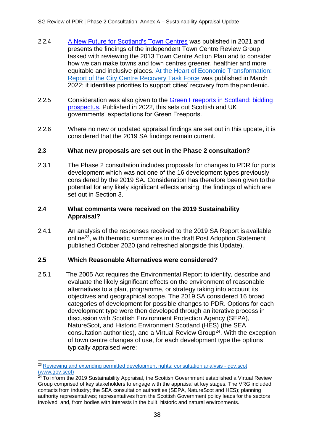- 2.2.4 [A New Future for Scotland's Town Centres](https://www.gov.scot/publications/new-future-scotlands-town-centres/) was published in 2021 and presents the findings of the independent Town Centre Review Group tasked with reviewing the 2013 Town Centre Action Plan and to consider how we can make towns and town centres greener, healthier and more equitable and inclusive places. [At the Heart of Economic Transformation:](https://www.gov.scot/publications/report-city-centre-recovery-task-force/) [Report of the City Centre Recovery Task Force](https://www.gov.scot/publications/report-city-centre-recovery-task-force/) was published in March 2022; it identifies priorities to support cities' recovery from the pandemic.
- 2.2.5 Consideration was also given to the [Green Freeports in Scotland: bidding](https://www.gov.uk/government/publications/green-freeports-in-scotland-bidding-prospectus) [prospectus.](https://www.gov.uk/government/publications/green-freeports-in-scotland-bidding-prospectus) Published in 2022, this sets out Scottish and UK governments' expectations for Green Freeports.
- 2.2.6 Where no new or updated appraisal findings are set out in this update, it is considered that the 2019 SA findings remain current.

### **2.3 What new proposals are set out in the Phase 2 consultation?**

2.3.1 The Phase 2 consultation includes proposals for changes to PDR for ports development which was not one of the 16 development types previously considered by the 2019 SA. Consideration has therefore been given to the potential for any likely significant effects arising, the findings of which are set out in Section 3.

# **2.4 What comments were received on the 2019 Sustainability Appraisal?**

2.4.1 An analysis of the responses received to the 2019 SA Report is available online<sup>23</sup>, with thematic summaries in the draft Post Adoption Statement published October 2020 (and refreshed alongside this Update).

### **2.5 Which Reasonable Alternatives were considered?**

2.5.1 The 2005 Act requires the Environmental Report to identify, describe and evaluate the likely significant effects on the environment of reasonable alternatives to a plan, programme, or strategy taking into account its objectives and geographical scope. The 2019 SA considered 16 broad categories of development for possible changes to PDR. Options for each development type were then developed through an iterative process in discussion with Scottish Environment Protection Agency (SEPA), NatureScot, and Historic Environment Scotland (HES) (the SEA  $\alpha$ consultation authorities), and a Virtual Review Group<sup>24</sup>. With the exception of town centre changes of use, for each development type the options typically appraised were:

<sup>&</sup>lt;sup>23</sup> [Reviewing and extending permitted development rights: consultation analysis -](https://www.gov.scot/publications/analysis-responses-consultation-reviewing-extending-permitted-development-rights-pdr/?msclkid=44eecbefa5ea11ecb0fba1d04a64f8f6) gov.scot [\(www.gov.scot\)](https://www.gov.scot/publications/analysis-responses-consultation-reviewing-extending-permitted-development-rights-pdr/?msclkid=44eecbefa5ea11ecb0fba1d04a64f8f6)

 $24$  To inform the 2019 Sustainability Appraisal, the Scottish Government established a Virtual Review Group comprised of key stakeholders to engage with the appraisal at key stages. The VRG included contacts from industry; the SEA consultation authorities (SEPA, NatureScot and HES); planning authority representatives; representatives from the Scottish Government policy leads for the sectors involved; and, from bodies with interests in the built, historic and natural environments.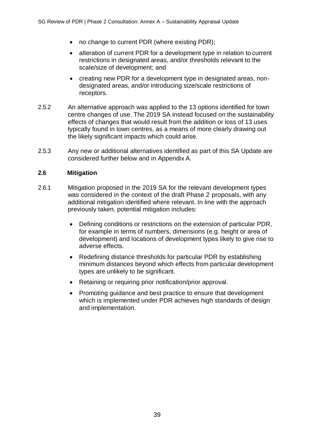- no change to current PDR (where existing PDR);
- alteration of current PDR for a development type in relation to current restrictions in designated areas, and/or thresholds relevant to the scale/size of development; and
- creating new PDR for a development type in designated areas, nondesignated areas, and/or introducing size/scale restrictions of receptors.
- 2.5.2 An alternative approach was applied to the 13 options identified for town centre changes of use. The 2019 SA instead focused on the sustainability effects of changes that would result from the addition or loss of 13 uses typically found in town centres, as a means of more clearly drawing out the likely significant impacts which could arise.
- 2.5.3 Any new or additional alternatives identified as part of this SA Update are considered further below and in Appendix A.

### **2.6 Mitigation**

- 2.6.1 Mitigation proposed in the 2019 SA for the relevant development types was considered in the context of the draft Phase 2 proposals, with any additional mitigation identified where relevant. In line with the approach previously taken, potential mitigation includes:
	- Defining conditions or restrictions on the extension of particular PDR, for example in terms of numbers, dimensions (e.g. height or area of development) and locations of development types likely to give rise to adverse effects.
	- Redefining distance thresholds for particular PDR by establishing minimum distances beyond which effects from particular development types are unlikely to be significant.
	- Retaining or requiring prior notification/prior approval.
	- Promoting guidance and best practice to ensure that development which is implemented under PDR achieves high standards of design and implementation.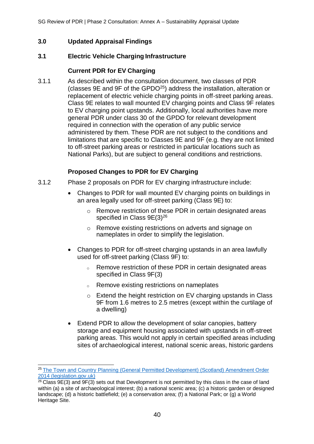# **3.0 Updated Appraisal Findings**

### **3.1 Electric Vehicle Charging Infrastructure**

# **Current PDR for EV Charging**

3.1.1 As described within the consultation document, two classes of PDR (classes 9E and 9F of the GPDO<sup>25</sup>) address the installation, alteration or replacement of electric vehicle charging points in off-street parking areas. Class 9E relates to wall mounted EV charging points and Class 9F relates to EV charging point upstands. Additionally, local authorities have more general PDR under class 30 of the GPDO for relevant development required in connection with the operation of any public service administered by them. These PDR are not subject to the conditions and limitations that are specific to Classes 9E and 9F (e.g. they are not limited to off-street parking areas or restricted in particular locations such as National Parks), but are subject to general conditions and restrictions.

# **Proposed Changes to PDR for EV Charging**

- 3.1.2 Phase 2 proposals on PDR for EV charging infrastructure include:
	- Changes to PDR for wall mounted EV charging points on buildings in an area legally used for off-street parking (Class 9E) to:
		- o Remove restriction of these PDR in certain designated areas specified in Class  $9E(3)^{26}$
		- o Remove existing restrictions on adverts and signage on nameplates in order to simplify the legislation.
	- Changes to PDR for off-street charging upstands in an area lawfully used for off-street parking (Class 9F) to:
		- o Remove restriction of these PDR in certain designated areas specified in Class 9F(3)
		- <sup>o</sup> Remove existing restrictions on nameplates
		- o Extend the height restriction on EV charging upstands in Class 9F from 1.6 metres to 2.5 metres (except within the curtilage of a dwelling)
	- Extend PDR to allow the development of solar canopies, battery storage and equipment housing associated with upstands in off-street parking areas. This would not apply in certain specified areas including sites of archaeological interest, national scenic areas, historic gardens

<sup>&</sup>lt;sup>25</sup> [The Town and Country Planning \(General Permitted Development\) \(Scotland\) Amendment Order](https://www.legislation.gov.uk/ssi/2014/142/contents/made) [2014 \(legislation.gov.uk\)](https://www.legislation.gov.uk/ssi/2014/142/contents/made)

 $^{26}$  Class 9E(3) and 9F(3) sets out that Development is not permitted by this class in the case of land within (a) a site of archaeological interest; (b) a national scenic area; (c) a historic garden or designed landscape; (d) a historic battlefield; (e) a conservation area; (f) a National Park; or (g) a World Heritage Site.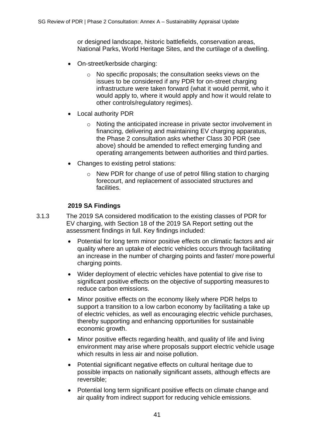or designed landscape, historic battlefields, conservation areas, National Parks, World Heritage Sites, and the curtilage of a dwelling.

- On-street/kerbside charging:
	- o No specific proposals; the consultation seeks views on the issues to be considered if any PDR for on-street charging infrastructure were taken forward (what it would permit, who it would apply to, where it would apply and how it would relate to other controls/regulatory regimes).
- Local authority PDR
	- o Noting the anticipated increase in private sector involvement in financing, delivering and maintaining EV charging apparatus, the Phase 2 consultation asks whether Class 30 PDR (see above) should be amended to reflect emerging funding and operating arrangements between authorities and third parties.
- Changes to existing petrol stations:
	- o New PDR for change of use of petrol filling station to charging forecourt, and replacement of associated structures and facilities.

# **2019 SA Findings**

- 3.1.3 The 2019 SA considered modification to the existing classes of PDR for EV charging, with Section 18 of the 2019 SA Report setting out the assessment findings in full. Key findings included:
	- Potential for long term minor positive effects on climatic factors and air quality where an uptake of electric vehicles occurs through facilitating an increase in the number of charging points and faster/ more powerful charging points.
	- Wider deployment of electric vehicles have potential to give rise to significant positive effects on the objective of supporting measures to reduce carbon emissions.
	- Minor positive effects on the economy likely where PDR helps to support a transition to a low carbon economy by facilitating a take up of electric vehicles, as well as encouraging electric vehicle purchases, thereby supporting and enhancing opportunities for sustainable economic growth.
	- Minor positive effects regarding health, and quality of life and living environment may arise where proposals support electric vehicle usage which results in less air and noise pollution.
	- Potential significant negative effects on cultural heritage due to possible impacts on nationally significant assets, although effects are reversible;
	- Potential long term significant positive effects on climate change and air quality from indirect support for reducing vehicle emissions.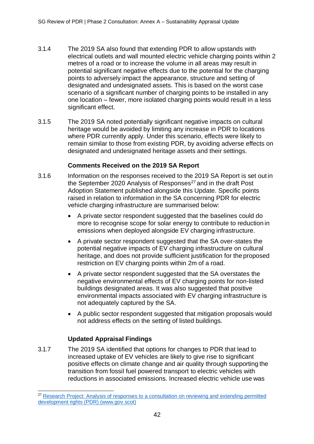- 3.1.4 The 2019 SA also found that extending PDR to allow upstands with electrical outlets and wall mounted electric vehicle charging points within 2 metres of a road or to increase the volume in all areas may result in potential significant negative effects due to the potential for the charging points to adversely impact the appearance, structure and setting of designated and undesignated assets. This is based on the worst case scenario of a significant number of charging points to be installed in any one location – fewer, more isolated charging points would result in a less significant effect.
- 3.1.5 The 2019 SA noted potentially significant negative impacts on cultural heritage would be avoided by limiting any increase in PDR to locations where PDR currently apply. Under this scenario, effects were likely to remain similar to those from existing PDR, by avoiding adverse effects on designated and undesignated heritage assets and their settings.

# **Comments Received on the 2019 SA Report**

- 3.1.6 Information on the responses received to the 2019 SA Report is set out in the September 2020 Analysis of Responses<sup>27</sup> and in the draft Post Adoption Statement published alongside this Update. Specific points raised in relation to information in the SA concerning PDR for electric vehicle charging infrastructure are summarised below:
	- A private sector respondent suggested that the baselines could do more to recognise scope for solar energy to contribute to reduction in emissions when deployed alongside EV charging infrastructure.
	- A private sector respondent suggested that the SA over-states the potential negative impacts of EV charging infrastructure on cultural heritage, and does not provide sufficient justification for the proposed restriction on EV charging points within 2m of a road.
	- A private sector respondent suggested that the SA overstates the negative environmental effects of EV charging points for non-listed buildings designated areas. It was also suggested that positive environmental impacts associated with EV charging infrastructure is not adequately captured by the SA.
	- A public sector respondent suggested that mitigation proposals would not address effects on the setting of listed buildings.

# **Updated Appraisal Findings**

3.1.7 The 2019 SA identified that options for changes to PDR that lead to increased uptake of EV vehicles are likely to give rise to significant positive effects on climate change and air quality through supporting the transition from fossil fuel powered transport to electric vehicles with reductions in associated emissions. Increased electric vehicle use was

<sup>&</sup>lt;sup>27</sup> [Research Project: Analysis of responses to a consultation on reviewing and extending permitted](https://www.gov.scot/binaries/content/documents/govscot/publications/consultation-analysis/2020/09/analysis-responses-consultation-reviewing-extending-permitted-development-rights-pdr/documents/research-project-analysis-responses-consultation-reviewing-extending-permitted-development-rights-pdr/research-project-analysis-responses-consultation-reviewing-extending-permitted-development-rights-pdr/govscot%3Adocument/research-project-analysis-responses-consultation-reviewing-extending-permitted-development-rights-pdr.pdf) [development rights \(PDR\) \(www.gov.scot\)](https://www.gov.scot/binaries/content/documents/govscot/publications/consultation-analysis/2020/09/analysis-responses-consultation-reviewing-extending-permitted-development-rights-pdr/documents/research-project-analysis-responses-consultation-reviewing-extending-permitted-development-rights-pdr/research-project-analysis-responses-consultation-reviewing-extending-permitted-development-rights-pdr/govscot%3Adocument/research-project-analysis-responses-consultation-reviewing-extending-permitted-development-rights-pdr.pdf)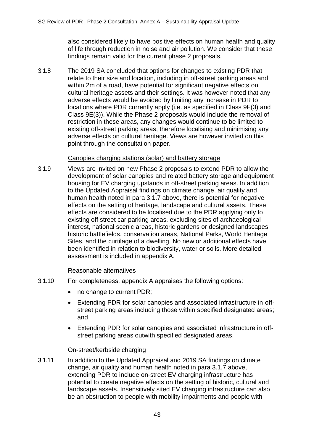also considered likely to have positive effects on human health and quality of life through reduction in noise and air pollution. We consider that these findings remain valid for the current phase 2 proposals.

3.1.8 The 2019 SA concluded that options for changes to existing PDR that relate to their size and location, including in off-street parking areas and within 2m of a road, have potential for significant negative effects on cultural heritage assets and their settings. It was however noted that any adverse effects would be avoided by limiting any increase in PDR to locations where PDR currently apply (i.e. as specified in Class 9F(3) and Class 9E(3)). While the Phase 2 proposals would include the removal of restriction in these areas, any changes would continue to be limited to existing off-street parking areas, therefore localising and minimising any adverse effects on cultural heritage. Views are however invited on this point through the consultation paper.

### Canopies charging stations (solar) and battery storage

3.1.9 Views are invited on new Phase 2 proposals to extend PDR to allow the development of solar canopies and related battery storage and equipment housing for EV charging upstands in off-street parking areas. In addition to the Updated Appraisal findings on climate change, air quality and human health noted in para 3.1.7 above, there is potential for negative effects on the setting of heritage, landscape and cultural assets. These effects are considered to be localised due to the PDR applying only to existing off street car parking areas, excluding sites of archaeological interest, national scenic areas, historic gardens or designed landscapes, historic battlefields, conservation areas, National Parks, World Heritage Sites, and the curtilage of a dwelling. No new or additional effects have been identified in relation to biodiversity, water or soils. More detailed assessment is included in appendix A.

Reasonable alternatives

- 3.1.10 For completeness, appendix A appraises the following options:
	- no change to current PDR;
	- Extending PDR for solar canopies and associated infrastructure in offstreet parking areas including those within specified designated areas; and
	- Extending PDR for solar canopies and associated infrastructure in offstreet parking areas outwith specified designated areas.

### On-street/kerbside charging

3.1.11 In addition to the Updated Appraisal and 2019 SA findings on climate change, air quality and human health noted in para 3.1.7 above, extending PDR to include on-street EV charging infrastructure has potential to create negative effects on the setting of historic, cultural and landscape assets. Insensitively sited EV charging infrastructure can also be an obstruction to people with mobility impairments and people with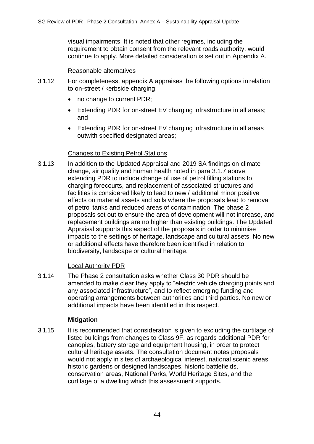visual impairments. It is noted that other regimes, including the requirement to obtain consent from the relevant roads authority, would continue to apply. More detailed consideration is set out in Appendix A.

Reasonable alternatives

- 3.1.12 For completeness, appendix A appraises the following options in relation to on-street / kerbside charging:
	- no change to current PDR:
	- Extending PDR for on-street EV charging infrastructure in all areas; and
	- Extending PDR for on-street EV charging infrastructure in all areas outwith specified designated areas;

### Changes to Existing Petrol Stations

3.1.13 In addition to the Updated Appraisal and 2019 SA findings on climate change, air quality and human health noted in para 3.1.7 above, extending PDR to include change of use of petrol filling stations to charging forecourts, and replacement of associated structures and facilities is considered likely to lead to new / additional minor positive effects on material assets and soils where the proposals lead to removal of petrol tanks and reduced areas of contamination. The phase 2 proposals set out to ensure the area of development will not increase, and replacement buildings are no higher than existing buildings. The Updated Appraisal supports this aspect of the proposals in order to minimise impacts to the settings of heritage, landscape and cultural assets. No new or additional effects have therefore been identified in relation to biodiversity, landscape or cultural heritage.

### Local Authority PDR

3.1.14 The Phase 2 consultation asks whether Class 30 PDR should be amended to make clear they apply to "electric vehicle charging points and any associated infrastructure", and to reflect emerging funding and operating arrangements between authorities and third parties. No new or additional impacts have been identified in this respect.

#### **Mitigation**

3.1.15 It is recommended that consideration is given to excluding the curtilage of listed buildings from changes to Class 9F, as regards additional PDR for canopies, battery storage and equipment housing, in order to protect cultural heritage assets. The consultation document notes proposals would not apply in sites of archaeological interest, national scenic areas, historic gardens or designed landscapes, historic battlefields, conservation areas, National Parks, World Heritage Sites, and the curtilage of a dwelling which this assessment supports.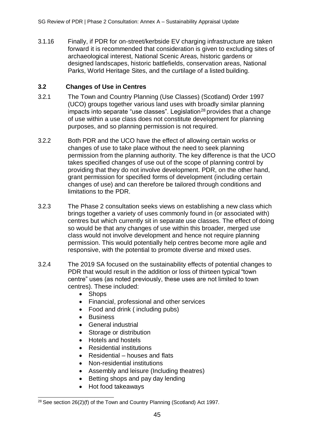3.1.16 Finally, if PDR for on-street/kerbside EV charging infrastructure are taken forward it is recommended that consideration is given to excluding sites of archaeological interest, National Scenic Areas, historic gardens or designed landscapes, historic battlefields, conservation areas, National Parks, World Heritage Sites, and the curtilage of a listed building.

# **3.2 Changes of Use in Centres**

- 3.2.1 The Town and Country Planning (Use Classes) (Scotland) Order 1997 (UCO) groups together various land uses with broadly similar planning impacts into separate "use classes". Legislation<sup>28</sup> provides that a change of use within a use class does not constitute development for planning purposes, and so planning permission is not required.
- 3.2.2 Both PDR and the UCO have the effect of allowing certain works or changes of use to take place without the need to seek planning permission from the planning authority. The key difference is that the UCO takes specified changes of use out of the scope of planning control by providing that they do not involve development. PDR, on the other hand, grant permission for specified forms of development (including certain changes of use) and can therefore be tailored through conditions and limitations to the PDR.
- 3.2.3 The Phase 2 consultation seeks views on establishing a new class which brings together a variety of uses commonly found in (or associated with) centres but which currently sit in separate use classes. The effect of doing so would be that any changes of use within this broader, merged use class would not involve development and hence not require planning permission. This would potentially help centres become more agile and responsive, with the potential to promote diverse and mixed uses.
- 3.2.4 The 2019 SA focused on the sustainability effects of potential changes to PDR that would result in the addition or loss of thirteen typical "town centre" uses (as noted previously, these uses are not limited to town centres). These included:
	- Shops
	- Financial, professional and other services
	- Food and drink (including pubs)
	- Business
	- General industrial
	- Storage or distribution
	- Hotels and hostels
	- Residential institutions
	- Residential houses and flats
	- Non-residential institutions
	- Assembly and leisure (Including theatres)
	- Betting shops and pay day lending
	- Hot food takeaways

 $28$  See section 26(2)(f) of the Town and Country Planning (Scotland) Act 1997.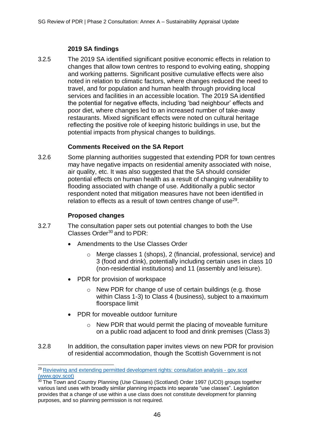# **2019 SA findings**

3.2.5 The 2019 SA identified significant positive economic effects in relation to changes that allow town centres to respond to evolving eating, shopping and working patterns. Significant positive cumulative effects were also noted in relation to climatic factors, where changes reduced the need to travel, and for population and human health through providing local services and facilities in an accessible location. The 2019 SA identified the potential for negative effects, including 'bad neighbour' effects and poor diet, where changes led to an increased number of take-away restaurants. Mixed significant effects were noted on cultural heritage reflecting the positive role of keeping historic buildings in use, but the potential impacts from physical changes to buildings.

# **Comments Received on the SA Report**

3.2.6 Some planning authorities suggested that extending PDR for town centres may have negative impacts on residential amenity associated with noise, air quality, etc. It was also suggested that the SA should consider potential effects on human health as a result of changing vulnerability to flooding associated with change of use. Additionally a public sector respondent noted that mitigation measures have not been identified in relation to effects as a result of town centres change of use $29$ .

# **Proposed changes**

- 3.2.7 The consultation paper sets out potential changes to both the Use Classes Order<sup>30</sup> and to PDR:
	- Amendments to the Use Classes Order
		- o Merge classes 1 (shops), 2 (financial, professional, service) and 3 (food and drink), potentially including certain uses in class 10 (non-residential institutions) and 11 (assembly and leisure).
	- PDR for provision of workspace
		- o New PDR for change of use of certain buildings (e.g. those within Class 1-3) to Class 4 (business), subject to a maximum floorspace limit
	- PDR for moveable outdoor furniture
		- $\circ$  New PDR that would permit the placing of moveable furniture on a public road adjacent to food and drink premises (Class 3)
- 3.2.8 In addition, the consultation paper invites views on new PDR for provision of residential accommodation, though the Scottish Government is not

<sup>29</sup>[Reviewing and extending permitted development rights: consultation analysis -](https://www.gov.scot/publications/analysis-responses-consultation-reviewing-extending-permitted-development-rights-pdr/) gov.scot [\(www.gov.scot\)](https://www.gov.scot/publications/analysis-responses-consultation-reviewing-extending-permitted-development-rights-pdr/)

<sup>&</sup>lt;sup>30</sup> The Town and Country Planning (Use Classes) (Scotland) Order 1997 (UCO) groups together various land uses with broadly similar planning impacts into separate "use classes". Legislation provides that a change of use within a use class does not constitute development for planning purposes, and so planning permission is not required.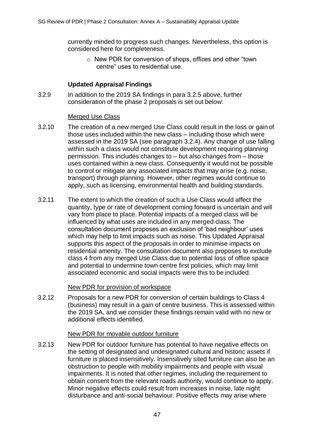currently minded to progress such changes. Nevertheless, this option is considered here for completeness.

o New PDR for conversion of shops, offices and other "town centre" uses to residential use.

# **Updated Appraisal Findings**

3.2.9 In addition to the 2019 SA findings in para 3.2.5 above, further consideration of the phase 2 proposals is set out below:

### Merged Use Class

- 3.2.10 The creation of a new merged Use Class could result in the loss or gain of those uses included within the new class – including those which were assessed in the 2019 SA (see paragraph 3.2.4). Any change of use falling within such a class would not constitute development requiring planning permission. This includes changes to – but also changes from – those uses contained within a new class. Consequently it would not be possible to control or mitigate any associated impacts that may arise (e.g. noise, transport) through planning. However, other regimes would continue to apply, such as licensing, environmental health and building standards.
- 3.2.11 The extent to which the creation of such a Use Class would affect the quantity, type or rate of development coming forward is uncertain and will vary from place to place. Potential impacts of a merged class will be influenced by what uses are included in any merged class. The consultation document proposes an exclusion of 'bad neighbour' uses which may help to limit impacts such as noise. This Updated Appraisal supports this aspect of the proposals in order to minimise impacts on residential amenity. The consultation document also proposes to exclude class 4 from any merged Use Class due to potential loss of office space and potential to undermine town centre first policies, which may limit associated economic and social impacts were this to be included.

### New PDR for provision of workspace

3.2.12 Proposals for a new PDR for conversion of certain buildings to Class 4 (business) may result in a gain of centre business. This is assessed within the 2019 SA, and we consider these findings remain valid with no new or additional effects identified.

### New PDR for movable outdoor furniture

3.2.13 New PDR for outdoor furniture has potential to have negative effects on the setting of designated and undesignated cultural and historic assets if furniture is placed insensitively. Insensitively sited furniture can also be an obstruction to people with mobility impairments and people with visual impairments. It is noted that other regimes, including the requirement to obtain consent from the relevant roads authority, would continue to apply. Minor negative effects could result from increases in noise, late night disturbance and anti-social behaviour. Positive effects may arise where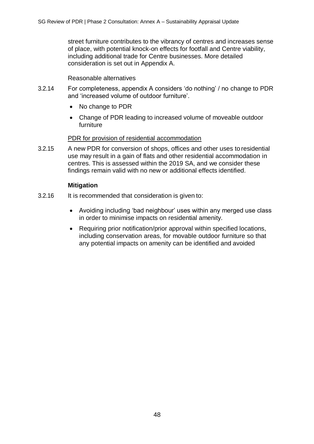street furniture contributes to the vibrancy of centres and increases sense of place, with potential knock-on effects for footfall and Centre viability, including additional trade for Centre businesses. More detailed consideration is set out in Appendix A.

Reasonable alternatives

- 3.2.14 For completeness, appendix A considers 'do nothing' / no change to PDR and 'increased volume of outdoor furniture'.
	- No change to PDR
	- Change of PDR leading to increased volume of moveable outdoor furniture

### PDR for provision of residential accommodation

3.2.15 A new PDR for conversion of shops, offices and other uses to residential use may result in a gain of flats and other residential accommodation in centres. This is assessed within the 2019 SA, and we consider these findings remain valid with no new or additional effects identified.

### **Mitigation**

- 3.2.16 It is recommended that consideration is given to:
	- Avoiding including 'bad neighbour' uses within any merged use class in order to minimise impacts on residential amenity.
	- Requiring prior notification/prior approval within specified locations, including conservation areas, for movable outdoor furniture so that any potential impacts on amenity can be identified and avoided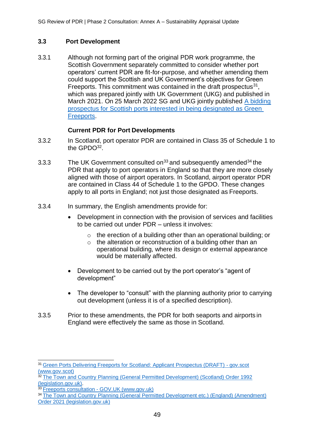# **3.3 Port Development**

3.3.1 Although not forming part of the original PDR work programme, the Scottish Government separately committed to consider whether port operators' current PDR are fit-for-purpose, and whether amending them could support the Scottish and UK Government's objectives for Green Freeports. This commitment was contained in the draft prospectus $31$ , which was prepared jointly with UK Government (UKG) and published in March 2021. On 25 March 2022 SG and UKG jointly published [A bidding](https://www.gov.uk/government/publications/green-freeports-in-scotland-bidding-prospectus) [prospectus for Scottish ports interested in being designated as Green](https://www.gov.uk/government/publications/green-freeports-in-scotland-bidding-prospectus) [Freeports.](https://www.gov.uk/government/publications/green-freeports-in-scotland-bidding-prospectus)

### **Current PDR for Port Developments**

- 3.3.2 In Scotland, port operator PDR are contained in Class 35 of Schedule 1 to the GPDO<sup>32</sup>.
- 3.3.3 The UK Government consulted on<sup>33</sup> and subsequently amended<sup>34</sup> the PDR that apply to port operators in England so that they are more closely aligned with those of airport operators. In Scotland, airport operator PDR are contained in Class 44 of Schedule 1 to the GPDO. These changes apply to all ports in England; not just those designated as Freeports.
- 3.3.4 In summary, the English amendments provide for:
	- Development in connection with the provision of services and facilities to be carried out under PDR – unless it involves:
		- o the erection of a building other than an operational building; or
		- o the alteration or reconstruction of a building other than an operational building, where its design or external appearance would be materially affected.
	- Development to be carried out by the port operator's "agent of development"
	- The developer to "consult" with the planning authority prior to carrying out development (unless it is of a specified description).
- 3.3.5 Prior to these amendments, the PDR for both seaports and airports in England were effectively the same as those in Scotland.

<sup>&</sup>lt;sup>31</sup> [Green Ports Delivering Freeports for Scotland: Applicant Prospectus \(DRAFT\) -](https://www.gov.scot/publications/green-ports-delivering-freeports-scotland-applicant-prospectus-draft/) gov.scot [\(www.gov.scot\)](https://www.gov.scot/publications/green-ports-delivering-freeports-scotland-applicant-prospectus-draft/)

<sup>32</sup> [The Town and Country Planning \(General Permitted Development\) \(Scotland\) Order 1992](https://www.legislation.gov.uk/uksi/1992/223/contents/made) [\(legislation.gov.uk\).](https://www.legislation.gov.uk/uksi/1992/223/contents/made)

<sup>33</sup> [Freeports consultation -](https://www.gov.uk/government/consultations/freeports-consultation) GOV.UK (www.gov.uk)

<sup>&</sup>lt;sup>34</sup> [The Town and Country Planning \(General Permitted Development etc.\) \(England\) \(Amendment\)](https://www.legislation.gov.uk/uksi/2021/428/made) [Order 2021 \(legislation.gov.uk\)](https://www.legislation.gov.uk/uksi/2021/428/made)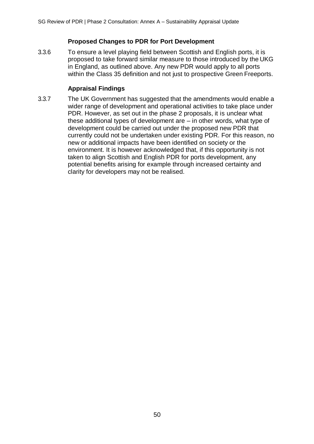# **Proposed Changes to PDR for Port Development**

3.3.6 To ensure a level playing field between Scottish and English ports, it is proposed to take forward similar measure to those introduced by the UKG in England, as outlined above. Any new PDR would apply to all ports within the Class 35 definition and not just to prospective Green Freeports.

# **Appraisal Findings**

3.3.7 The UK Government has suggested that the amendments would enable a wider range of development and operational activities to take place under PDR. However, as set out in the phase 2 proposals, it is unclear what these additional types of development are – in other words, what type of development could be carried out under the proposed new PDR that currently could not be undertaken under existing PDR. For this reason, no new or additional impacts have been identified on society or the environment. It is however acknowledged that, if this opportunity is not taken to align Scottish and English PDR for ports development, any potential benefits arising for example through increased certainty and clarity for developers may not be realised.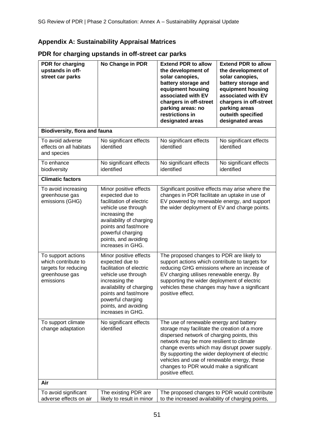# **Appendix A: Sustainability Appraisal Matrices**

# **PDR for charging upstands in off-street car parks**

| PDR for charging<br>upstands in off-<br>street car parks                                         | No Change in PDR                                                                                                                                                                                                                     | <b>Extend PDR to allow</b><br>the development of<br>solar canopies,<br>battery storage and<br>equipment housing<br>associated with EV<br>chargers in off-street<br>parking areas: no<br>restrictions in<br>designated areas                                                                                                                                                                         | <b>Extend PDR to allow</b><br>the development of<br>solar canopies,<br>battery storage and<br>equipment housing<br>associated with EV<br>chargers in off-street<br>parking areas<br>outwith specified<br>designated areas |
|--------------------------------------------------------------------------------------------------|--------------------------------------------------------------------------------------------------------------------------------------------------------------------------------------------------------------------------------------|-----------------------------------------------------------------------------------------------------------------------------------------------------------------------------------------------------------------------------------------------------------------------------------------------------------------------------------------------------------------------------------------------------|---------------------------------------------------------------------------------------------------------------------------------------------------------------------------------------------------------------------------|
| <b>Biodiversity, flora and fauna</b>                                                             |                                                                                                                                                                                                                                      |                                                                                                                                                                                                                                                                                                                                                                                                     |                                                                                                                                                                                                                           |
| To avoid adverse<br>effects on all habitats<br>and species                                       | No significant effects<br>identified                                                                                                                                                                                                 | No significant effects<br>identified                                                                                                                                                                                                                                                                                                                                                                | No significant effects<br>identified                                                                                                                                                                                      |
| To enhance<br>biodiversity                                                                       | No significant effects<br>identified                                                                                                                                                                                                 | No significant effects<br>identified                                                                                                                                                                                                                                                                                                                                                                | No significant effects<br>identified                                                                                                                                                                                      |
| <b>Climatic factors</b>                                                                          |                                                                                                                                                                                                                                      |                                                                                                                                                                                                                                                                                                                                                                                                     |                                                                                                                                                                                                                           |
| To avoid increasing<br>greenhouse gas<br>emissions (GHG)                                         | Minor positive effects<br>expected due to<br>facilitation of electric<br>vehicle use through<br>increasing the<br>availability of charging<br>points and fast/more<br>powerful charging<br>points, and avoiding<br>increases in GHG. | Significant positive effects may arise where the<br>changes in PDR facilitate an uptake in use of<br>EV powered by renewable energy, and support<br>the wider deployment of EV and charge points.                                                                                                                                                                                                   |                                                                                                                                                                                                                           |
| To support actions<br>which contribute to<br>targets for reducing<br>greenhouse gas<br>emissions | Minor positive effects<br>expected due to<br>facilitation of electric<br>vehicle use through<br>increasing the<br>availability of charging<br>points and fast/more<br>powerful charging<br>points, and avoiding<br>increases in GHG. | The proposed changes to PDR are likely to<br>support actions which contribute to targets for<br>reducing GHG emissions where an increase of<br>EV charging utilises renewable energy. By<br>supporting the wider deployment of electric<br>vehicles these changes may have a significant<br>positive effect.                                                                                        |                                                                                                                                                                                                                           |
| To support climate<br>change adaptation                                                          | No significant effects<br>identified                                                                                                                                                                                                 | The use of renewable energy and battery<br>storage may facilitate the creation of a more<br>dispersed network of charging points, this<br>network may be more resilient to climate<br>change events which may disrupt power supply.<br>By supporting the wider deployment of electric<br>vehicles and use of renewable energy, these<br>changes to PDR would make a significant<br>positive effect. |                                                                                                                                                                                                                           |
| Air                                                                                              |                                                                                                                                                                                                                                      |                                                                                                                                                                                                                                                                                                                                                                                                     |                                                                                                                                                                                                                           |
| To avoid significant<br>adverse effects on air                                                   | The existing PDR are<br>likely to result in minor                                                                                                                                                                                    | to the increased availability of charging points,                                                                                                                                                                                                                                                                                                                                                   | The proposed changes to PDR would contribute                                                                                                                                                                              |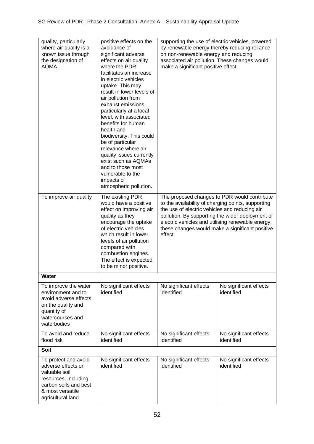| quality, particularly<br>where air quality is a<br>known issue through<br>the designation of<br><b>AQMA</b>                                           | positive effects on the<br>avoidance of<br>significant adverse<br>effects on air quality<br>where the PDR<br>facilitates an increase<br>in electric vehicles<br>uptake. This may<br>result in lower levels of<br>air pollution from<br>exhaust emissions,<br>particularly at a local<br>level, with associated<br>benefits for human<br>health and<br>biodiversity. This could<br>be of particular<br>relevance where air<br>quality issues currently<br>exist such as AQMAs<br>and to those most<br>vulnerable to the<br>impacts of<br>atmospheric pollution. | supporting the use of electric vehicles, powered<br>by renewable energy thereby reducing reliance<br>on non-renewable energy and reducing<br>associated air pollution. These changes would<br>make a significant positive effect. |                                                                                                                                                                                                          |
|-------------------------------------------------------------------------------------------------------------------------------------------------------|----------------------------------------------------------------------------------------------------------------------------------------------------------------------------------------------------------------------------------------------------------------------------------------------------------------------------------------------------------------------------------------------------------------------------------------------------------------------------------------------------------------------------------------------------------------|-----------------------------------------------------------------------------------------------------------------------------------------------------------------------------------------------------------------------------------|----------------------------------------------------------------------------------------------------------------------------------------------------------------------------------------------------------|
| To improve air quality                                                                                                                                | The existing PDR<br>would have a positive<br>effect on improving air<br>quality as they<br>encourage the uptake<br>of electric vehicles<br>which result in lower<br>levels of air pollution<br>compared with<br>combustion engines.<br>The effect is expected<br>to be minor positive.                                                                                                                                                                                                                                                                         | to the availability of charging points, supporting<br>the use of electric vehicles and reducing air<br>effect.                                                                                                                    | The proposed changes to PDR would contribute<br>pollution. By supporting the wider deployment of<br>electric vehicles and utilising renewable energy,<br>these changes would make a significant positive |
| Water                                                                                                                                                 |                                                                                                                                                                                                                                                                                                                                                                                                                                                                                                                                                                |                                                                                                                                                                                                                                   |                                                                                                                                                                                                          |
| To improve the water<br>environment and to<br>avoid adverse effects<br>on the quality and<br>quantity of<br>watercourses and<br>waterbodies           | No significant effects<br>identified                                                                                                                                                                                                                                                                                                                                                                                                                                                                                                                           | No significant effects<br>identified                                                                                                                                                                                              | No significant effects<br>identified                                                                                                                                                                     |
| To avoid and reduce<br>flood risk                                                                                                                     | No significant effects<br>identified                                                                                                                                                                                                                                                                                                                                                                                                                                                                                                                           | No significant effects<br>identified                                                                                                                                                                                              | No significant effects<br>identified                                                                                                                                                                     |
| Soil                                                                                                                                                  |                                                                                                                                                                                                                                                                                                                                                                                                                                                                                                                                                                |                                                                                                                                                                                                                                   |                                                                                                                                                                                                          |
| To protect and avoid<br>adverse effects on<br>valuable soil<br>resources, including<br>carbon soils and best<br>& most versatile<br>agricultural land | No significant effects<br>identified                                                                                                                                                                                                                                                                                                                                                                                                                                                                                                                           | No significant effects<br>identified                                                                                                                                                                                              | No significant effects<br>identified                                                                                                                                                                     |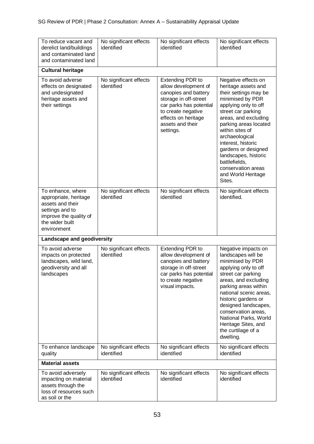| To reduce vacant and<br>derelict land/buildings<br>and contaminated land<br>and contaminated land                                             | No significant effects<br>identified | No significant effects<br>identified                                                                                                                                                                      | No significant effects<br>identified                                                                                                                                                                                                                                                                                                                                    |
|-----------------------------------------------------------------------------------------------------------------------------------------------|--------------------------------------|-----------------------------------------------------------------------------------------------------------------------------------------------------------------------------------------------------------|-------------------------------------------------------------------------------------------------------------------------------------------------------------------------------------------------------------------------------------------------------------------------------------------------------------------------------------------------------------------------|
| <b>Cultural heritage</b>                                                                                                                      |                                      |                                                                                                                                                                                                           |                                                                                                                                                                                                                                                                                                                                                                         |
| To avoid adverse<br>effects on designated<br>and undesignated<br>heritage assets and<br>their settings                                        | No significant effects<br>identified | <b>Extending PDR to</b><br>allow development of<br>canopies and battery<br>storage in off-street<br>car parks has potential<br>to create negative<br>effects on heritage<br>assets and their<br>settings. | Negative effects on<br>heritage assets and<br>their settings may be<br>minimised by PDR<br>applying only to off<br>street car parking<br>areas, and excluding<br>parking areas located<br>within sites of<br>archaeological<br>interest, historic<br>gardens or designed<br>landscapes, historic<br>battlefields,<br>conservation areas<br>and World Heritage<br>Sites. |
| To enhance, where<br>appropriate, heritage<br>assets and their<br>settings and to<br>improve the quality of<br>the wider built<br>environment | No significant effects<br>identified | No significant effects<br>identified                                                                                                                                                                      | No significant effects<br>identified.                                                                                                                                                                                                                                                                                                                                   |
| Landscape and geodiversity                                                                                                                    |                                      |                                                                                                                                                                                                           |                                                                                                                                                                                                                                                                                                                                                                         |
| To avoid adverse<br>impacts on protected<br>landscapes, wild land,<br>geodiversity and all<br>landscapes                                      | No significant effects<br>identified | <b>Extending PDR to</b><br>allow development of<br>canopies and battery<br>storage in off-street<br>car parks has potential<br>to create negative<br>visual impacts.                                      | Negative impacts on<br>landscapes will be<br>minimised by PDR<br>applying only to off<br>street car parking<br>areas, and excluding<br>parking areas within<br>national scenic areas.<br>historic gardens or<br>designed landscapes,<br>conservation areas,<br>National Parks, World<br>Heritage Sites, and<br>the curtilage of a<br>dwelling.                          |
| To enhance landscape<br>quality                                                                                                               | No significant effects<br>identified | No significant effects<br>identified                                                                                                                                                                      | No significant effects<br>identified                                                                                                                                                                                                                                                                                                                                    |
| <b>Material assets</b>                                                                                                                        |                                      |                                                                                                                                                                                                           |                                                                                                                                                                                                                                                                                                                                                                         |
| To avoid adversely<br>impacting on material<br>assets through the<br>loss of resources such<br>as soil or the                                 | No significant effects<br>identified | No significant effects<br>identified                                                                                                                                                                      | No significant effects<br>identified                                                                                                                                                                                                                                                                                                                                    |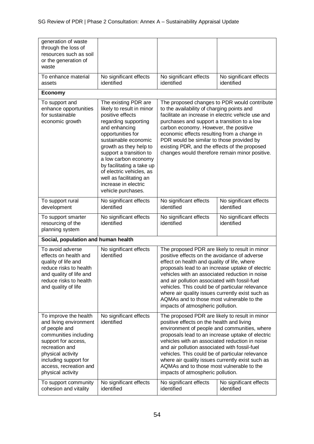| generation of waste<br>through the loss of<br>resources such as soil<br>or the generation of<br>waste                                                                                                                           |                                                                                                                                                                                                                                                                                                                                                                            |                                                                                                                                                                                                                                                                                                                                                                                                                                                                                               |                                              |
|---------------------------------------------------------------------------------------------------------------------------------------------------------------------------------------------------------------------------------|----------------------------------------------------------------------------------------------------------------------------------------------------------------------------------------------------------------------------------------------------------------------------------------------------------------------------------------------------------------------------|-----------------------------------------------------------------------------------------------------------------------------------------------------------------------------------------------------------------------------------------------------------------------------------------------------------------------------------------------------------------------------------------------------------------------------------------------------------------------------------------------|----------------------------------------------|
| To enhance material<br>assets                                                                                                                                                                                                   | No significant effects<br>identified                                                                                                                                                                                                                                                                                                                                       | No significant effects<br>identified                                                                                                                                                                                                                                                                                                                                                                                                                                                          | No significant effects<br>identified         |
| <b>Economy</b>                                                                                                                                                                                                                  |                                                                                                                                                                                                                                                                                                                                                                            |                                                                                                                                                                                                                                                                                                                                                                                                                                                                                               |                                              |
| To support and<br>enhance opportunities<br>for sustainable<br>economic growth                                                                                                                                                   | The existing PDR are<br>likely to result in minor<br>positive effects<br>regarding supporting<br>and enhancing<br>opportunities for<br>sustainable economic<br>growth as they help to<br>support a transition to<br>a low carbon economy<br>by facilitating a take up<br>of electric vehicles, as<br>well as facilitating an<br>increase in electric<br>vehicle purchases. | to the availability of charging points and<br>facilitate an increase in electric vehicle use and<br>purchases and support a transition to a low<br>carbon economy. However, the positive<br>economic effects resulting from a change in<br>PDR would be similar to those provided by<br>existing PDR, and the effects of the proposed<br>changes would therefore remain minor positive.                                                                                                       | The proposed changes to PDR would contribute |
| To support rural<br>development                                                                                                                                                                                                 | No significant effects<br>identified                                                                                                                                                                                                                                                                                                                                       | No significant effects<br>identified                                                                                                                                                                                                                                                                                                                                                                                                                                                          | No significant effects<br>identified         |
| To support smarter<br>resourcing of the<br>planning system                                                                                                                                                                      | No significant effects<br>identified                                                                                                                                                                                                                                                                                                                                       | No significant effects<br>identified                                                                                                                                                                                                                                                                                                                                                                                                                                                          | No significant effects<br>identified         |
| Social, population and human health                                                                                                                                                                                             |                                                                                                                                                                                                                                                                                                                                                                            |                                                                                                                                                                                                                                                                                                                                                                                                                                                                                               |                                              |
| To avoid adverse<br>effects on health and<br>quality of life and<br>reduce risks to health<br>and quality of life and<br>reduce risks to health<br>and quality of life                                                          | No significant effects<br>identified                                                                                                                                                                                                                                                                                                                                       | The proposed PDR are likely to result in minor<br>positive effects on the avoidance of adverse<br>effect on health and quality of life, where<br>proposals lead to an increase uptake of electric<br>vehicles with an associated reduction in noise<br>and air pollution associated with fossil-fuel<br>vehicles. This could be of particular relevance<br>where air quality issues currently exist such as<br>AQMAs and to those most vulnerable to the<br>impacts of atmospheric pollution. |                                              |
| To improve the health<br>and living environment<br>of people and<br>communities including<br>support for access,<br>recreation and<br>physical activity<br>including support for<br>access, recreation and<br>physical activity | No significant effects<br>identified                                                                                                                                                                                                                                                                                                                                       | The proposed PDR are likely to result in minor<br>positive effects on the health and living<br>environment of people and communities, where<br>proposals lead to an increase uptake of electric<br>vehicles with an associated reduction in noise<br>and air pollution associated with fossil-fuel<br>vehicles. This could be of particular relevance<br>where air quality issues currently exist such as<br>AQMAs and to those most vulnerable to the<br>impacts of atmospheric pollution.   |                                              |
| To support community<br>cohesion and vitality                                                                                                                                                                                   | No significant effects<br>identified                                                                                                                                                                                                                                                                                                                                       | No significant effects<br>identified                                                                                                                                                                                                                                                                                                                                                                                                                                                          | No significant effects<br>identified         |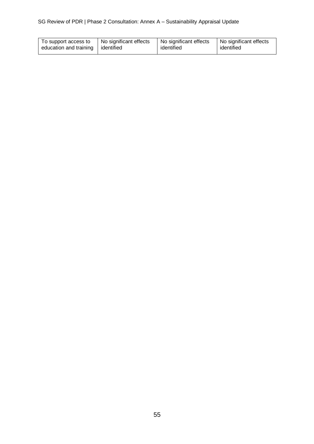| To support access to                | No significant effects | No significant effects | No significant effects |
|-------------------------------------|------------------------|------------------------|------------------------|
| education and training   identified |                        | identified             | identified             |
|                                     |                        |                        |                        |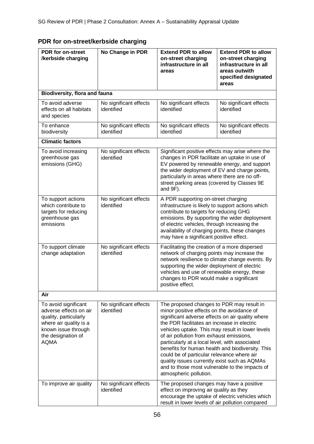| <b>PDR</b> for on-street<br>/kerbside charging                                                                                                                | No Change in PDR                     | <b>Extend PDR to allow</b><br>on-street charging<br>infrastructure in all<br>areas                                                                                                                                                                                                                                                                                                                                                                                                                                                                                         | <b>Extend PDR to allow</b><br>on-street charging<br>infrastructure in all<br>areas outwith<br>specified designated<br>areas |
|---------------------------------------------------------------------------------------------------------------------------------------------------------------|--------------------------------------|----------------------------------------------------------------------------------------------------------------------------------------------------------------------------------------------------------------------------------------------------------------------------------------------------------------------------------------------------------------------------------------------------------------------------------------------------------------------------------------------------------------------------------------------------------------------------|-----------------------------------------------------------------------------------------------------------------------------|
| <b>Biodiversity, flora and fauna</b>                                                                                                                          |                                      |                                                                                                                                                                                                                                                                                                                                                                                                                                                                                                                                                                            |                                                                                                                             |
| To avoid adverse<br>effects on all habitats<br>and species                                                                                                    | No significant effects<br>identified | No significant effects<br>identified                                                                                                                                                                                                                                                                                                                                                                                                                                                                                                                                       | No significant effects<br>identified                                                                                        |
| To enhance<br>biodiversity                                                                                                                                    | No significant effects<br>identified | No significant effects<br>identified                                                                                                                                                                                                                                                                                                                                                                                                                                                                                                                                       | No significant effects<br>identified                                                                                        |
| <b>Climatic factors</b>                                                                                                                                       |                                      |                                                                                                                                                                                                                                                                                                                                                                                                                                                                                                                                                                            |                                                                                                                             |
| To avoid increasing<br>greenhouse gas<br>emissions (GHG)                                                                                                      | No significant effects<br>identified | Significant positive effects may arise where the<br>changes in PDR facilitate an uptake in use of<br>EV powered by renewable energy, and support<br>the wider deployment of EV and charge points,<br>particularly in areas where there are no off-<br>street parking areas (covered by Classes 9E<br>and 9F).                                                                                                                                                                                                                                                              |                                                                                                                             |
| To support actions<br>which contribute to<br>targets for reducing<br>greenhouse gas<br>emissions                                                              | No significant effects<br>identified | A PDR supporting on-street charging<br>infrastructure is likely to support actions which<br>contribute to targets for reducing GHG<br>emissions. By supporting the wider deployment<br>of electric vehicles, through increasing the<br>availability of charging points, these changes<br>may have a significant positive effect.                                                                                                                                                                                                                                           |                                                                                                                             |
| To support climate<br>change adaptation                                                                                                                       | No significant effects<br>identified | Facilitating the creation of a more dispersed<br>network of charging points may increase the<br>network resilience to climate change events. By<br>supporting the wider deployment of electric<br>vehicles and use of renewable energy, these<br>changes to PDR would make a significant<br>positive effect.                                                                                                                                                                                                                                                               |                                                                                                                             |
| Air                                                                                                                                                           |                                      |                                                                                                                                                                                                                                                                                                                                                                                                                                                                                                                                                                            |                                                                                                                             |
| To avoid significant<br>adverse effects on air<br>quality, particularly<br>where air quality is a<br>known issue through<br>the designation of<br><b>AQMA</b> | No significant effects<br>identified | The proposed changes to PDR may result in<br>minor positive effects on the avoidance of<br>significant adverse effects on air quality where<br>the PDR facilitates an increase in electric<br>vehicles uptake. This may result in lower levels<br>of air pollution from exhaust emissions,<br>particularly at a local level, with associated<br>benefits for human health and biodiversity. This<br>could be of particular relevance where air<br>quality issues currently exist such as AQMAs<br>and to those most vulnerable to the impacts of<br>atmospheric pollution. |                                                                                                                             |
| To improve air quality                                                                                                                                        | No significant effects<br>identified | The proposed changes may have a positive<br>effect on improving air quality as they<br>encourage the uptake of electric vehicles which<br>result in lower levels of air pollution compared                                                                                                                                                                                                                                                                                                                                                                                 |                                                                                                                             |

# **PDR for on-street/kerbside charging**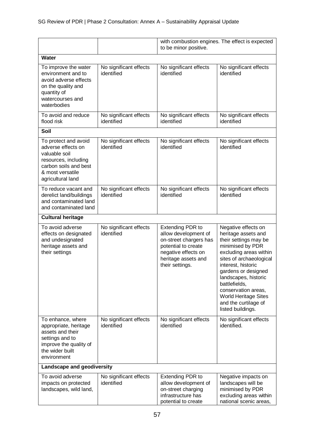|                                                                                                                                                       |                                      | with combustion engines. The effect is expected<br>to be minor positive.                                                                                          |                                                                                                                                                                                                                                                                                                                                       |
|-------------------------------------------------------------------------------------------------------------------------------------------------------|--------------------------------------|-------------------------------------------------------------------------------------------------------------------------------------------------------------------|---------------------------------------------------------------------------------------------------------------------------------------------------------------------------------------------------------------------------------------------------------------------------------------------------------------------------------------|
| Water                                                                                                                                                 |                                      |                                                                                                                                                                   |                                                                                                                                                                                                                                                                                                                                       |
| To improve the water<br>environment and to<br>avoid adverse effects<br>on the quality and<br>quantity of<br>watercourses and<br>waterbodies           | No significant effects<br>identified | No significant effects<br>identified                                                                                                                              | No significant effects<br>identified                                                                                                                                                                                                                                                                                                  |
| To avoid and reduce<br>flood risk                                                                                                                     | No significant effects<br>identified | No significant effects<br>identified                                                                                                                              | No significant effects<br>identified                                                                                                                                                                                                                                                                                                  |
| Soil                                                                                                                                                  |                                      |                                                                                                                                                                   |                                                                                                                                                                                                                                                                                                                                       |
| To protect and avoid<br>adverse effects on<br>valuable soil<br>resources, including<br>carbon soils and best<br>& most versatile<br>agricultural land | No significant effects<br>identified | No significant effects<br>identified                                                                                                                              | No significant effects<br>identified                                                                                                                                                                                                                                                                                                  |
| To reduce vacant and<br>derelict land/buildings<br>and contaminated land<br>and contaminated land                                                     | No significant effects<br>identified | No significant effects<br>identified                                                                                                                              | No significant effects<br>identified                                                                                                                                                                                                                                                                                                  |
| <b>Cultural heritage</b>                                                                                                                              |                                      |                                                                                                                                                                   |                                                                                                                                                                                                                                                                                                                                       |
| To avoid adverse<br>effects on designated<br>and undesignated<br>heritage assets and<br>their settings                                                | No significant effects<br>identified | <b>Extending PDR to</b><br>allow development of<br>on-street chargers has<br>potential to create<br>negative effects on<br>heritage assets and<br>their settings. | Negative effects on<br>heritage assets and<br>their settings may be<br>minimised by PDR<br>excluding areas within<br>sites of archaeological<br>interest, historic<br>gardens or designed<br>landscapes, historic<br>battlefields,<br>conservation areas,<br><b>World Heritage Sites</b><br>and the curtilage of<br>listed buildings. |
| To enhance, where<br>appropriate, heritage<br>assets and their<br>settings and to<br>improve the quality of<br>the wider built<br>environment         | No significant effects<br>identified | No significant effects<br>identified                                                                                                                              | No significant effects<br>identified.                                                                                                                                                                                                                                                                                                 |
| Landscape and geodiversity                                                                                                                            |                                      |                                                                                                                                                                   |                                                                                                                                                                                                                                                                                                                                       |
| To avoid adverse<br>impacts on protected<br>landscapes, wild land,                                                                                    | No significant effects<br>identified | <b>Extending PDR to</b><br>allow development of<br>on-street charging<br>infrastructure has<br>potential to create                                                | Negative impacts on<br>landscapes will be<br>minimised by PDR<br>excluding areas within<br>national scenic areas,                                                                                                                                                                                                                     |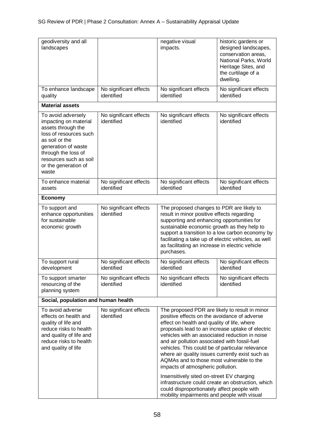| geodiversity and all<br>landscapes                                                                                                                                                                                     |                                      | negative visual<br>impacts.                                                                                                                                                                                                                                                                                                                                                                                                                                                                                                                                                                                                              | historic gardens or<br>designed landscapes,<br>conservation areas,<br>National Parks, World<br>Heritage Sites, and<br>the curtilage of a<br>dwelling. |
|------------------------------------------------------------------------------------------------------------------------------------------------------------------------------------------------------------------------|--------------------------------------|------------------------------------------------------------------------------------------------------------------------------------------------------------------------------------------------------------------------------------------------------------------------------------------------------------------------------------------------------------------------------------------------------------------------------------------------------------------------------------------------------------------------------------------------------------------------------------------------------------------------------------------|-------------------------------------------------------------------------------------------------------------------------------------------------------|
| To enhance landscape<br>quality                                                                                                                                                                                        | No significant effects<br>identified | No significant effects<br>identified                                                                                                                                                                                                                                                                                                                                                                                                                                                                                                                                                                                                     | No significant effects<br>identified                                                                                                                  |
| <b>Material assets</b>                                                                                                                                                                                                 |                                      |                                                                                                                                                                                                                                                                                                                                                                                                                                                                                                                                                                                                                                          |                                                                                                                                                       |
| To avoid adversely<br>impacting on material<br>assets through the<br>loss of resources such<br>as soil or the<br>generation of waste<br>through the loss of<br>resources such as soil<br>or the generation of<br>waste | No significant effects<br>identified | No significant effects<br>identified                                                                                                                                                                                                                                                                                                                                                                                                                                                                                                                                                                                                     | No significant effects<br>identified                                                                                                                  |
| To enhance material<br>assets                                                                                                                                                                                          | No significant effects<br>identified | No significant effects<br>identified                                                                                                                                                                                                                                                                                                                                                                                                                                                                                                                                                                                                     | No significant effects<br>identified                                                                                                                  |
| <b>Economy</b>                                                                                                                                                                                                         |                                      |                                                                                                                                                                                                                                                                                                                                                                                                                                                                                                                                                                                                                                          |                                                                                                                                                       |
| To support and<br>enhance opportunities<br>for sustainable<br>economic growth                                                                                                                                          | No significant effects<br>identified | The proposed changes to PDR are likely to<br>result in minor positive effects regarding<br>supporting and enhancing opportunities for<br>sustainable economic growth as they help to<br>facilitating a take up of electric vehicles, as well<br>as facilitating an increase in electric vehicle<br>purchases.                                                                                                                                                                                                                                                                                                                            | support a transition to a low carbon economy by                                                                                                       |
| To support rural<br>development                                                                                                                                                                                        | No significant effects<br>identified | No significant effects<br>identified                                                                                                                                                                                                                                                                                                                                                                                                                                                                                                                                                                                                     | No significant effects<br>identified                                                                                                                  |
| To support smarter<br>resourcing of the<br>planning system                                                                                                                                                             | No significant effects<br>identified | No significant effects<br>identified                                                                                                                                                                                                                                                                                                                                                                                                                                                                                                                                                                                                     | No significant effects<br>identified                                                                                                                  |
| Social, population and human health                                                                                                                                                                                    |                                      |                                                                                                                                                                                                                                                                                                                                                                                                                                                                                                                                                                                                                                          |                                                                                                                                                       |
| To avoid adverse<br>effects on health and<br>quality of life and<br>reduce risks to health<br>and quality of life and<br>reduce risks to health<br>and quality of life                                                 | No significant effects<br>identified | The proposed PDR are likely to result in minor<br>positive effects on the avoidance of adverse<br>effect on health and quality of life, where<br>proposals lead to an increase uptake of electric<br>vehicles with an associated reduction in noise<br>and air pollution associated with fossil-fuel<br>vehicles. This could be of particular relevance<br>where air quality issues currently exist such as<br>AQMAs and to those most vulnerable to the<br>impacts of atmospheric pollution.<br>Insensitively sited on-street EV charging<br>could disproportionately affect people with<br>mobility impairments and people with visual | infrastructure could create an obstruction, which                                                                                                     |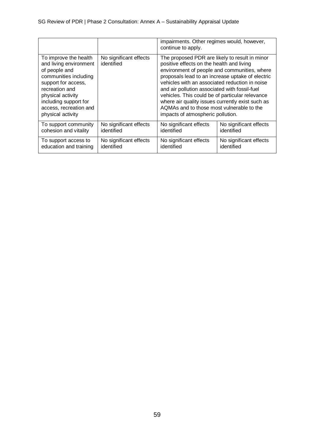|                                                                                                                                                                                                                                 |                                      | impairments. Other regimes would, however,<br>continue to apply.                                                                                                                                                                                                                                                                                                                                                                                                                            |                        |
|---------------------------------------------------------------------------------------------------------------------------------------------------------------------------------------------------------------------------------|--------------------------------------|---------------------------------------------------------------------------------------------------------------------------------------------------------------------------------------------------------------------------------------------------------------------------------------------------------------------------------------------------------------------------------------------------------------------------------------------------------------------------------------------|------------------------|
| To improve the health<br>and living environment<br>of people and<br>communities including<br>support for access,<br>recreation and<br>physical activity<br>including support for<br>access, recreation and<br>physical activity | No significant effects<br>identified | The proposed PDR are likely to result in minor<br>positive effects on the health and living<br>environment of people and communities, where<br>proposals lead to an increase uptake of electric<br>vehicles with an associated reduction in noise<br>and air pollution associated with fossil-fuel<br>vehicles. This could be of particular relevance<br>where air quality issues currently exist such as<br>AQMAs and to those most vulnerable to the<br>impacts of atmospheric pollution. |                        |
| To support community                                                                                                                                                                                                            | No significant effects               | No significant effects                                                                                                                                                                                                                                                                                                                                                                                                                                                                      | No significant effects |
| cohesion and vitality                                                                                                                                                                                                           | identified                           | identified                                                                                                                                                                                                                                                                                                                                                                                                                                                                                  | identified             |
| To support access to                                                                                                                                                                                                            | No significant effects               | No significant effects                                                                                                                                                                                                                                                                                                                                                                                                                                                                      | No significant effects |
| education and training                                                                                                                                                                                                          | identified                           | identified                                                                                                                                                                                                                                                                                                                                                                                                                                                                                  | identified             |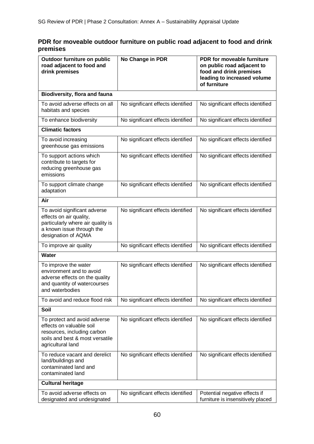# **PDR for moveable outdoor furniture on public road adjacent to food and drink premises**

| Outdoor furniture on public<br>road adjacent to food and<br>drink premises                                                                       | No Change in PDR                  | PDR for moveable furniture<br>on public road adjacent to<br>food and drink premises<br>leading to increased volume<br>of furniture |
|--------------------------------------------------------------------------------------------------------------------------------------------------|-----------------------------------|------------------------------------------------------------------------------------------------------------------------------------|
| <b>Biodiversity, flora and fauna</b>                                                                                                             |                                   |                                                                                                                                    |
| To avoid adverse effects on all<br>habitats and species                                                                                          | No significant effects identified | No significant effects identified                                                                                                  |
| To enhance biodiversity                                                                                                                          | No significant effects identified | No significant effects identified                                                                                                  |
| <b>Climatic factors</b>                                                                                                                          |                                   |                                                                                                                                    |
| To avoid increasing<br>greenhouse gas emissions                                                                                                  | No significant effects identified | No significant effects identified                                                                                                  |
| To support actions which<br>contribute to targets for<br>reducing greenhouse gas<br>emissions                                                    | No significant effects identified | No significant effects identified                                                                                                  |
| To support climate change<br>adaptation                                                                                                          | No significant effects identified | No significant effects identified                                                                                                  |
| Air                                                                                                                                              |                                   |                                                                                                                                    |
| To avoid significant adverse<br>effects on air quality,<br>particularly where air quality is<br>a known issue through the<br>designation of AQMA | No significant effects identified | No significant effects identified                                                                                                  |
| To improve air quality                                                                                                                           | No significant effects identified | No significant effects identified                                                                                                  |
| Water                                                                                                                                            |                                   |                                                                                                                                    |
| To improve the water<br>environment and to avoid<br>adverse effects on the quality<br>and quantity of watercourses<br>and waterbodies            | No significant effects identified | No significant effects identified                                                                                                  |
| To avoid and reduce flood risk                                                                                                                   | No significant effects identified | No significant effects identified                                                                                                  |
| Soil                                                                                                                                             |                                   |                                                                                                                                    |
| To protect and avoid adverse<br>effects on valuable soil<br>resources, including carbon<br>soils and best & most versatile<br>agricultural land  | No significant effects identified | No significant effects identified                                                                                                  |
| To reduce vacant and derelict<br>land/buildings and<br>contaminated land and<br>contaminated land                                                | No significant effects identified | No significant effects identified                                                                                                  |
| <b>Cultural heritage</b>                                                                                                                         |                                   |                                                                                                                                    |
| To avoid adverse effects on<br>designated and undesignated                                                                                       | No significant effects identified | Potential negative effects if<br>furniture is insensitively placed                                                                 |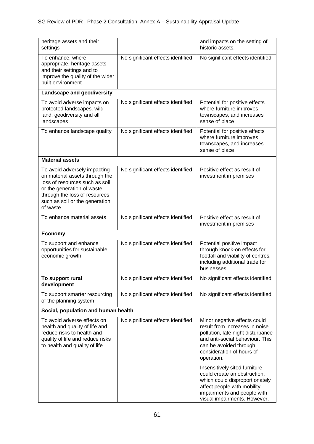| heritage assets and their<br>settings                                                                                                                                                                         |                                   | and impacts on the setting of<br>historic assets.                                                                                                                                                                                                                                                                                                                                                            |
|---------------------------------------------------------------------------------------------------------------------------------------------------------------------------------------------------------------|-----------------------------------|--------------------------------------------------------------------------------------------------------------------------------------------------------------------------------------------------------------------------------------------------------------------------------------------------------------------------------------------------------------------------------------------------------------|
| To enhance, where<br>appropriate, heritage assets<br>and their settings and to<br>improve the quality of the wider<br>built environment                                                                       | No significant effects identified | No significant effects identified                                                                                                                                                                                                                                                                                                                                                                            |
| Landscape and geodiversity                                                                                                                                                                                    |                                   |                                                                                                                                                                                                                                                                                                                                                                                                              |
| To avoid adverse impacts on<br>protected landscapes, wild<br>land, geodiversity and all<br>landscapes                                                                                                         | No significant effects identified | Potential for positive effects<br>where furniture improves<br>townscapes, and increases<br>sense of place                                                                                                                                                                                                                                                                                                    |
| To enhance landscape quality                                                                                                                                                                                  | No significant effects identified | Potential for positive effects<br>where furniture improves<br>townscapes, and increases<br>sense of place                                                                                                                                                                                                                                                                                                    |
| <b>Material assets</b>                                                                                                                                                                                        |                                   |                                                                                                                                                                                                                                                                                                                                                                                                              |
| To avoid adversely impacting<br>on material assets through the<br>loss of resources such as soil<br>or the generation of waste<br>through the loss of resources<br>such as soil or the generation<br>of waste | No significant effects identified | Positive effect as result of<br>investment in premises                                                                                                                                                                                                                                                                                                                                                       |
| To enhance material assets                                                                                                                                                                                    | No significant effects identified | Positive effect as result of<br>investment in premises                                                                                                                                                                                                                                                                                                                                                       |
| <b>Economy</b>                                                                                                                                                                                                |                                   |                                                                                                                                                                                                                                                                                                                                                                                                              |
| To support and enhance<br>opportunities for sustainable<br>economic growth                                                                                                                                    | No significant effects identified | Potential positive impact<br>through knock-on effects for<br>footfall and viability of centres,<br>including additional trade for<br>businesses.                                                                                                                                                                                                                                                             |
| To support rural<br>development                                                                                                                                                                               | No significant effects identified | No significant effects identified                                                                                                                                                                                                                                                                                                                                                                            |
| To support smarter resourcing<br>of the planning system                                                                                                                                                       | No significant effects identified | No significant effects identified                                                                                                                                                                                                                                                                                                                                                                            |
| Social, population and human health                                                                                                                                                                           |                                   |                                                                                                                                                                                                                                                                                                                                                                                                              |
| To avoid adverse effects on<br>health and quality of life and<br>reduce risks to health and<br>quality of life and reduce risks<br>to health and quality of life                                              | No significant effects identified | Minor negative effects could<br>result from increases in noise<br>pollution, late night disturbance<br>and anti-social behaviour. This<br>can be avoided through<br>consideration of hours of<br>operation.<br>Insensitively sited furniture<br>could create an obstruction,<br>which could disproportionately<br>affect people with mobility<br>impairments and people with<br>visual impairments. However, |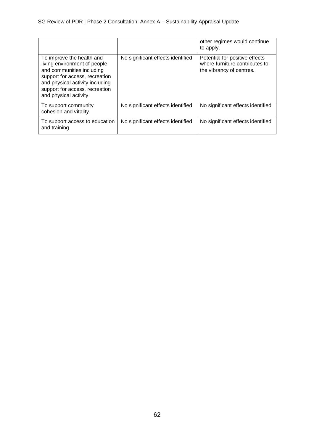|                                                                                                                                                                                                                        |                                   | other regimes would continue<br>to apply.                                                    |
|------------------------------------------------------------------------------------------------------------------------------------------------------------------------------------------------------------------------|-----------------------------------|----------------------------------------------------------------------------------------------|
| To improve the health and<br>living environment of people<br>and communities including<br>support for access, recreation<br>and physical activity including<br>support for access, recreation<br>and physical activity | No significant effects identified | Potential for positive effects<br>where furniture contributes to<br>the vibrancy of centres. |
| To support community<br>cohesion and vitality                                                                                                                                                                          | No significant effects identified | No significant effects identified                                                            |
| To support access to education<br>and training                                                                                                                                                                         | No significant effects identified | No significant effects identified                                                            |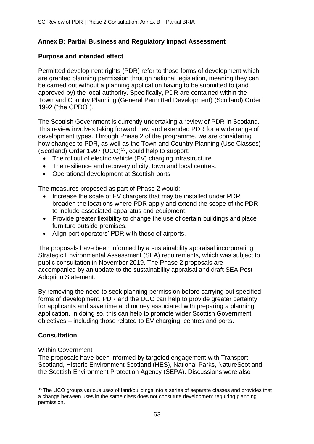# **Annex B: Partial Business and Regulatory Impact Assessment**

### **Purpose and intended effect**

Permitted development rights (PDR) refer to those forms of development which are granted planning permission through national legislation, meaning they can be carried out without a planning application having to be submitted to (and approved by) the local authority. Specifically, PDR are contained within the Town and Country Planning (General Permitted Development) (Scotland) Order 1992 ("the GPDO").

The Scottish Government is currently undertaking a review of PDR in Scotland. This review involves taking forward new and extended PDR for a wide range of development types. Through Phase 2 of the programme, we are considering how changes to PDR, as well as the Town and Country Planning (Use Classes) (Scotland) Order 1997 (UCO)<sup>35</sup>, could help to support:

- The rollout of electric vehicle (EV) charging infrastructure.
- The resilience and recovery of city, town and local centres.
- Operational development at Scottish ports

The measures proposed as part of Phase 2 would:

- Increase the scale of EV chargers that may be installed under PDR, broaden the locations where PDR apply and extend the scope of the PDR to include associated apparatus and equipment.
- Provide greater flexibility to change the use of certain buildings and place furniture outside premises.
- Align port operators' PDR with those of airports.

The proposals have been informed by a sustainability appraisal incorporating Strategic Environmental Assessment (SEA) requirements, which was subject to public consultation in November 2019. The Phase 2 proposals are accompanied by an update to the sustainability appraisal and draft SEA Post Adoption Statement.

By removing the need to seek planning permission before carrying out specified forms of development, PDR and the UCO can help to provide greater certainty for applicants and save time and money associated with preparing a planning application. In doing so, this can help to promote wider Scottish Government objectives – including those related to EV charging, centres and ports.

### **Consultation**

#### Within Government

The proposals have been informed by targeted engagement with Transport Scotland, Historic Environment Scotland (HES), National Parks, NatureScot and the Scottish Environment Protection Agency (SEPA). Discussions were also

<sup>&</sup>lt;sup>35</sup> The UCO groups various uses of land/buildings into a series of separate classes and provides that a change between uses in the same class does not constitute development requiring planning permission.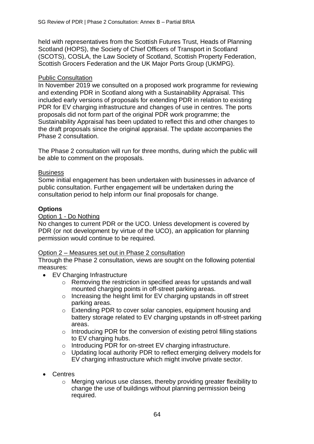held with representatives from the Scottish Futures Trust, Heads of Planning Scotland (HOPS), the Society of Chief Officers of Transport in Scotland (SCOTS), COSLA, the Law Society of Scotland, Scottish Property Federation, Scottish Grocers Federation and the UK Major Ports Group (UKMPG).

### Public Consultation

In November 2019 we consulted on a proposed work programme for reviewing and extending PDR in Scotland along with a Sustainability Appraisal. This included early versions of proposals for extending PDR in relation to existing PDR for EV charging infrastructure and changes of use in centres. The ports proposals did not form part of the original PDR work programme; the Sustainability Appraisal has been updated to reflect this and other changes to the draft proposals since the original appraisal. The update accompanies the Phase 2 consultation.

The Phase 2 consultation will run for three months, during which the public will be able to comment on the proposals.

### **Business**

Some initial engagement has been undertaken with businesses in advance of public consultation. Further engagement will be undertaken during the consultation period to help inform our final proposals for change.

# **Options**

# Option 1 - Do Nothing

No changes to current PDR or the UCO. Unless development is covered by PDR (or not development by virtue of the UCO), an application for planning permission would continue to be required.

### Option 2 – Measures set out in Phase 2 consultation

Through the Phase 2 consultation, views are sought on the following potential measures:

- EV Charging Infrastructure
	- o Removing the restriction in specified areas for upstands and wall mounted charging points in off-street parking areas.
	- o Increasing the height limit for EV charging upstands in off street parking areas.
	- o Extending PDR to cover solar canopies, equipment housing and battery storage related to EV charging upstands in off-street parking areas.
	- o Introducing PDR for the conversion of existing petrol filling stations to EV charging hubs.
	- o Introducing PDR for on-street EV charging infrastructure.
	- o Updating local authority PDR to reflect emerging delivery models for EV charging infrastructure which might involve private sector.
- Centres
	- o Merging various use classes, thereby providing greater flexibility to change the use of buildings without planning permission being required.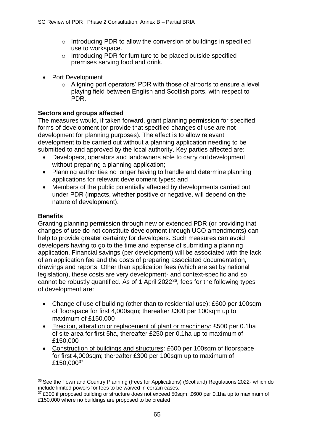- $\circ$  Introducing PDR to allow the conversion of buildings in specified use to workspace.
- o Introducing PDR for furniture to be placed outside specified premises serving food and drink.
- Port Development
	- o Aligning port operators' PDR with those of airports to ensure a level playing field between English and Scottish ports, with respect to PDR.

# **Sectors and groups affected**

The measures would, if taken forward, grant planning permission for specified forms of development (or provide that specified changes of use are not development for planning purposes). The effect is to allow relevant development to be carried out without a planning application needing to be submitted to and approved by the local authority. Key parties affected are:

- Developers, operators and landowners able to carry out development without preparing a planning application;
- Planning authorities no longer having to handle and determine planning applications for relevant development types; and
- Members of the public potentially affected by developments carried out under PDR (impacts, whether positive or negative, will depend on the nature of development).

### **Benefits**

Granting planning permission through new or extended PDR (or providing that changes of use do not constitute development through UCO amendments) can help to provide greater certainty for developers. Such measures can avoid developers having to go to the time and expense of submitting a planning application. Financial savings (per development) will be associated with the lack of an application fee and the costs of preparing associated documentation, drawings and reports. Other than application fees (which are set by national legislation), these costs are very development- and context-specific and so cannot be robustly quantified. As of 1 April 2022<sup>36</sup>, fees for the following types of development are:

- Change of use of building (other than to residential use): £600 per 100sqm of floorspace for first 4,000sqm; thereafter £300 per 100sqm up to maximum of £150,000
- Erection, alteration or replacement of plant or machinery: £500 per 0.1ha of site area for first 5ha, thereafter £250 per 0.1ha up to maximum of £150,000
- Construction of buildings and structures: £600 per 100sqm of floorspace for first 4,000sqm; thereafter £300 per 100sqm up to maximum of £150,00037

<sup>36</sup> See the Town and Country Planning (Fees for Applications) (Scotland) Regulations 2022- which do include limited powers for fees to be waived in certain cases.

<sup>&</sup>lt;sup>37</sup> £300 if proposed building or structure does not exceed 50sqm; £600 per 0.1ha up to maximum of £150,000 where no buildings are proposed to be created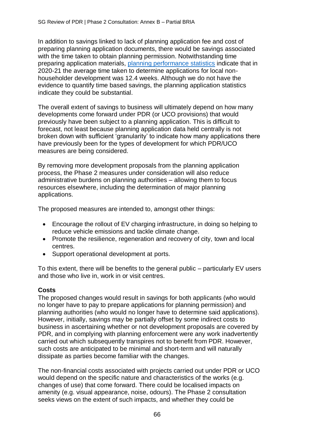In addition to savings linked to lack of planning application fee and cost of preparing planning application documents, there would be savings associated with the time taken to obtain planning permission. Notwithstanding time preparing application materials, [planning performance statistics](https://www.gov.scot/publications/planning-performance-statistics-2020-21-annual/) indicate that in 2020-21 the average time taken to determine applications for local nonhouseholder development was 12.4 weeks. Although we do not have the evidence to quantify time based savings, the planning application statistics indicate they could be substantial.

The overall extent of savings to business will ultimately depend on how many developments come forward under PDR (or UCO provisions) that would previously have been subject to a planning application. This is difficult to forecast, not least because planning application data held centrally is not broken down with sufficient 'granularity' to indicate how many applications there have previously been for the types of development for which PDR/UCO measures are being considered.

By removing more development proposals from the planning application process, the Phase 2 measures under consideration will also reduce administrative burdens on planning authorities – allowing them to focus resources elsewhere, including the determination of major planning applications.

The proposed measures are intended to, amongst other things:

- Encourage the rollout of EV charging infrastructure, in doing so helping to reduce vehicle emissions and tackle climate change.
- Promote the resilience, regeneration and recovery of city, town and local centres.
- Support operational development at ports.

To this extent, there will be benefits to the general public – particularly EV users and those who live in, work in or visit centres.

# **Costs**

The proposed changes would result in savings for both applicants (who would no longer have to pay to prepare applications for planning permission) and planning authorities (who would no longer have to determine said applications). However, initially, savings may be partially offset by some indirect costs to business in ascertaining whether or not development proposals are covered by PDR, and in complying with planning enforcement were any work inadvertently carried out which subsequently transpires not to benefit from PDR. However, such costs are anticipated to be minimal and short-term and will naturally dissipate as parties become familiar with the changes.

The non-financial costs associated with projects carried out under PDR or UCO would depend on the specific nature and characteristics of the works (e.g. changes of use) that come forward. There could be localised impacts on amenity (e.g. visual appearance, noise, odours). The Phase 2 consultation seeks views on the extent of such impacts, and whether they could be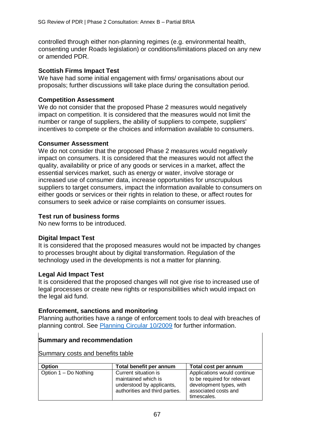controlled through either non-planning regimes (e.g. environmental health, consenting under Roads legislation) or conditions/limitations placed on any new or amended PDR.

### **Scottish Firms Impact Test**

We have had some initial engagement with firms/ organisations about our proposals; further discussions will take place during the consultation period.

# **Competition Assessment**

We do not consider that the proposed Phase 2 measures would negatively impact on competition. It is considered that the measures would not limit the number or range of suppliers, the ability of suppliers to compete, suppliers' incentives to compete or the choices and information available to consumers.

# **Consumer Assessment**

We do not consider that the proposed Phase 2 measures would negatively impact on consumers. It is considered that the measures would not affect the quality, availability or price of any goods or services in a market, affect the essential services market, such as energy or water, involve storage or increased use of consumer data, increase opportunities for unscrupulous suppliers to target consumers, impact the information available to consumers on either goods or services or their rights in relation to these, or affect routes for consumers to seek advice or raise complaints on consumer issues.

# **Test run of business forms**

No new forms to be introduced.

# **Digital Impact Test**

It is considered that the proposed measures would not be impacted by changes to processes brought about by digital transformation. Regulation of the technology used in the developments is not a matter for planning.

### **Legal Aid Impact Test**

It is considered that the proposed changes will not give rise to increased use of legal processes or create new rights or responsibilities which would impact on the legal aid fund.

### **Enforcement, sanctions and monitoring**

Planning authorities have a range of enforcement tools to deal with breaches of planning control. See [Planning Circular 10/2009](https://www.gov.scot/publications/planning-circular-10-2009-planning-enforcement/) for further information.

# **Summary and recommendation**

Summary costs and benefits table

| <b>Option</b>         | Total benefit per annum        | Total cost per annum        |
|-----------------------|--------------------------------|-----------------------------|
| Option 1 – Do Nothing | Current situation is           | Applications would continue |
|                       | maintained which is            | to be required for relevant |
|                       | understood by applicants,      | development types, with     |
|                       | authorities and third parties. | associated costs and        |
|                       |                                | timescales.                 |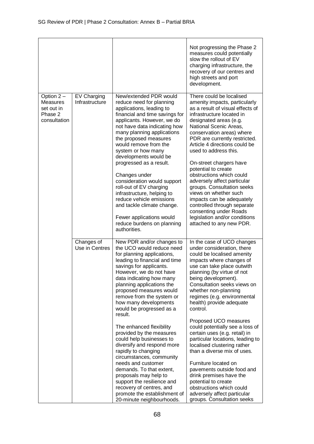|                                                                       |                               |                                                                                                                                                                                                                                                                                                                                                                                                                                                                                                                                                                                                                                                                                                                                     | Not progressing the Phase 2<br>measures could potentially<br>slow the rollout of EV<br>charging infrastructure, the<br>recovery of our centres and<br>high streets and port<br>development.                                                                                                                                                                                                                                                                                                                                                                                                                                                                                                                                         |
|-----------------------------------------------------------------------|-------------------------------|-------------------------------------------------------------------------------------------------------------------------------------------------------------------------------------------------------------------------------------------------------------------------------------------------------------------------------------------------------------------------------------------------------------------------------------------------------------------------------------------------------------------------------------------------------------------------------------------------------------------------------------------------------------------------------------------------------------------------------------|-------------------------------------------------------------------------------------------------------------------------------------------------------------------------------------------------------------------------------------------------------------------------------------------------------------------------------------------------------------------------------------------------------------------------------------------------------------------------------------------------------------------------------------------------------------------------------------------------------------------------------------------------------------------------------------------------------------------------------------|
| Option 2-<br><b>Measures</b><br>set out in<br>Phase 2<br>consultation | EV Charging<br>Infrastructure | New/extended PDR would<br>reduce need for planning<br>applications, leading to<br>financial and time savings for<br>applicants. However, we do<br>not have data indicating how<br>many planning applications<br>the proposed measures<br>would remove from the<br>system or how many<br>developments would be<br>progressed as a result.<br>Changes under<br>consideration would support<br>roll-out of EV charging<br>infrastructure, helping to<br>reduce vehicle emissions<br>and tackle climate change.<br>Fewer applications would<br>reduce burdens on planning<br>authorities.                                                                                                                                               | There could be localised<br>amenity impacts, particularly<br>as a result of visual effects of<br>infrastructure located in<br>designated areas (e.g.<br>National Scenic Areas,<br>conservation areas) where<br>PDR are currently restricted.<br>Article 4 directions could be<br>used to address this.<br>On-street chargers have<br>potential to create<br>obstructions which could<br>adversely affect particular<br>groups. Consultation seeks<br>views on whether such<br>impacts can be adequately<br>controlled through separate<br>consenting under Roads<br>legislation and/or conditions<br>attached to any new PDR.                                                                                                       |
|                                                                       | Changes of<br>Use in Centres  | New PDR and/or changes to<br>the UCO would reduce need<br>for planning applications,<br>leading to financial and time<br>savings for applicants.<br>However, we do not have<br>data indicating how many<br>planning applications the<br>proposed measures would<br>remove from the system or<br>how many developments<br>would be progressed as a<br>result.<br>The enhanced flexibility<br>provided by the measures<br>could help businesses to<br>diversify and respond more<br>rapidly to changing<br>circumstances, community<br>needs and customer<br>demands. To that extent,<br>proposals may help to<br>support the resilience and<br>recovery of centres, and<br>promote the establishment of<br>20-minute neighbourhoods. | In the case of UCO changes<br>under consideration, there<br>could be localised amenity<br>impacts where changes of<br>use can take place outwith<br>planning (by virtue of not<br>being development).<br>Consultation seeks views on<br>whether non-planning<br>regimes (e.g. environmental<br>health) provide adequate<br>control.<br>Proposed UCO measures<br>could potentially see a loss of<br>certain uses (e.g. retail) in<br>particular locations, leading to<br>localised clustering rather<br>than a diverse mix of uses.<br>Furniture located on<br>pavements outside food and<br>drink premises have the<br>potential to create<br>obstructions which could<br>adversely affect particular<br>groups. Consultation seeks |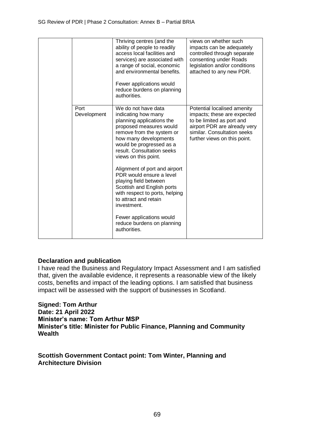|                     | Thriving centres (and the<br>ability of people to readily<br>access local facilities and<br>services) are associated with<br>a range of social, economic<br>and environmental benefits.<br>Fewer applications would<br>reduce burdens on planning<br>authorities. | views on whether such<br>impacts can be adequately<br>controlled through separate<br>consenting under Roads<br>legislation and/or conditions<br>attached to any new PDR.               |
|---------------------|-------------------------------------------------------------------------------------------------------------------------------------------------------------------------------------------------------------------------------------------------------------------|----------------------------------------------------------------------------------------------------------------------------------------------------------------------------------------|
| Port<br>Development | We do not have data<br>indicating how many<br>planning applications the<br>proposed measures would<br>remove from the system or<br>how many developments<br>would be progressed as a<br>result. Consultation seeks<br>views on this point.                        | Potential localised amenity<br>impacts; these are expected<br>to be limited as port and<br>airport PDR are already very<br>similar. Consultation seeks<br>further views on this point. |
|                     | Alignment of port and airport<br>PDR would ensure a level<br>playing field between<br>Scottish and English ports<br>with respect to ports, helping<br>to attract and retain<br>investment.                                                                        |                                                                                                                                                                                        |
|                     | Fewer applications would<br>reduce burdens on planning<br>authorities.                                                                                                                                                                                            |                                                                                                                                                                                        |

### **Declaration and publication**

I have read the Business and Regulatory Impact Assessment and I am satisfied that, given the available evidence, it represents a reasonable view of the likely costs, benefits and impact of the leading options. I am satisfied that business impact will be assessed with the support of businesses in Scotland.

**Signed: Tom Arthur Date: 21 April 2022 Minister's name: Tom Arthur MSP Minister's title: Minister for Public Finance, Planning and Community Wealth**

**Scottish Government Contact point: Tom Winter, Planning and Architecture Division**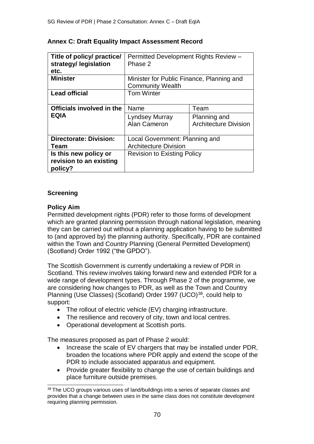| Title of policy/ practice/<br>strategy/ legislation<br>etc. | Permitted Development Rights Review -<br>Phase 2 |                              |  |
|-------------------------------------------------------------|--------------------------------------------------|------------------------------|--|
| <b>Minister</b>                                             | Minister for Public Finance, Planning and        |                              |  |
|                                                             | <b>Community Wealth</b>                          |                              |  |
| <b>Lead official</b>                                        | <b>Tom Winter</b>                                |                              |  |
| Officials involved in the                                   | Name                                             | Team                         |  |
| <b>EQIA</b>                                                 | Lyndsey Murray                                   | Planning and                 |  |
|                                                             | Alan Cameron                                     | <b>Architecture Division</b> |  |
|                                                             |                                                  |                              |  |
| <b>Directorate: Division:</b>                               | Local Government: Planning and                   |                              |  |
| Team                                                        | <b>Architecture Division</b>                     |                              |  |
| Is this new policy or                                       | <b>Revision to Existing Policy</b>               |                              |  |
| revision to an existing<br>policy?                          |                                                  |                              |  |

# **Annex C: Draft Equality Impact Assessment Record**

# **Screening**

# **Policy Aim**

Permitted development rights (PDR) refer to those forms of development which are granted planning permission through national legislation, meaning they can be carried out without a planning application having to be submitted to (and approved by) the planning authority. Specifically, PDR are contained within the Town and Country Planning (General Permitted Development) (Scotland) Order 1992 ("the GPDO").

The Scottish Government is currently undertaking a review of PDR in Scotland. This review involves taking forward new and extended PDR for a wide range of development types. Through Phase 2 of the programme, we are considering how changes to PDR, as well as the Town and Country Planning (Use Classes) (Scotland) Order 1997 (UCO)<sup>38</sup>, could help to support:

- The rollout of electric vehicle (EV) charging infrastructure.
- The resilience and recovery of city, town and local centres.
- Operational development at Scottish ports.

The measures proposed as part of Phase 2 would:

- Increase the scale of EV chargers that may be installed under PDR, broaden the locations where PDR apply and extend the scope of the PDR to include associated apparatus and equipment.
- Provide greater flexibility to change the use of certain buildings and place furniture outside premises.

<sup>38</sup> The UCO groups various uses of land/buildings into a series of separate classes and provides that a change between uses in the same class does not constitute development requiring planning permission.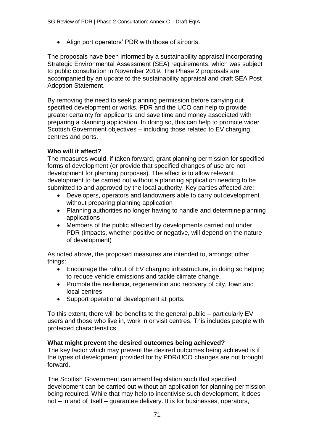• Align port operators' PDR with those of airports.

The proposals have been informed by a sustainability appraisal incorporating Strategic Environmental Assessment (SEA) requirements, which was subject to public consultation in November 2019. The Phase 2 proposals are accompanied by an update to the sustainability appraisal and draft SEA Post Adoption Statement.

By removing the need to seek planning permission before carrying out specified development or works, PDR and the UCO can help to provide greater certainty for applicants and save time and money associated with preparing a planning application. In doing so, this can help to promote wider Scottish Government objectives – including those related to EV charging, centres and ports.

# **Who will it affect?**

The measures would, if taken forward, grant planning permission for specified forms of development (or provide that specified changes of use are not development for planning purposes). The effect is to allow relevant development to be carried out without a planning application needing to be submitted to and approved by the local authority. Key parties affected are:

- Developers, operators and landowners able to carry out development without preparing planning application
- Planning authorities no longer having to handle and determine planning applications
- Members of the public affected by developments carried out under PDR (impacts, whether positive or negative, will depend on the nature of development)

As noted above, the proposed measures are intended to, amongst other things:

- Encourage the rollout of EV charging infrastructure, in doing so helping to reduce vehicle emissions and tackle climate change.
- Promote the resilience, regeneration and recovery of city, town and local centres.
- Support operational development at ports.

To this extent, there will be benefits to the general public – particularly EV users and those who live in, work in or visit centres. This includes people with protected characteristics.

### **What might prevent the desired outcomes being achieved?**

The key factor which may prevent the desired outcomes being achieved is if the types of development provided for by PDR/UCO changes are not brought forward.

The Scottish Government can amend legislation such that specified development can be carried out without an application for planning permission being required. While that may help to incentivise such development, it does not – in and of itself – guarantee delivery. It is for businesses, operators,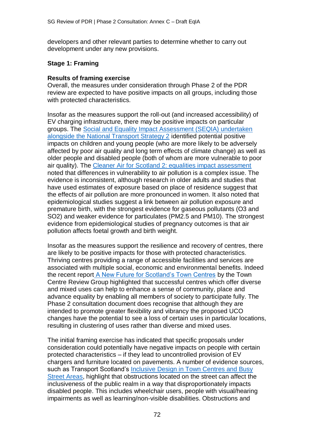developers and other relevant parties to determine whether to carry out development under any new provisions.

### **Stage 1: Framing**

### **Results of framing exercise**

Overall, the measures under consideration through Phase 2 of the PDR review are expected to have positive impacts on all groups, including those with protected characteristics.

Insofar as the measures support the roll-out (and increased accessibility) of EV charging infrastructure, there may be positive impacts on particular groups. The [Social and Equality Impact Assessment \(SEQIA\) undertaken](https://www.transport.gov.scot/media/50438/seqia-screening-report-nts2-delivery-plan.pdf) [alongside the National Transport Strategy 2](https://www.transport.gov.scot/media/50438/seqia-screening-report-nts2-delivery-plan.pdf) identified potential positive impacts on children and young people (who are more likely to be adversely affected by poor air quality and long term effects of climate change) as well as older people and disabled people (both of whom are more vulnerable to poor air quality). The [Cleaner Air for Scotland 2: equalities impact assessment](https://www.gov.scot/publications/cleaner-air-scotland-2-equalities-impact-assessment/pages/6/) noted that differences in vulnerability to air pollution is a complex issue. The evidence is inconsistent, although research in older adults and studies that have used estimates of exposure based on place of residence suggest that the effects of air pollution are more pronounced in women. It also noted that epidemiological studies suggest a link between air pollution exposure and premature birth, with the strongest evidence for gaseous pollutants (O3 and SO2) and weaker evidence for particulates (PM2.5 and PM10). The strongest evidence from epidemiological studies of pregnancy outcomes is that air pollution affects foetal growth and birth weight.

Insofar as the measures support the resilience and recovery of centres, there are likely to be positive impacts for those with protected characteristics. Thriving centres providing a range of accessible facilities and services are associated with multiple social, economic and environmental benefits. Indeed the recent report [A New Future for Scotland's Town Centres](https://www.gov.scot/binaries/content/documents/govscot/publications/independent-report/2021/02/new-future-scotlands-town-centres/documents/new-future-scotlands-town-centres/new-future-scotlands-town-centres/govscot%3Adocument/new-future-scotlands-town-centres.pdf) by the Town Centre Review Group highlighted that successful centres which offer diverse and mixed uses can help to enhance a sense of community, place and advance equality by enabling all members of society to participate fully. The Phase 2 consultation document does recognise that although they are intended to promote greater flexibility and vibrancy the proposed UCO changes have the potential to see a loss of certain uses in particular locations, resulting in clustering of uses rather than diverse and mixed uses.

The initial framing exercise has indicated that specific proposals under consideration could potentially have negative impacts on people with certain protected characteristics – if they lead to uncontrolled provision of EV chargers and furniture located on pavements. A number of evidence sources, such as Transport Scotland's [Inclusive Design in Town Centres and Busy](https://www.transport.gov.scot/publication/inclusive-design-in-town-centres-and-busy-street-areas/) [Street Areas,](https://www.transport.gov.scot/publication/inclusive-design-in-town-centres-and-busy-street-areas/) highlight that obstructions located on the street can affect the inclusiveness of the public realm in a way that disproportionately impacts disabled people. This includes wheelchair users, people with visual/hearing impairments as well as learning/non-visible disabilities. Obstructions and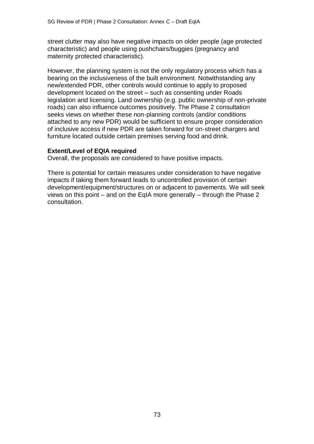street clutter may also have negative impacts on older people (age protected characteristic) and people using pushchairs/buggies (pregnancy and maternity protected characteristic).

However, the planning system is not the only regulatory process which has a bearing on the inclusiveness of the built environment. Notwithstanding any new/extended PDR, other controls would continue to apply to proposed development located on the street – such as consenting under Roads legislation and licensing. Land ownership (e.g. public ownership of non-private roads) can also influence outcomes positively. The Phase 2 consultation seeks views on whether these non-planning controls (and/or conditions attached to any new PDR) would be sufficient to ensure proper consideration of inclusive access if new PDR are taken forward for on-street chargers and furniture located outside certain premises serving food and drink.

## **Extent/Level of EQIA required**

Overall, the proposals are considered to have positive impacts.

There is potential for certain measures under consideration to have negative impacts if taking them forward leads to uncontrolled provision of certain development/equipment/structures on or adjacent to pavements. We will seek views on this point – and on the EqIA more generally – through the Phase 2 consultation.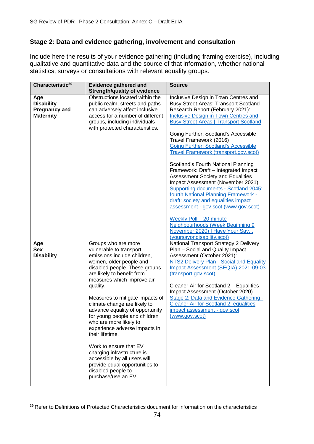# **Stage 2: Data and evidence gathering, involvement and consultation**

Include here the results of your evidence gathering (including framing exercise), including qualitative and quantitative data and the source of that information, whether national statistics, surveys or consultations with relevant equality groups.

| Characteristic <sup>39</sup>                                         | <b>Evidence gathered and</b><br><b>Strength/quality of evidence</b>                                                                                                                                                                                                                                                                                                                                                                                                                                                                                                                                           | <b>Source</b>                                                                                                                                                                                                                                                                                                                                                                                                                                                 |
|----------------------------------------------------------------------|---------------------------------------------------------------------------------------------------------------------------------------------------------------------------------------------------------------------------------------------------------------------------------------------------------------------------------------------------------------------------------------------------------------------------------------------------------------------------------------------------------------------------------------------------------------------------------------------------------------|---------------------------------------------------------------------------------------------------------------------------------------------------------------------------------------------------------------------------------------------------------------------------------------------------------------------------------------------------------------------------------------------------------------------------------------------------------------|
| Age<br><b>Disability</b><br><b>Pregnancy and</b><br><b>Maternity</b> | Obstructions located within the<br>public realm, streets and paths<br>can adversely affect inclusive<br>access for a number of different<br>groups, including individuals<br>with protected characteristics.                                                                                                                                                                                                                                                                                                                                                                                                  | Inclusive Design in Town Centres and<br><b>Busy Street Areas: Transport Scotland</b><br>Research Report (February 2021):<br><b>Inclusive Design in Town Centres and</b><br><b>Busy Street Areas   Transport Scotland</b><br>Going Further: Scotland's Accessible<br>Travel Framework (2016)<br><b>Going Further: Scotland's Accessible</b><br><b>Travel Framework (transport.gov.scot)</b>                                                                    |
|                                                                      |                                                                                                                                                                                                                                                                                                                                                                                                                                                                                                                                                                                                               | Scotland's Fourth National Planning<br>Framework: Draft - Integrated Impact<br>Assessment Society and Equalities<br>Impact Assessment (November 2021):<br>Supporting documents - Scotland 2045:<br>fourth National Planning Framework -<br>draft: society and equalities impact<br>assessment - gov.scot (www.gov.scot)<br><b>Weekly Poll - 20-minute</b><br>Neighbourhoods (Week Beginning 9<br>November 2020)   Have Your Say<br>(yoursayondisability.scot) |
| Age<br><b>Sex</b><br><b>Disability</b>                               | Groups who are more<br>vulnerable to transport<br>emissions include children,<br>women, older people and<br>disabled people. These groups<br>are likely to benefit from<br>measures which improve air<br>quality.<br>Measures to mitigate impacts of<br>climate change are likely to<br>advance equality of opportunity<br>for young people and children<br>who are more likely to<br>experience adverse impacts in<br>their lifetime.<br>Work to ensure that EV<br>charging infrastructure is<br>accessible by all users will<br>provide equal opportunities to<br>disabled people to<br>purchase/use an EV. | National Transport Strategy 2 Delivery<br>Plan - Social and Quality Impact<br>Assessment (October 2021):<br>NTS2 Delivery Plan - Social and Equality<br>Impact Assessment (SEQIA) 2021-09-03<br>(transport.gov.scot)<br>Cleaner Air for Scotland 2 - Equalities<br>Impact Assessment (October 2020)<br>Stage 2: Data and Evidence Gathering -<br><b>Cleaner Air for Scotland 2: equalities</b><br>impact assessment - gov.scot<br>(www.gov.scot)              |

<sup>&</sup>lt;sup>39</sup> Refer to Definitions of Protected Characteristics document for information on the characteristics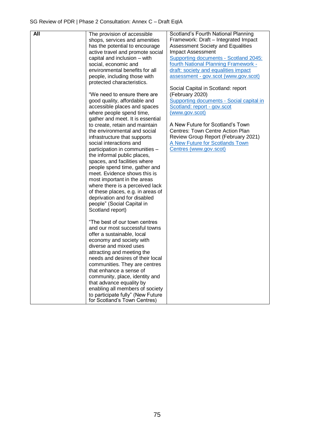| <b>All</b> | The provision of accessible<br>shops, services and amenities<br>has the potential to encourage<br>active travel and promote social<br>capital and inclusion - with<br>social, economic and<br>environmental benefits for all<br>people, including those with<br>protected characteristics.                                                                                                                                                                                                                                                                                                                                       | Scotland's Fourth National Planning<br>Framework: Draft - Integrated Impact<br>Assessment Society and Equalities<br>Impact Assessment<br>Supporting documents - Scotland 2045:<br>fourth National Planning Framework -<br>draft: society and equalities impact<br>assessment - gov.scot (www.gov.scot)                         |
|------------|----------------------------------------------------------------------------------------------------------------------------------------------------------------------------------------------------------------------------------------------------------------------------------------------------------------------------------------------------------------------------------------------------------------------------------------------------------------------------------------------------------------------------------------------------------------------------------------------------------------------------------|--------------------------------------------------------------------------------------------------------------------------------------------------------------------------------------------------------------------------------------------------------------------------------------------------------------------------------|
|            | "We need to ensure there are<br>good quality, affordable and<br>accessible places and spaces<br>where people spend time,<br>gather and meet. It is essential<br>to create, retain and maintain<br>the environmental and social<br>infrastructure that supports<br>social interactions and<br>participation in communities -<br>the informal public places,<br>spaces, and facilities where<br>people spend time, gather and<br>meet. Evidence shows this is<br>most important in the areas<br>where there is a perceived lack<br>of these places, e.g. in areas of<br>deprivation and for disabled<br>people" (Social Capital in | Social Capital in Scotland: report<br>(February 2020)<br>Supporting documents - Social capital in<br>Scotland: report - gov.scot<br>(www.gov.scot)<br>A New Future for Scotland's Town<br>Centres: Town Centre Action Plan<br>Review Group Report (February 2021)<br>A New Future for Scotlands Town<br>Centres (www.gov.scot) |
|            | Scotland report)<br>"The best of our town centres<br>and our most successful towns<br>offer a sustainable, local<br>economy and society with<br>diverse and mixed uses<br>attracting and meeting the<br>needs and desires of their local<br>communities. They are centres<br>that enhance a sense of<br>community, place, identity and<br>that advance equality by<br>enabling all members of society<br>to participate fully" (New Future<br>for Scotland's Town Centres)                                                                                                                                                       |                                                                                                                                                                                                                                                                                                                                |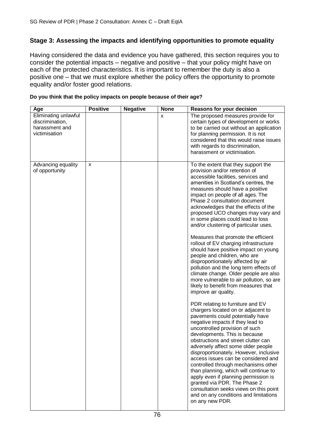# **Stage 3: Assessing the impacts and identifying opportunities to promote equality**

Having considered the data and evidence you have gathered, this section requires you to consider the potential impacts – negative and positive – that your policy might have on each of the protected characteristics. It is important to remember the duty is also a positive one – that we must explore whether the policy offers the opportunity to promote equality and/or foster good relations.

| Age                                                                        | <b>Positive</b> | <b>Negative</b> | <b>None</b> | <b>Reasons for your decision</b>                                                                                                                                                                                                                                                                                                                                                                                                                                                                                                                                                                                                                                                                                                                                                                                                                                                                                                                                                                                                                                                                                                                                                                                                                                                                                                                                                                                                                                      |
|----------------------------------------------------------------------------|-----------------|-----------------|-------------|-----------------------------------------------------------------------------------------------------------------------------------------------------------------------------------------------------------------------------------------------------------------------------------------------------------------------------------------------------------------------------------------------------------------------------------------------------------------------------------------------------------------------------------------------------------------------------------------------------------------------------------------------------------------------------------------------------------------------------------------------------------------------------------------------------------------------------------------------------------------------------------------------------------------------------------------------------------------------------------------------------------------------------------------------------------------------------------------------------------------------------------------------------------------------------------------------------------------------------------------------------------------------------------------------------------------------------------------------------------------------------------------------------------------------------------------------------------------------|
| Eliminating unlawful<br>discrimination,<br>harassment and<br>victimisation |                 |                 | X           | The proposed measures provide for<br>certain types of development or works<br>to be carried out without an application<br>for planning permission. It is not<br>considered that this would raise issues<br>with regards to discrimination,<br>harassment or victimisation.                                                                                                                                                                                                                                                                                                                                                                                                                                                                                                                                                                                                                                                                                                                                                                                                                                                                                                                                                                                                                                                                                                                                                                                            |
| Advancing equality<br>of opportunity                                       | X               |                 |             | To the extent that they support the<br>provision and/or retention of<br>accessible facilities, services and<br>amenities in Scotland's centres, the<br>measures should have a positive<br>impact on people of all ages. The<br>Phase 2 consultation document<br>acknowledges that the effects of the<br>proposed UCO changes may vary and<br>in some places could lead to loss<br>and/or clustering of particular uses.<br>Measures that promote the efficient<br>rollout of EV charging infrastructure<br>should have positive impact on young<br>people and children, who are<br>disproportionately affected by air<br>pollution and the long term effects of<br>climate change. Older people are also<br>more vulnerable to air pollution, so are<br>likely to benefit from measures that<br>improve air quality.<br>PDR relating to furniture and EV<br>chargers located on or adjacent to<br>pavements could potentially have<br>negative impacts if they lead to<br>uncontrolled provision of such<br>developments. This is because<br>obstructions and street clutter can<br>adversely affect some older people<br>disproportionately. However, inclusive<br>access issues can be considered and<br>controlled through mechanisms other<br>than planning, which will continue to<br>apply even if planning permission is<br>granted via PDR. The Phase 2<br>consultation seeks views on this point<br>and on any conditions and limitations<br>on any new PDR. |

#### **Do you think that the policy impacts on people because of their age?**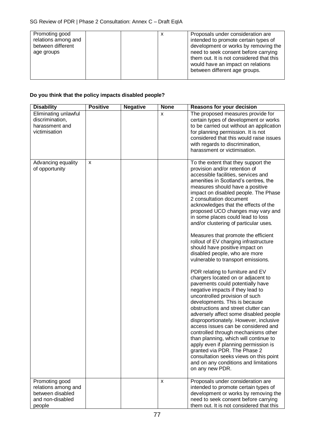| Promoting good<br>relations among and<br>between different<br>age groups | х | Proposals under consideration are<br>intended to promote certain types of<br>development or works by removing the<br>need to seek consent before carrying<br>them out. It is not considered that this<br>would have an impact on relations<br>between different age groups. |
|--------------------------------------------------------------------------|---|-----------------------------------------------------------------------------------------------------------------------------------------------------------------------------------------------------------------------------------------------------------------------------|
|--------------------------------------------------------------------------|---|-----------------------------------------------------------------------------------------------------------------------------------------------------------------------------------------------------------------------------------------------------------------------------|

# **Do you think that the policy impacts disabled people?**

| <b>Disability</b>                                                          | <b>Positive</b> | <b>Negative</b> | <b>None</b> | <b>Reasons for your decision</b>                                                                                                                                                                                                                                                                                                                                                                                                                                                                                                                                                                                                                                                                                                                                                                                                                                                                                                                                                                                                                                                                                                                                                                                                                                  |
|----------------------------------------------------------------------------|-----------------|-----------------|-------------|-------------------------------------------------------------------------------------------------------------------------------------------------------------------------------------------------------------------------------------------------------------------------------------------------------------------------------------------------------------------------------------------------------------------------------------------------------------------------------------------------------------------------------------------------------------------------------------------------------------------------------------------------------------------------------------------------------------------------------------------------------------------------------------------------------------------------------------------------------------------------------------------------------------------------------------------------------------------------------------------------------------------------------------------------------------------------------------------------------------------------------------------------------------------------------------------------------------------------------------------------------------------|
| Eliminating unlawful<br>discrimination,<br>harassment and<br>victimisation |                 |                 | x           | The proposed measures provide for<br>certain types of development or works<br>to be carried out without an application<br>for planning permission. It is not<br>considered that this would raise issues<br>with regards to discrimination,<br>harassment or victimisation.                                                                                                                                                                                                                                                                                                                                                                                                                                                                                                                                                                                                                                                                                                                                                                                                                                                                                                                                                                                        |
| Advancing equality<br>of opportunity                                       | X               |                 |             | To the extent that they support the<br>provision and/or retention of<br>accessible facilities, services and<br>amenities in Scotland's centres, the<br>measures should have a positive<br>impact on disabled people. The Phase<br>2 consultation document<br>acknowledges that the effects of the<br>proposed UCO changes may vary and<br>in some places could lead to loss<br>and/or clustering of particular uses.<br>Measures that promote the efficient<br>rollout of EV charging infrastructure<br>should have positive impact on<br>disabled people, who are more<br>vulnerable to transport emissions.<br>PDR relating to furniture and EV<br>chargers located on or adjacent to<br>pavements could potentially have<br>negative impacts if they lead to<br>uncontrolled provision of such<br>developments. This is because<br>obstructions and street clutter can<br>adversely affect some disabled people<br>disproportionately. However, inclusive<br>access issues can be considered and<br>controlled through mechanisms other<br>than planning, which will continue to<br>apply even if planning permission is<br>granted via PDR. The Phase 2<br>consultation seeks views on this point<br>and on any conditions and limitations<br>on any new PDR. |
| Promoting good                                                             |                 |                 | X           | Proposals under consideration are                                                                                                                                                                                                                                                                                                                                                                                                                                                                                                                                                                                                                                                                                                                                                                                                                                                                                                                                                                                                                                                                                                                                                                                                                                 |
| relations among and                                                        |                 |                 |             | intended to promote certain types of                                                                                                                                                                                                                                                                                                                                                                                                                                                                                                                                                                                                                                                                                                                                                                                                                                                                                                                                                                                                                                                                                                                                                                                                                              |
| between disabled                                                           |                 |                 |             | development or works by removing the                                                                                                                                                                                                                                                                                                                                                                                                                                                                                                                                                                                                                                                                                                                                                                                                                                                                                                                                                                                                                                                                                                                                                                                                                              |
| and non-disabled                                                           |                 |                 |             | need to seek consent before carrying                                                                                                                                                                                                                                                                                                                                                                                                                                                                                                                                                                                                                                                                                                                                                                                                                                                                                                                                                                                                                                                                                                                                                                                                                              |
| people                                                                     |                 |                 |             | them out. It is not considered that this                                                                                                                                                                                                                                                                                                                                                                                                                                                                                                                                                                                                                                                                                                                                                                                                                                                                                                                                                                                                                                                                                                                                                                                                                          |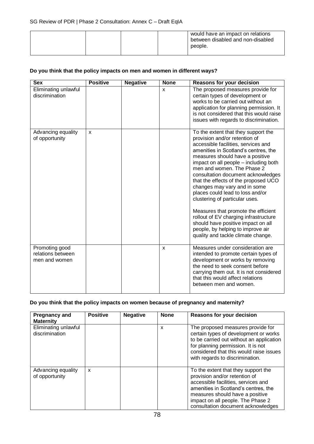|  |  | would have an impact on relations<br>between disabled and non-disabled<br>people. |
|--|--|-----------------------------------------------------------------------------------|
|  |  |                                                                                   |

#### **Do you think that the policy impacts on men and women in different ways?**

| <b>Sex</b>                                           | <b>Positive</b> | <b>Negative</b> | <b>None</b> | <b>Reasons for your decision</b>                                                                                                                                                                                                                                                                                                                                                                                                                                                                                                                                                                                                                   |
|------------------------------------------------------|-----------------|-----------------|-------------|----------------------------------------------------------------------------------------------------------------------------------------------------------------------------------------------------------------------------------------------------------------------------------------------------------------------------------------------------------------------------------------------------------------------------------------------------------------------------------------------------------------------------------------------------------------------------------------------------------------------------------------------------|
| Eliminating unlawful<br>discrimination               |                 |                 | X           | The proposed measures provide for<br>certain types of development or<br>works to be carried out without an<br>application for planning permission. It<br>is not considered that this would raise<br>issues with regards to discrimination.                                                                                                                                                                                                                                                                                                                                                                                                         |
| Advancing equality<br>of opportunity                 | $\mathsf{x}$    |                 |             | To the extent that they support the<br>provision and/or retention of<br>accessible facilities, services and<br>amenities in Scotland's centres, the<br>measures should have a positive<br>impact on all people - including both<br>men and women. The Phase 2<br>consultation document acknowledges<br>that the effects of the proposed UCO<br>changes may vary and in some<br>places could lead to loss and/or<br>clustering of particular uses.<br>Measures that promote the efficient<br>rollout of EV charging infrastructure<br>should have positive impact on all<br>people, by helping to improve air<br>quality and tackle climate change. |
| Promoting good<br>relations between<br>men and women |                 |                 | X           | Measures under consideration are<br>intended to promote certain types of<br>development or works by removing<br>the need to seek consent before<br>carrying them out. It is not considered<br>that this would affect relations<br>between men and women.                                                                                                                                                                                                                                                                                                                                                                                           |

## **Do you think that the policy impacts on women because of pregnancy and maternity?**

| <b>Pregnancy and</b><br><b>Maternity</b> | <b>Positive</b> | <b>Negative</b> | <b>None</b> | <b>Reasons for your decision</b>                                                                                                                                                                                                                                  |
|------------------------------------------|-----------------|-----------------|-------------|-------------------------------------------------------------------------------------------------------------------------------------------------------------------------------------------------------------------------------------------------------------------|
| Eliminating unlawful<br>discrimination   |                 |                 | x           | The proposed measures provide for<br>certain types of development or works<br>to be carried out without an application<br>for planning permission. It is not<br>considered that this would raise issues<br>with regards to discrimination.                        |
| Advancing equality<br>of opportunity     | X               |                 |             | To the extent that they support the<br>provision and/or retention of<br>accessible facilities, services and<br>amenities in Scotland's centres, the<br>measures should have a positive<br>impact on all people. The Phase 2<br>consultation document acknowledges |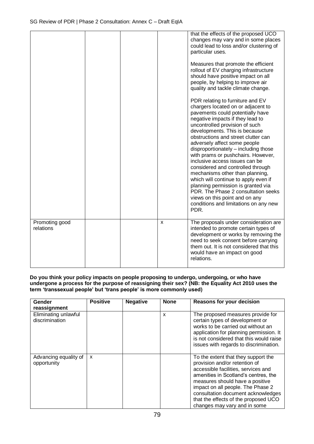|                             |  |   | that the effects of the proposed UCO<br>changes may vary and in some places<br>could lead to loss and/or clustering of<br>particular uses.<br>Measures that promote the efficient<br>rollout of EV charging infrastructure<br>should have positive impact on all<br>people, by helping to improve air<br>quality and tackle climate change.<br>PDR relating to furniture and EV<br>chargers located on or adjacent to<br>pavements could potentially have<br>negative impacts if they lead to<br>uncontrolled provision of such<br>developments. This is because<br>obstructions and street clutter can<br>adversely affect some people<br>disproportionately - including those<br>with prams or pushchairs. However,<br>inclusive access issues can be<br>considered and controlled through<br>mechanisms other than planning,<br>which will continue to apply even if<br>planning permission is granted via<br>PDR. The Phase 2 consultation seeks<br>views on this point and on any<br>conditions and limitations on any new<br>PDR. |
|-----------------------------|--|---|-----------------------------------------------------------------------------------------------------------------------------------------------------------------------------------------------------------------------------------------------------------------------------------------------------------------------------------------------------------------------------------------------------------------------------------------------------------------------------------------------------------------------------------------------------------------------------------------------------------------------------------------------------------------------------------------------------------------------------------------------------------------------------------------------------------------------------------------------------------------------------------------------------------------------------------------------------------------------------------------------------------------------------------------|
| Promoting good<br>relations |  | X | The proposals under consideration are<br>intended to promote certain types of<br>development or works by removing the<br>need to seek consent before carrying<br>them out. It is not considered that this<br>would have an impact on good<br>relations.                                                                                                                                                                                                                                                                                                                                                                                                                                                                                                                                                                                                                                                                                                                                                                                 |

#### **Do you think your policy impacts on people proposing to undergo, undergoing, or who have undergone a process for the purpose of reassigning their sex? (NB: the Equality Act 2010 uses the term 'transsexual people' but 'trans people' is more commonly used)**

| Gender<br>reassignment                 | <b>Positive</b> | <b>Negative</b> | <b>None</b> | <b>Reasons for your decision</b>                                                                                                                                                                                                                                                                                                          |
|----------------------------------------|-----------------|-----------------|-------------|-------------------------------------------------------------------------------------------------------------------------------------------------------------------------------------------------------------------------------------------------------------------------------------------------------------------------------------------|
| Eliminating unlawful<br>discrimination |                 |                 | X           | The proposed measures provide for<br>certain types of development or<br>works to be carried out without an<br>application for planning permission. It<br>is not considered that this would raise<br>issues with regards to discrimination.                                                                                                |
| Advancing equality of<br>opportunity   | X               |                 |             | To the extent that they support the<br>provision and/or retention of<br>accessible facilities, services and<br>amenities in Scotland's centres, the<br>measures should have a positive<br>impact on all people. The Phase 2<br>consultation document acknowledges<br>that the effects of the proposed UCO<br>changes may vary and in some |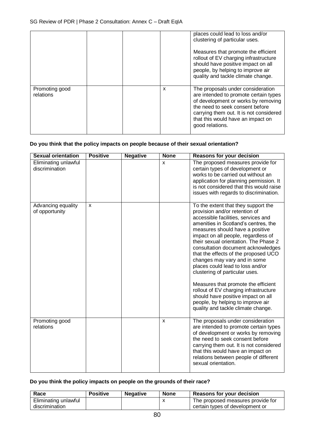|                             |   | places could lead to loss and/or<br>clustering of particular uses.<br>Measures that promote the efficient<br>rollout of EV charging infrastructure<br>should have positive impact on all<br>people, by helping to improve air<br>quality and tackle climate change. |
|-----------------------------|---|---------------------------------------------------------------------------------------------------------------------------------------------------------------------------------------------------------------------------------------------------------------------|
| Promoting good<br>relations | x | The proposals under consideration<br>are intended to promote certain types<br>of development or works by removing<br>the need to seek consent before<br>carrying them out. It is not considered<br>that this would have an impact on<br>good relations.             |

#### **Do you think that the policy impacts on people because of their sexual orientation?**

| <b>Sexual orientation</b>              | <b>Positive</b> | <b>Negative</b> | <b>None</b>  | <b>Reasons for your decision</b>                                                                                                                                                                                                                                                                                                                                                                                                                                                                                                                                                                                                                            |
|----------------------------------------|-----------------|-----------------|--------------|-------------------------------------------------------------------------------------------------------------------------------------------------------------------------------------------------------------------------------------------------------------------------------------------------------------------------------------------------------------------------------------------------------------------------------------------------------------------------------------------------------------------------------------------------------------------------------------------------------------------------------------------------------------|
| Eliminating unlawful<br>discrimination |                 |                 | X            | The proposed measures provide for<br>certain types of development or<br>works to be carried out without an<br>application for planning permission. It<br>is not considered that this would raise<br>issues with regards to discrimination.                                                                                                                                                                                                                                                                                                                                                                                                                  |
| Advancing equality<br>of opportunity   | $\mathsf{x}$    |                 |              | To the extent that they support the<br>provision and/or retention of<br>accessible facilities, services and<br>amenities in Scotland's centres, the<br>measures should have a positive<br>impact on all people, regardless of<br>their sexual orientation. The Phase 2<br>consultation document acknowledges<br>that the effects of the proposed UCO<br>changes may vary and in some<br>places could lead to loss and/or<br>clustering of particular uses.<br>Measures that promote the efficient<br>rollout of EV charging infrastructure<br>should have positive impact on all<br>people, by helping to improve air<br>quality and tackle climate change. |
| Promoting good<br>relations            |                 |                 | $\mathsf{x}$ | The proposals under consideration<br>are intended to promote certain types<br>of development or works by removing<br>the need to seek consent before<br>carrying them out. It is not considered<br>that this would have an impact on<br>relations between people of different<br>sexual orientation.                                                                                                                                                                                                                                                                                                                                                        |

## **Do you think the policy impacts on people on the grounds of their race?**

| Race                 | <b>Positive</b> | <b>Negative</b> | <b>None</b> | <b>Reasons for your decision</b>  |
|----------------------|-----------------|-----------------|-------------|-----------------------------------|
| Eliminating unlawful |                 |                 |             | The proposed measures provide for |
| discrimination       |                 |                 |             | certain types of development or   |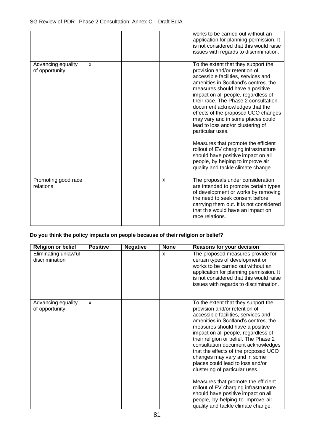|                                      |              |   | works to be carried out without an<br>application for planning permission. It<br>is not considered that this would raise<br>issues with regards to discrimination.                                                                                                                                                                                                                                                                                                                                                                                                                                                                            |
|--------------------------------------|--------------|---|-----------------------------------------------------------------------------------------------------------------------------------------------------------------------------------------------------------------------------------------------------------------------------------------------------------------------------------------------------------------------------------------------------------------------------------------------------------------------------------------------------------------------------------------------------------------------------------------------------------------------------------------------|
| Advancing equality<br>of opportunity | $\mathsf{x}$ |   | To the extent that they support the<br>provision and/or retention of<br>accessible facilities, services and<br>amenities in Scotland's centres, the<br>measures should have a positive<br>impact on all people, regardless of<br>their race. The Phase 2 consultation<br>document acknowledges that the<br>effects of the proposed UCO changes<br>may vary and in some places could<br>lead to loss and/or clustering of<br>particular uses.<br>Measures that promote the efficient<br>rollout of EV charging infrastructure<br>should have positive impact on all<br>people, by helping to improve air<br>quality and tackle climate change. |
| Promoting good race<br>relations     |              | X | The proposals under consideration<br>are intended to promote certain types<br>of development or works by removing<br>the need to seek consent before<br>carrying them out. It is not considered<br>that this would have an impact on<br>race relations.                                                                                                                                                                                                                                                                                                                                                                                       |

# **Do you think the policy impacts on people because of their religion or belief?**

| <b>Religion or belief</b>              | <b>Positive</b> | <b>Negative</b> | <b>None</b> | <b>Reasons for your decision</b>                                                                                                                                                                                                                                                                                                                                                                                                                                                                                                                                                                                                                            |
|----------------------------------------|-----------------|-----------------|-------------|-------------------------------------------------------------------------------------------------------------------------------------------------------------------------------------------------------------------------------------------------------------------------------------------------------------------------------------------------------------------------------------------------------------------------------------------------------------------------------------------------------------------------------------------------------------------------------------------------------------------------------------------------------------|
| Eliminating unlawful<br>discrimination |                 |                 | X           | The proposed measures provide for<br>certain types of development or<br>works to be carried out without an<br>application for planning permission. It<br>is not considered that this would raise<br>issues with regards to discrimination.                                                                                                                                                                                                                                                                                                                                                                                                                  |
| Advancing equality<br>of opportunity   | $\mathsf{x}$    |                 |             | To the extent that they support the<br>provision and/or retention of<br>accessible facilities, services and<br>amenities in Scotland's centres, the<br>measures should have a positive<br>impact on all people, regardless of<br>their religion or belief. The Phase 2<br>consultation document acknowledges<br>that the effects of the proposed UCO<br>changes may vary and in some<br>places could lead to loss and/or<br>clustering of particular uses.<br>Measures that promote the efficient<br>rollout of EV charging infrastructure<br>should have positive impact on all<br>people, by helping to improve air<br>quality and tackle climate change. |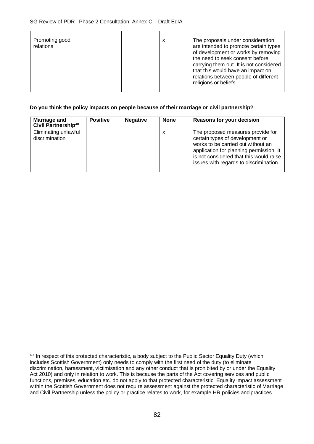| Promoting good<br>relations |  | х | The proposals under consideration<br>are intended to promote certain types<br>of development or works by removing<br>the need to seek consent before<br>carrying them out. It is not considered<br>that this would have an impact on<br>relations between people of different<br>religions or beliefs. |
|-----------------------------|--|---|--------------------------------------------------------------------------------------------------------------------------------------------------------------------------------------------------------------------------------------------------------------------------------------------------------|

#### **Do you think the policy impacts on people because of their marriage or civil partnership?**

| Marriage and<br>Civil Partnership <sup>40</sup> | <b>Positive</b> | <b>Negative</b> | <b>None</b> | <b>Reasons for your decision</b>                                                                                                                                                                                                           |
|-------------------------------------------------|-----------------|-----------------|-------------|--------------------------------------------------------------------------------------------------------------------------------------------------------------------------------------------------------------------------------------------|
| Eliminating unlawful<br>discrimination          |                 |                 | х           | The proposed measures provide for<br>certain types of development or<br>works to be carried out without an<br>application for planning permission. It<br>is not considered that this would raise<br>issues with regards to discrimination. |

<sup>&</sup>lt;sup>40</sup> In respect of this protected characteristic, a body subject to the Public Sector Equality Duty (which includes Scottish Government) only needs to comply with the first need of the duty (to eliminate discrimination, harassment, victimisation and any other conduct that is prohibited by or under the Equality Act 2010) and only in relation to work. This is because the parts of the Act covering services and public functions, premises, education etc. do not apply to that protected characteristic. Equality impact assessment within the Scottish Government does not require assessment against the protected characteristic of Marriage and Civil Partnership unless the policy or practice relates to work, for example HR policies and practices.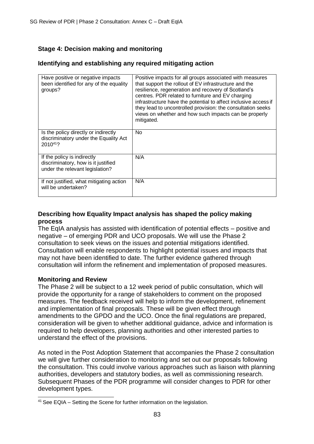# **Stage 4: Decision making and monitoring**

## **Identifying and establishing any required mitigating action**

| Have positive or negative impacts<br>been identified for any of the equality<br>groups?               | Positive impacts for all groups associated with measures<br>that support the rollout of EV infrastructure and the<br>resilience, regeneration and recovery of Scotland's<br>centres. PDR related to furniture and EV charging<br>infrastructure have the potential to affect inclusive access if<br>they lead to uncontrolled provision: the consultation seeks<br>views on whether and how such impacts can be properly<br>mitigated. |
|-------------------------------------------------------------------------------------------------------|----------------------------------------------------------------------------------------------------------------------------------------------------------------------------------------------------------------------------------------------------------------------------------------------------------------------------------------------------------------------------------------------------------------------------------------|
| Is the policy directly or indirectly<br>discriminatory under the Equality Act<br>$2010^{41}$ ?        | No.                                                                                                                                                                                                                                                                                                                                                                                                                                    |
| If the policy is indirectly<br>discriminatory, how is it justified<br>under the relevant legislation? | N/A                                                                                                                                                                                                                                                                                                                                                                                                                                    |
| If not justified, what mitigating action<br>will be undertaken?                                       | N/A                                                                                                                                                                                                                                                                                                                                                                                                                                    |

## **Describing how Equality Impact analysis has shaped the policy making process**

The EqIA analysis has assisted with identification of potential effects – positive and negative – of emerging PDR and UCO proposals. We will use the Phase 2 consultation to seek views on the issues and potential mitigations identified. Consultation will enable respondents to highlight potential issues and impacts that may not have been identified to date. The further evidence gathered through consultation will inform the refinement and implementation of proposed measures.

## **Monitoring and Review**

The Phase 2 will be subject to a 12 week period of public consultation, which will provide the opportunity for a range of stakeholders to comment on the proposed measures. The feedback received will help to inform the development, refinement and implementation of final proposals. These will be given effect through amendments to the GPDO and the UCO. Once the final regulations are prepared, consideration will be given to whether additional guidance, advice and information is required to help developers, planning authorities and other interested parties to understand the effect of the provisions.

As noted in the Post Adoption Statement that accompanies the Phase 2 consultation we will give further consideration to monitoring and set out our proposals following the consultation. This could involve various approaches such as liaison with planning authorities, developers and statutory bodies, as well as commissioning research. Subsequent Phases of the PDR programme will consider changes to PDR for other development types.

<sup>&</sup>lt;sup>41</sup> See EQIA – Setting the Scene for further information on the legislation.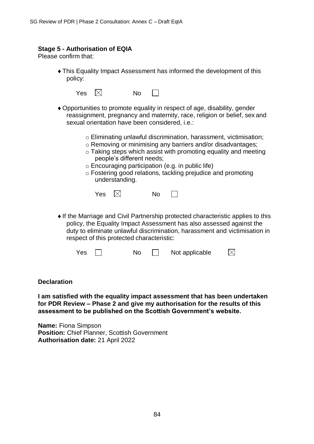#### **Stage 5 - Authorisation of EQIA**

Please confirm that:

This Equality Impact Assessment has informed the development of this policy:

| Yes. | $\checkmark$ | No |
|------|--------------|----|
|------|--------------|----|

- Opportunities to promote equality in respect of age, disability, gender reassignment, pregnancy and maternity, race, religion or belief, sex and sexual orientation have been considered, i.e.:
	- o Eliminating unlawful discrimination, harassment, victimisation;
	- o Removing or minimising any barriers and/or disadvantages;
		- o Taking steps which assist with promoting equality and meeting people's different needs;
		- o Encouraging participation (e.g. in public life)
		- o Fostering good relations, tackling prejudice and promoting understanding.



If the Marriage and Civil Partnership protected characteristic applies to this policy, the Equality Impact Assessment has also assessed against the duty to eliminate unlawful discrimination, harassment and victimisation in respect of this protected characteristic:

| Yes<br>Nο | Not applicable | $\times$ |
|-----------|----------------|----------|
|-----------|----------------|----------|

**Declaration**

**I am satisfied with the equality impact assessment that has been undertaken for PDR Review – Phase 2 and give my authorisation for the results of this assessment to be published on the Scottish Government's website.**

**Name:** Fiona Simpson **Position:** Chief Planner, Scottish Government **Authorisation date:** 21 April 2022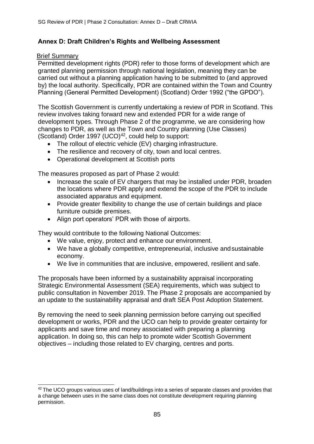# **Annex D: Draft Children's Rights and Wellbeing Assessment**

## Brief Summary

Permitted development rights (PDR) refer to those forms of development which are granted planning permission through national legislation, meaning they can be carried out without a planning application having to be submitted to (and approved by) the local authority. Specifically, PDR are contained within the Town and Country Planning (General Permitted Development) (Scotland) Order 1992 ("the GPDO").

The Scottish Government is currently undertaking a review of PDR in Scotland. This review involves taking forward new and extended PDR for a wide range of development types. Through Phase 2 of the programme, we are considering how changes to PDR, as well as the Town and Country planning (Use Classes) (Scotland) Order 1997 (UCO) $42$ , could help to support:

- The rollout of electric vehicle (EV) charging infrastructure.
- The resilience and recovery of city, town and local centres.
- Operational development at Scottish ports

The measures proposed as part of Phase 2 would:

- Increase the scale of EV chargers that may be installed under PDR, broaden the locations where PDR apply and extend the scope of the PDR to include associated apparatus and equipment.
- Provide greater flexibility to change the use of certain buildings and place furniture outside premises.
- Align port operators' PDR with those of airports.

They would contribute to the following National Outcomes:

- We value, enjoy, protect and enhance our environment.
- We have a globally competitive, entrepreneurial, inclusive and sustainable economy.
- We live in communities that are inclusive, empowered, resilient and safe.

The proposals have been informed by a sustainability appraisal incorporating Strategic Environmental Assessment (SEA) requirements, which was subject to public consultation in November 2019. The Phase 2 proposals are accompanied by an update to the sustainability appraisal and draft SEA Post Adoption Statement.

By removing the need to seek planning permission before carrying out specified development or works, PDR and the UCO can help to provide greater certainty for applicants and save time and money associated with preparing a planning application. In doing so, this can help to promote wider Scottish Government objectives – including those related to EV charging, centres and ports.

<sup>&</sup>lt;sup>42</sup> The UCO groups various uses of land/buildings into a series of separate classes and provides that a change between uses in the same class does not constitute development requiring planning permission.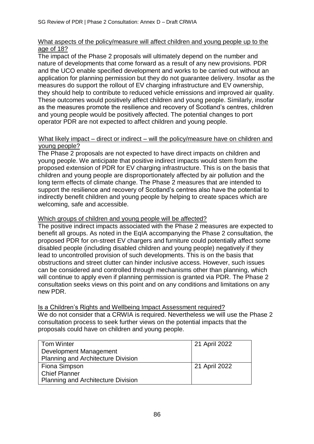## What aspects of the policy/measure will affect children and young people up to the age of 18?

The impact of the Phase 2 proposals will ultimately depend on the number and nature of developments that come forward as a result of any new provisions. PDR and the UCO enable specified development and works to be carried out without an application for planning permission but they do not guarantee delivery. Insofar as the measures do support the rollout of EV charging infrastructure and EV ownership, they should help to contribute to reduced vehicle emissions and improved air quality. These outcomes would positively affect children and young people. Similarly, insofar as the measures promote the resilience and recovery of Scotland's centres, children and young people would be positively affected. The potential changes to port operator PDR are not expected to affect children and young people.

#### What likely impact – direct or indirect – will the policy/measure have on children and young people?

The Phase 2 proposals are not expected to have direct impacts on children and young people. We anticipate that positive indirect impacts would stem from the proposed extension of PDR for EV charging infrastructure. This is on the basis that children and young people are disproportionately affected by air pollution and the long term effects of climate change. The Phase 2 measures that are intended to support the resilience and recovery of Scotland's centres also have the potential to indirectly benefit children and young people by helping to create spaces which are welcoming, safe and accessible.

## Which groups of children and young people will be affected?

The positive indirect impacts associated with the Phase 2 measures are expected to benefit all groups. As noted in the EqIA accompanying the Phase 2 consultation, the proposed PDR for on-street EV chargers and furniture could potentially affect some disabled people (including disabled children and young people) negatively if they lead to uncontrolled provision of such developments. This is on the basis that obstructions and street clutter can hinder inclusive access. However, such issues can be considered and controlled through mechanisms other than planning, which will continue to apply even if planning permission is granted via PDR. The Phase 2 consultation seeks views on this point and on any conditions and limitations on any new PDR.

## Is a Children's Rights and Wellbeing Impact Assessment required?

We do not consider that a CRWIA is required. Nevertheless we will use the Phase 2 consultation process to seek further views on the potential impacts that the proposals could have on children and young people.

| <b>Tom Winter</b>                         | 21 April 2022 |
|-------------------------------------------|---------------|
| Development Management                    |               |
| <b>Planning and Architecture Division</b> |               |
| Fiona Simpson                             | 21 April 2022 |
| Chief Planner                             |               |
| <b>Planning and Architecture Division</b> |               |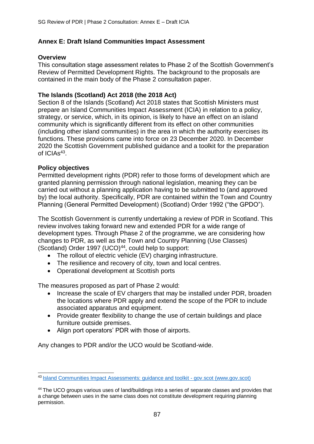# **Annex E: Draft Island Communities Impact Assessment**

## **Overview**

This consultation stage assessment relates to Phase 2 of the Scottish Government's Review of Permitted Development Rights. The background to the proposals are contained in the main body of the Phase 2 consultation paper.

## **The Islands (Scotland) Act 2018 (the 2018 Act)**

Section 8 of the Islands (Scotland) Act 2018 states that Scottish Ministers must prepare an Island Communities Impact Assessment (ICIA) in relation to a policy, strategy, or service, which, in its opinion, is likely to have an effect on an island community which is significantly different from its effect on other communities (including other island communities) in the area in which the authority exercises its functions. These provisions came into force on 23 December 2020. In December 2020 the Scottish Government published guidance and a toolkit for the preparation of ICIAs<sup>43</sup>.

## **Policy objectives**

Permitted development rights (PDR) refer to those forms of development which are granted planning permission through national legislation, meaning they can be carried out without a planning application having to be submitted to (and approved by) the local authority. Specifically, PDR are contained within the Town and Country Planning (General Permitted Development) (Scotland) Order 1992 ("the GPDO").

The Scottish Government is currently undertaking a review of PDR in Scotland. This review involves taking forward new and extended PDR for a wide range of development types. Through Phase 2 of the programme, we are considering how changes to PDR, as well as the Town and Country Planning (Use Classes) (Scotland) Order 1997 (UCO)<sup>44</sup>, could help to support:

- The rollout of electric vehicle (EV) charging infrastructure.
- The resilience and recovery of city, town and local centres.
- Operational development at Scottish ports

The measures proposed as part of Phase 2 would:

- Increase the scale of EV chargers that may be installed under PDR, broaden the locations where PDR apply and extend the scope of the PDR to include associated apparatus and equipment.
- Provide greater flexibility to change the use of certain buildings and place furniture outside premises.
- Align port operators' PDR with those of airports.

Any changes to PDR and/or the UCO would be Scotland-wide.

<sup>43</sup>[Island Communities Impact Assessments: guidance and toolkit -](https://www.gov.scot/publications/island-communities-impact-assessments-guidance-toolkit/) gov.scot (www.gov.scot)

<sup>&</sup>lt;sup>44</sup> The UCO groups various uses of land/buildings into a series of separate classes and provides that a change between uses in the same class does not constitute development requiring planning permission.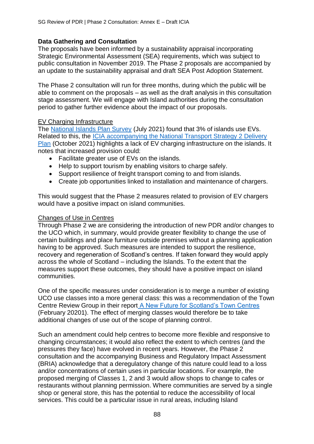## **Data Gathering and Consultation**

The proposals have been informed by a sustainability appraisal incorporating Strategic Environmental Assessment (SEA) requirements, which was subject to public consultation in November 2019. The Phase 2 proposals are accompanied by an update to the sustainability appraisal and draft SEA Post Adoption Statement.

The Phase 2 consultation will run for three months, during which the public will be able to comment on the proposals – as well as the draft analysis in this consultation stage assessment. We will engage with Island authorities during the consultation period to gather further evidence about the impact of our proposals.

## EV Charging Infrastructure

The [National Islands Plan Survey](https://www.gov.scot/publications/national-islands-plan-survey-final-report/) (July 2021) found that 3% of islands use EVs. Related to this, the [ICIA accompanying the National Transport Strategy 2 Delivery](https://www.transport.gov.scot/media/50435/icia-screening-report-nts2-delivery-plan.pdf) [Plan](https://www.transport.gov.scot/media/50435/icia-screening-report-nts2-delivery-plan.pdf) (October 2021) highlights a lack of EV charging infrastructure on the islands. It notes that increased provision could:

- Facilitate greater use of EVs on the islands.
- Help to support tourism by enabling visitors to charge safely.
- Support resilience of freight transport coming to and from islands.
- Create job opportunities linked to installation and maintenance of chargers.

This would suggest that the Phase 2 measures related to provision of EV chargers would have a positive impact on island communities.

#### Changes of Use in Centres

Through Phase 2 we are considering the introduction of new PDR and/or changes to the UCO which, in summary, would provide greater flexibility to change the use of certain buildings and place furniture outside premises without a planning application having to be approved. Such measures are intended to support the resilience, recovery and regeneration of Scotland's centres. If taken forward they would apply across the whole of Scotland – including the Islands. To the extent that the measures support these outcomes, they should have a positive impact on island communities.

One of the specific measures under consideration is to merge a number of existing UCO use classes into a more general class: this was a recommendation of the Town Centre Review Group in their report [A New Future for Scotland's Town Centres](https://www.gov.scot/publications/new-future-scotlands-town-centres/) (February 20201). The effect of merging classes would therefore be to take additional changes of use out of the scope of planning control.

Such an amendment could help centres to become more flexible and responsive to changing circumstances; it would also reflect the extent to which centres (and the pressures they face) have evolved in recent years. However, the Phase 2 consultation and the accompanying Business and Regulatory Impact Assessment (BRIA) acknowledge that a deregulatory change of this nature could lead to a loss and/or concentrations of certain uses in particular locations. For example, the proposed merging of Classes 1, 2 and 3 would allow shops to change to cafes or restaurants without planning permission. Where communities are served by a single shop or general store, this has the potential to reduce the accessibility of local services. This could be a particular issue in rural areas, including Island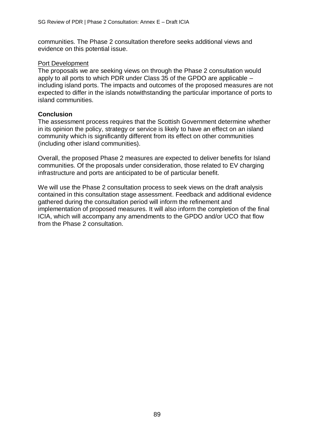communities. The Phase 2 consultation therefore seeks additional views and evidence on this potential issue.

## Port Development

The proposals we are seeking views on through the Phase 2 consultation would apply to all ports to which PDR under Class 35 of the GPDO are applicable – including island ports. The impacts and outcomes of the proposed measures are not expected to differ in the islands notwithstanding the particular importance of ports to island communities.

# **Conclusion**

The assessment process requires that the Scottish Government determine whether in its opinion the policy, strategy or service is likely to have an effect on an island community which is significantly different from its effect on other communities (including other island communities).

Overall, the proposed Phase 2 measures are expected to deliver benefits for Island communities. Of the proposals under consideration, those related to EV charging infrastructure and ports are anticipated to be of particular benefit.

We will use the Phase 2 consultation process to seek views on the draft analysis contained in this consultation stage assessment. Feedback and additional evidence gathered during the consultation period will inform the refinement and implementation of proposed measures. It will also inform the completion of the final ICIA, which will accompany any amendments to the GPDO and/or UCO that flow from the Phase 2 consultation.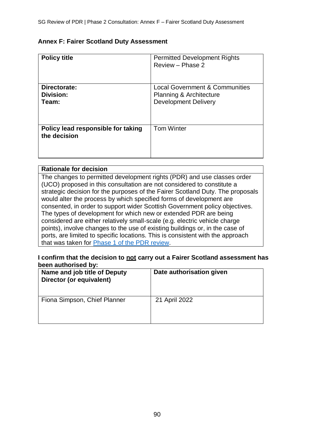#### **Annex F: Fairer Scotland Duty Assessment**

| <b>Policy title</b>                                | <b>Permitted Development Rights</b><br>Review - Phase 2                                             |
|----------------------------------------------------|-----------------------------------------------------------------------------------------------------|
| Directorate:<br>Division:<br>Team:                 | <b>Local Government &amp; Communities</b><br>Planning & Architecture<br><b>Development Delivery</b> |
| Policy lead responsible for taking<br>the decision | <b>Tom Winter</b>                                                                                   |

## **Rationale for decision** The changes to permitted development rights (PDR) and use classes order (UCO) proposed in this consultation are not considered to constitute a strategic decision for the purposes of the Fairer Scotland Duty. The proposals would alter the process by which specified forms of development are consented, in order to support wider Scottish Government policy objectives. The types of development for which new or extended PDR are being considered are either relatively small-scale (e.g. electric vehicle charge points), involve changes to the use of existing buildings or, in the case of ports, are limited to specific locations. This is consistent with the approach that was taken for [Phase 1 of the PDR review.](https://www.gov.scot/publications/consultation-proposals-changes-permitted-development-rights-phase-1-priority-development-types/documents/)

#### **I confirm that the decision to not carry out a Fairer Scotland assessment has been authorised by:**

| Name and job title of Deputy<br>Director (or equivalent) | Date authorisation given |
|----------------------------------------------------------|--------------------------|
| Fiona Simpson, Chief Planner                             | 21 April 2022            |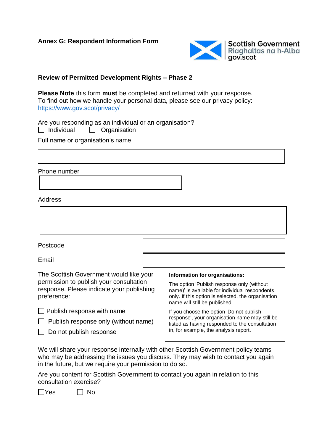

## **Review of Permitted Development Rights – Phase 2**

**Please Note** this form **must** be completed and returned with your response. To find out how we handle your personal data, please see our privacy policy: <https://www.gov.scot/privacy/>

Are you responding as an individual or an organisation?

 $\Box$  Individual  $\Box$  Organisation

Full name or organisation's name

Phone number

#### Address



Email

The Scottish Government would like your permission to publish your consultation response. Please indicate your publishing preference:

| Publish response with name |
|----------------------------|
|----------------------------|

 $\Box$  Publish response only (without name)

 $\Box$  Do not publish response

#### **Information for organisations:**

The option 'Publish response only (without name)' is available for individual respondents only. If this option is selected, the organisation name will still be published.

If you choose the option 'Do not publish response', your organisation name may still be listed as having responded to the consultation in, for example, the analysis report.

We will share your response internally with other Scottish Government policy teams who may be addressing the issues you discuss. They may wish to contact you again in the future, but we require your permission to do so.

Are you content for Scottish Government to contact you again in relation to this consultation exercise?

 $\Box$ Yes  $\Box$  No